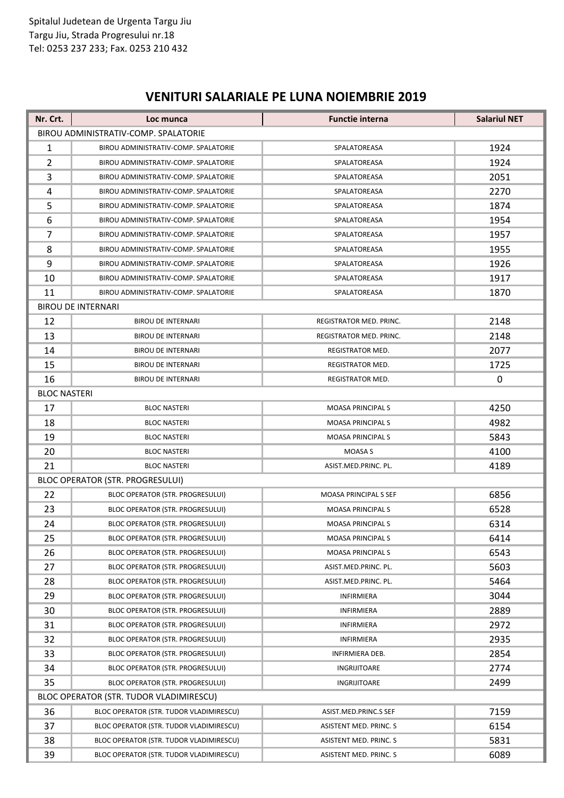## **VENITURI SALARIALE PE LUNA NOIEMBRIE 2019**

| Nr. Crt.            | Loc munca                               | <b>Functie interna</b>  | <b>Salariul NET</b> |
|---------------------|-----------------------------------------|-------------------------|---------------------|
|                     | BIROU ADMINISTRATIV-COMP. SPALATORIE    |                         |                     |
| 1                   | BIROU ADMINISTRATIV-COMP. SPALATORIE    | SPALATOREASA            | 1924                |
| 2                   | BIROU ADMINISTRATIV-COMP. SPALATORIE    | SPALATOREASA            | 1924                |
| 3                   | BIROU ADMINISTRATIV-COMP. SPALATORIE    | SPALATOREASA            | 2051                |
| 4                   | BIROU ADMINISTRATIV-COMP. SPALATORIE    | SPALATOREASA            | 2270                |
| 5                   | BIROU ADMINISTRATIV-COMP. SPALATORIE    | SPALATOREASA            | 1874                |
| 6                   | BIROU ADMINISTRATIV-COMP. SPALATORIE    | SPALATOREASA            | 1954                |
| $\overline{7}$      | BIROU ADMINISTRATIV-COMP. SPALATORIE    | SPALATOREASA            | 1957                |
| 8                   | BIROU ADMINISTRATIV-COMP. SPALATORIE    | SPALATOREASA            | 1955                |
| 9                   | BIROU ADMINISTRATIV-COMP. SPALATORIE    | SPALATOREASA            | 1926                |
| 10                  | BIROU ADMINISTRATIV-COMP. SPALATORIE    | SPALATOREASA            | 1917                |
| 11                  | BIROU ADMINISTRATIV-COMP. SPALATORIE    | SPALATOREASA            | 1870                |
|                     | <b>BIROU DE INTERNARI</b>               |                         |                     |
| 12                  | <b>BIROU DE INTERNARI</b>               | REGISTRATOR MED. PRINC. | 2148                |
| 13                  | <b>BIROU DE INTERNARI</b>               | REGISTRATOR MED. PRINC. | 2148                |
| 14                  | <b>BIROU DE INTERNARI</b>               | REGISTRATOR MED.        | 2077                |
| 15                  | <b>BIROU DE INTERNARI</b>               | REGISTRATOR MED.        | 1725                |
| 16                  | <b>BIROU DE INTERNARI</b>               | REGISTRATOR MED.        | $\mathbf 0$         |
| <b>BLOC NASTERI</b> |                                         |                         |                     |
| 17                  | <b>BLOC NASTERI</b>                     | <b>MOASA PRINCIPALS</b> | 4250                |
| 18                  | <b>BLOC NASTERI</b>                     | <b>MOASA PRINCIPALS</b> | 4982                |
| 19                  | <b>BLOC NASTERI</b>                     | <b>MOASA PRINCIPALS</b> | 5843                |
| 20                  | <b>BLOC NASTERI</b>                     | <b>MOASA S</b>          | 4100                |
| 21                  | <b>BLOC NASTERI</b>                     | ASIST.MED.PRINC. PL.    | 4189                |
|                     | <b>BLOC OPERATOR (STR. PROGRESULUI)</b> |                         |                     |
| 22                  | BLOC OPERATOR (STR. PROGRESULUI)        | MOASA PRINCIPAL S SEF   | 6856                |
| 23                  | <b>BLOC OPERATOR (STR. PROGRESULUI)</b> | <b>MOASA PRINCIPALS</b> | 6528                |
| 24                  | <b>BLOC OPERATOR (STR. PROGRESULUI)</b> | <b>MOASA PRINCIPALS</b> | 6314                |
| 25                  | BLOC OPERATOR (STR. PROGRESULUI)        | <b>MOASA PRINCIPALS</b> | 6414                |
| 26                  | <b>BLOC OPERATOR (STR. PROGRESULUI)</b> | <b>MOASA PRINCIPALS</b> | 6543                |
| 27                  | BLOC OPERATOR (STR. PROGRESULUI)        | ASIST.MED.PRINC. PL.    | 5603                |
| 28                  | BLOC OPERATOR (STR. PROGRESULUI)        | ASIST.MED.PRINC. PL.    | 5464                |
| 29                  | BLOC OPERATOR (STR. PROGRESULUI)        | <b>INFIRMIERA</b>       | 3044                |
| 30                  | <b>BLOC OPERATOR (STR. PROGRESULUI)</b> | <b>INFIRMIERA</b>       | 2889                |
| 31                  | BLOC OPERATOR (STR. PROGRESULUI)        | INFIRMIERA              | 2972                |
| 32                  | BLOC OPERATOR (STR. PROGRESULUI)        | <b>INFIRMIERA</b>       | 2935                |
| 33                  | BLOC OPERATOR (STR. PROGRESULUI)        | <b>INFIRMIERA DEB.</b>  | 2854                |
| 34                  | BLOC OPERATOR (STR. PROGRESULUI)        | INGRIJITOARE            | 2774                |
| 35                  | BLOC OPERATOR (STR. PROGRESULUI)        | INGRIJITOARE            | 2499                |
|                     | BLOC OPERATOR (STR. TUDOR VLADIMIRESCU) |                         |                     |
| 36                  | BLOC OPERATOR (STR. TUDOR VLADIMIRESCU) | ASIST.MED.PRINC.S SEF   | 7159                |
| 37                  | BLOC OPERATOR (STR. TUDOR VLADIMIRESCU) | ASISTENT MED. PRINC. S  | 6154                |
| 38                  | BLOC OPERATOR (STR. TUDOR VLADIMIRESCU) | ASISTENT MED. PRINC. S  | 5831                |
| 39                  | BLOC OPERATOR (STR. TUDOR VLADIMIRESCU) | ASISTENT MED. PRINC. S  | 6089                |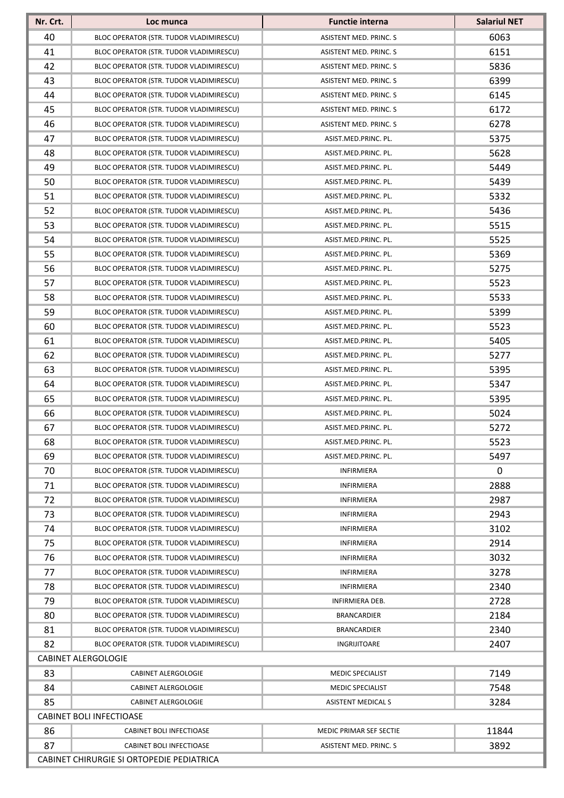| Nr. Crt. | Loc munca                                 | <b>Functie interna</b>        | <b>Salariul NET</b> |  |
|----------|-------------------------------------------|-------------------------------|---------------------|--|
| 40       | BLOC OPERATOR (STR. TUDOR VLADIMIRESCU)   | ASISTENT MED. PRINC. S        | 6063                |  |
| 41       | BLOC OPERATOR (STR. TUDOR VLADIMIRESCU)   | <b>ASISTENT MED. PRINC. S</b> | 6151                |  |
| 42       | BLOC OPERATOR (STR. TUDOR VLADIMIRESCU)   | ASISTENT MED. PRINC. S        | 5836                |  |
| 43       | BLOC OPERATOR (STR. TUDOR VLADIMIRESCU)   | ASISTENT MED. PRINC. S        | 6399                |  |
| 44       | BLOC OPERATOR (STR. TUDOR VLADIMIRESCU)   | ASISTENT MED. PRINC. S        | 6145                |  |
| 45       | BLOC OPERATOR (STR. TUDOR VLADIMIRESCU)   | ASISTENT MED. PRINC. S        | 6172                |  |
| 46       | BLOC OPERATOR (STR. TUDOR VLADIMIRESCU)   | ASISTENT MED. PRINC. S        | 6278                |  |
| 47       | BLOC OPERATOR (STR. TUDOR VLADIMIRESCU)   | ASIST.MED.PRINC. PL.          | 5375                |  |
| 48       | BLOC OPERATOR (STR. TUDOR VLADIMIRESCU)   | ASIST.MED.PRINC. PL.          | 5628                |  |
| 49       | BLOC OPERATOR (STR. TUDOR VLADIMIRESCU)   | ASIST.MED.PRINC. PL.          | 5449                |  |
| 50       | BLOC OPERATOR (STR. TUDOR VLADIMIRESCU)   | ASIST.MED.PRINC. PL.          | 5439                |  |
| 51       | BLOC OPERATOR (STR. TUDOR VLADIMIRESCU)   | ASIST.MED.PRINC. PL.          | 5332                |  |
| 52       | BLOC OPERATOR (STR. TUDOR VLADIMIRESCU)   | ASIST.MED.PRINC. PL.          | 5436                |  |
| 53       | BLOC OPERATOR (STR. TUDOR VLADIMIRESCU)   | ASIST.MED.PRINC. PL.          | 5515                |  |
| 54       | BLOC OPERATOR (STR. TUDOR VLADIMIRESCU)   | ASIST.MED.PRINC. PL.          | 5525                |  |
| 55       | BLOC OPERATOR (STR. TUDOR VLADIMIRESCU)   | ASIST.MED.PRINC. PL.          | 5369                |  |
| 56       | BLOC OPERATOR (STR. TUDOR VLADIMIRESCU)   | ASIST.MED.PRINC. PL.          | 5275                |  |
| 57       | BLOC OPERATOR (STR. TUDOR VLADIMIRESCU)   | ASIST.MED.PRINC. PL.          | 5523                |  |
| 58       | BLOC OPERATOR (STR. TUDOR VLADIMIRESCU)   | ASIST.MED.PRINC. PL.          | 5533                |  |
| 59       | BLOC OPERATOR (STR. TUDOR VLADIMIRESCU)   | ASIST.MED.PRINC. PL.          | 5399                |  |
| 60       | BLOC OPERATOR (STR. TUDOR VLADIMIRESCU)   | ASIST.MED.PRINC. PL.          | 5523                |  |
| 61       | BLOC OPERATOR (STR. TUDOR VLADIMIRESCU)   | ASIST.MED.PRINC. PL.          | 5405                |  |
| 62       | BLOC OPERATOR (STR. TUDOR VLADIMIRESCU)   | ASIST.MED.PRINC. PL.          | 5277                |  |
| 63       | BLOC OPERATOR (STR. TUDOR VLADIMIRESCU)   | ASIST.MED.PRINC. PL.          | 5395                |  |
| 64       | BLOC OPERATOR (STR. TUDOR VLADIMIRESCU)   | ASIST.MED.PRINC. PL.          | 5347                |  |
| 65       | BLOC OPERATOR (STR. TUDOR VLADIMIRESCU)   | ASIST.MED.PRINC. PL.          | 5395                |  |
| 66       | BLOC OPERATOR (STR. TUDOR VLADIMIRESCU)   | ASIST.MED.PRINC. PL.          | 5024                |  |
| 67       | BLOC OPERATOR (STR. TUDOR VLADIMIRESCU)   | ASIST.MED.PRINC. PL.          | 5272                |  |
| 68       | BLOC OPERATOR (STR. TUDOR VLADIMIRESCU)   | ASIST.MED.PRINC. PL.          | 5523                |  |
| 69       | BLOC OPERATOR (STR. TUDOR VLADIMIRESCU)   | ASIST.MED.PRINC. PL.          | 5497                |  |
| 70       | BLOC OPERATOR (STR. TUDOR VLADIMIRESCU)   | <b>INFIRMIERA</b>             | 0                   |  |
| 71       | BLOC OPERATOR (STR. TUDOR VLADIMIRESCU)   | <b>INFIRMIERA</b>             | 2888                |  |
| 72       | BLOC OPERATOR (STR. TUDOR VLADIMIRESCU)   | <b>INFIRMIERA</b>             | 2987                |  |
| 73       | BLOC OPERATOR (STR. TUDOR VLADIMIRESCU)   | INFIRMIERA                    | 2943                |  |
| 74       | BLOC OPERATOR (STR. TUDOR VLADIMIRESCU)   | <b>INFIRMIERA</b>             | 3102                |  |
| 75       | BLOC OPERATOR (STR. TUDOR VLADIMIRESCU)   | <b>INFIRMIERA</b>             | 2914                |  |
| 76       | BLOC OPERATOR (STR. TUDOR VLADIMIRESCU)   | <b>INFIRMIERA</b>             | 3032                |  |
| 77       | BLOC OPERATOR (STR. TUDOR VLADIMIRESCU)   | <b>INFIRMIERA</b>             | 3278                |  |
| 78       | BLOC OPERATOR (STR. TUDOR VLADIMIRESCU)   | INFIRMIERA                    | 2340                |  |
| 79       | BLOC OPERATOR (STR. TUDOR VLADIMIRESCU)   | INFIRMIERA DEB.               | 2728                |  |
| 80       | BLOC OPERATOR (STR. TUDOR VLADIMIRESCU)   | <b>BRANCARDIER</b>            | 2184                |  |
| 81       | BLOC OPERATOR (STR. TUDOR VLADIMIRESCU)   | <b>BRANCARDIER</b>            | 2340                |  |
| 82       | BLOC OPERATOR (STR. TUDOR VLADIMIRESCU)   | INGRIJITOARE                  | 2407                |  |
|          | <b>CABINET ALERGOLOGIE</b>                |                               |                     |  |
| 83       | <b>CABINET ALERGOLOGIE</b>                | <b>MEDIC SPECIALIST</b>       | 7149                |  |
| 84       | CABINET ALERGOLOGIE                       | MEDIC SPECIALIST              | 7548                |  |
| 85       | <b>CABINET ALERGOLOGIE</b>                | <b>ASISTENT MEDICAL S</b>     | 3284                |  |
|          | <b>CABINET BOLI INFECTIOASE</b>           |                               |                     |  |
| 86       | <b>CABINET BOLI INFECTIOASE</b>           | MEDIC PRIMAR SEF SECTIE       | 11844               |  |
| 87       | CABINET BOLI INFECTIOASE                  | ASISTENT MED. PRINC. S        | 3892                |  |
|          | CABINET CHIRURGIE SI ORTOPEDIE PEDIATRICA |                               |                     |  |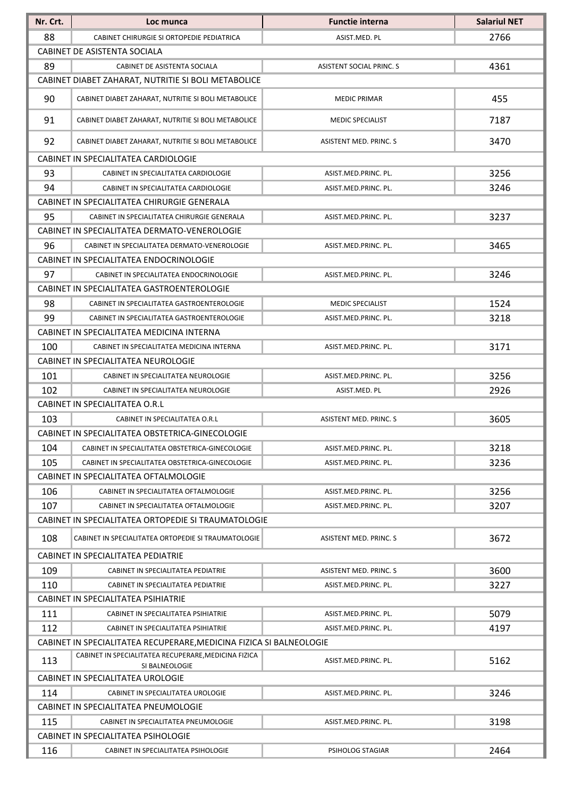| 2766<br>88<br>CABINET CHIRURGIE SI ORTOPEDIE PEDIATRICA<br>ASIST.MED. PL<br>CABINET DE ASISTENTA SOCIALA<br>89<br>4361<br>CABINET DE ASISTENTA SOCIALA<br><b>ASISTENT SOCIAL PRINC. S</b><br>CABINET DIABET ZAHARAT, NUTRITIE SI BOLI METABOLICE<br>90<br>455<br>CABINET DIABET ZAHARAT, NUTRITIE SI BOLI METABOLICE<br><b>MEDIC PRIMAR</b><br>91<br>7187<br>CABINET DIABET ZAHARAT, NUTRITIE SI BOLI METABOLICE<br><b>MEDIC SPECIALIST</b><br>92<br>3470<br>CABINET DIABET ZAHARAT, NUTRITIE SI BOLI METABOLICE<br><b>ASISTENT MED. PRINC. S</b><br>CABINET IN SPECIALITATEA CARDIOLOGIE<br>93<br>3256<br>CABINET IN SPECIALITATEA CARDIOLOGIE<br>ASIST.MED.PRINC. PL.<br>94<br>3246<br>CABINET IN SPECIALITATEA CARDIOLOGIE<br>ASIST.MED.PRINC. PL.<br>CABINET IN SPECIALITATEA CHIRURGIE GENERALA<br>3237<br>95<br>ASIST.MED.PRINC. PL.<br>CABINET IN SPECIALITATEA CHIRURGIE GENERALA<br>CABINET IN SPECIALITATEA DERMATO-VENEROLOGIE<br>96<br>3465<br>CABINET IN SPECIALITATEA DERMATO-VENEROLOGIE<br>ASIST.MED.PRINC. PL.<br>CABINET IN SPECIALITATEA ENDOCRINOLOGIE<br>97<br>3246<br>CABINET IN SPECIALITATEA ENDOCRINOLOGIE<br>ASIST.MED.PRINC. PL.<br>CABINET IN SPECIALITATEA GASTROENTEROLOGIE<br>98<br>1524<br><b>MEDIC SPECIALIST</b><br>CABINET IN SPECIALITATEA GASTROENTEROLOGIE<br>99<br>3218<br>CABINET IN SPECIALITATEA GASTROENTEROLOGIE<br>ASIST.MED.PRINC. PL. | Nr. Crt. | Loc munca | <b>Functie interna</b> | <b>Salariul NET</b> |
|--------------------------------------------------------------------------------------------------------------------------------------------------------------------------------------------------------------------------------------------------------------------------------------------------------------------------------------------------------------------------------------------------------------------------------------------------------------------------------------------------------------------------------------------------------------------------------------------------------------------------------------------------------------------------------------------------------------------------------------------------------------------------------------------------------------------------------------------------------------------------------------------------------------------------------------------------------------------------------------------------------------------------------------------------------------------------------------------------------------------------------------------------------------------------------------------------------------------------------------------------------------------------------------------------------------------------------------------------------------------------------------|----------|-----------|------------------------|---------------------|
|                                                                                                                                                                                                                                                                                                                                                                                                                                                                                                                                                                                                                                                                                                                                                                                                                                                                                                                                                                                                                                                                                                                                                                                                                                                                                                                                                                                      |          |           |                        |                     |
|                                                                                                                                                                                                                                                                                                                                                                                                                                                                                                                                                                                                                                                                                                                                                                                                                                                                                                                                                                                                                                                                                                                                                                                                                                                                                                                                                                                      |          |           |                        |                     |
|                                                                                                                                                                                                                                                                                                                                                                                                                                                                                                                                                                                                                                                                                                                                                                                                                                                                                                                                                                                                                                                                                                                                                                                                                                                                                                                                                                                      |          |           |                        |                     |
|                                                                                                                                                                                                                                                                                                                                                                                                                                                                                                                                                                                                                                                                                                                                                                                                                                                                                                                                                                                                                                                                                                                                                                                                                                                                                                                                                                                      |          |           |                        |                     |
|                                                                                                                                                                                                                                                                                                                                                                                                                                                                                                                                                                                                                                                                                                                                                                                                                                                                                                                                                                                                                                                                                                                                                                                                                                                                                                                                                                                      |          |           |                        |                     |
|                                                                                                                                                                                                                                                                                                                                                                                                                                                                                                                                                                                                                                                                                                                                                                                                                                                                                                                                                                                                                                                                                                                                                                                                                                                                                                                                                                                      |          |           |                        |                     |
|                                                                                                                                                                                                                                                                                                                                                                                                                                                                                                                                                                                                                                                                                                                                                                                                                                                                                                                                                                                                                                                                                                                                                                                                                                                                                                                                                                                      |          |           |                        |                     |
|                                                                                                                                                                                                                                                                                                                                                                                                                                                                                                                                                                                                                                                                                                                                                                                                                                                                                                                                                                                                                                                                                                                                                                                                                                                                                                                                                                                      |          |           |                        |                     |
|                                                                                                                                                                                                                                                                                                                                                                                                                                                                                                                                                                                                                                                                                                                                                                                                                                                                                                                                                                                                                                                                                                                                                                                                                                                                                                                                                                                      |          |           |                        |                     |
|                                                                                                                                                                                                                                                                                                                                                                                                                                                                                                                                                                                                                                                                                                                                                                                                                                                                                                                                                                                                                                                                                                                                                                                                                                                                                                                                                                                      |          |           |                        |                     |
|                                                                                                                                                                                                                                                                                                                                                                                                                                                                                                                                                                                                                                                                                                                                                                                                                                                                                                                                                                                                                                                                                                                                                                                                                                                                                                                                                                                      |          |           |                        |                     |
|                                                                                                                                                                                                                                                                                                                                                                                                                                                                                                                                                                                                                                                                                                                                                                                                                                                                                                                                                                                                                                                                                                                                                                                                                                                                                                                                                                                      |          |           |                        |                     |
|                                                                                                                                                                                                                                                                                                                                                                                                                                                                                                                                                                                                                                                                                                                                                                                                                                                                                                                                                                                                                                                                                                                                                                                                                                                                                                                                                                                      |          |           |                        |                     |
|                                                                                                                                                                                                                                                                                                                                                                                                                                                                                                                                                                                                                                                                                                                                                                                                                                                                                                                                                                                                                                                                                                                                                                                                                                                                                                                                                                                      |          |           |                        |                     |
|                                                                                                                                                                                                                                                                                                                                                                                                                                                                                                                                                                                                                                                                                                                                                                                                                                                                                                                                                                                                                                                                                                                                                                                                                                                                                                                                                                                      |          |           |                        |                     |
|                                                                                                                                                                                                                                                                                                                                                                                                                                                                                                                                                                                                                                                                                                                                                                                                                                                                                                                                                                                                                                                                                                                                                                                                                                                                                                                                                                                      |          |           |                        |                     |
|                                                                                                                                                                                                                                                                                                                                                                                                                                                                                                                                                                                                                                                                                                                                                                                                                                                                                                                                                                                                                                                                                                                                                                                                                                                                                                                                                                                      |          |           |                        |                     |
|                                                                                                                                                                                                                                                                                                                                                                                                                                                                                                                                                                                                                                                                                                                                                                                                                                                                                                                                                                                                                                                                                                                                                                                                                                                                                                                                                                                      |          |           |                        |                     |
|                                                                                                                                                                                                                                                                                                                                                                                                                                                                                                                                                                                                                                                                                                                                                                                                                                                                                                                                                                                                                                                                                                                                                                                                                                                                                                                                                                                      |          |           |                        |                     |
| CABINET IN SPECIALITATEA MEDICINA INTERNA                                                                                                                                                                                                                                                                                                                                                                                                                                                                                                                                                                                                                                                                                                                                                                                                                                                                                                                                                                                                                                                                                                                                                                                                                                                                                                                                            |          |           |                        |                     |
| 100<br>3171<br>CABINET IN SPECIALITATEA MEDICINA INTERNA<br>ASIST.MED.PRINC. PL.                                                                                                                                                                                                                                                                                                                                                                                                                                                                                                                                                                                                                                                                                                                                                                                                                                                                                                                                                                                                                                                                                                                                                                                                                                                                                                     |          |           |                        |                     |
| CABINET IN SPECIALITATEA NEUROLOGIE                                                                                                                                                                                                                                                                                                                                                                                                                                                                                                                                                                                                                                                                                                                                                                                                                                                                                                                                                                                                                                                                                                                                                                                                                                                                                                                                                  |          |           |                        |                     |
| 3256<br>101<br>ASIST.MED.PRINC. PL.<br>CABINET IN SPECIALITATEA NEUROLOGIE                                                                                                                                                                                                                                                                                                                                                                                                                                                                                                                                                                                                                                                                                                                                                                                                                                                                                                                                                                                                                                                                                                                                                                                                                                                                                                           |          |           |                        |                     |
| 102<br>2926<br>CABINET IN SPECIALITATEA NEUROLOGIE<br>ASIST.MED. PL                                                                                                                                                                                                                                                                                                                                                                                                                                                                                                                                                                                                                                                                                                                                                                                                                                                                                                                                                                                                                                                                                                                                                                                                                                                                                                                  |          |           |                        |                     |
| CABINET IN SPECIALITATEA O.R.L                                                                                                                                                                                                                                                                                                                                                                                                                                                                                                                                                                                                                                                                                                                                                                                                                                                                                                                                                                                                                                                                                                                                                                                                                                                                                                                                                       |          |           |                        |                     |
| 3605<br>103<br>CABINET IN SPECIALITATEA O.R.L<br><b>ASISTENT MED. PRINC. S</b>                                                                                                                                                                                                                                                                                                                                                                                                                                                                                                                                                                                                                                                                                                                                                                                                                                                                                                                                                                                                                                                                                                                                                                                                                                                                                                       |          |           |                        |                     |
| CABINET IN SPECIALITATEA OBSTETRICA-GINECOLOGIE                                                                                                                                                                                                                                                                                                                                                                                                                                                                                                                                                                                                                                                                                                                                                                                                                                                                                                                                                                                                                                                                                                                                                                                                                                                                                                                                      |          |           |                        |                     |
| 104<br>3218<br>CABINET IN SPECIALITATEA OBSTETRICA-GINECOLOGIE<br>ASIST.MED.PRINC. PL.                                                                                                                                                                                                                                                                                                                                                                                                                                                                                                                                                                                                                                                                                                                                                                                                                                                                                                                                                                                                                                                                                                                                                                                                                                                                                               |          |           |                        |                     |
| 3236<br>105<br>CABINET IN SPECIALITATEA OBSTETRICA-GINECOLOGIE<br>ASIST.MED.PRINC. PL.                                                                                                                                                                                                                                                                                                                                                                                                                                                                                                                                                                                                                                                                                                                                                                                                                                                                                                                                                                                                                                                                                                                                                                                                                                                                                               |          |           |                        |                     |
| CABINET IN SPECIALITATEA OFTALMOLOGIE                                                                                                                                                                                                                                                                                                                                                                                                                                                                                                                                                                                                                                                                                                                                                                                                                                                                                                                                                                                                                                                                                                                                                                                                                                                                                                                                                |          |           |                        |                     |
| 3256<br>106<br>CABINET IN SPECIALITATEA OFTALMOLOGIE<br>ASIST.MED.PRINC. PL.                                                                                                                                                                                                                                                                                                                                                                                                                                                                                                                                                                                                                                                                                                                                                                                                                                                                                                                                                                                                                                                                                                                                                                                                                                                                                                         |          |           |                        |                     |
| 107<br>3207<br>CABINET IN SPECIALITATEA OFTALMOLOGIE<br>ASIST.MED.PRINC. PL.                                                                                                                                                                                                                                                                                                                                                                                                                                                                                                                                                                                                                                                                                                                                                                                                                                                                                                                                                                                                                                                                                                                                                                                                                                                                                                         |          |           |                        |                     |
| CABINET IN SPECIALITATEA ORTOPEDIE SI TRAUMATOLOGIE                                                                                                                                                                                                                                                                                                                                                                                                                                                                                                                                                                                                                                                                                                                                                                                                                                                                                                                                                                                                                                                                                                                                                                                                                                                                                                                                  |          |           |                        |                     |
| 108<br>3672<br>CABINET IN SPECIALITATEA ORTOPEDIE SI TRAUMATOLOGIE<br>ASISTENT MED. PRINC. S                                                                                                                                                                                                                                                                                                                                                                                                                                                                                                                                                                                                                                                                                                                                                                                                                                                                                                                                                                                                                                                                                                                                                                                                                                                                                         |          |           |                        |                     |
| CABINET IN SPECIALITATEA PEDIATRIE                                                                                                                                                                                                                                                                                                                                                                                                                                                                                                                                                                                                                                                                                                                                                                                                                                                                                                                                                                                                                                                                                                                                                                                                                                                                                                                                                   |          |           |                        |                     |
| 109<br>3600<br>CABINET IN SPECIALITATEA PEDIATRIE<br>ASISTENT MED. PRINC. S                                                                                                                                                                                                                                                                                                                                                                                                                                                                                                                                                                                                                                                                                                                                                                                                                                                                                                                                                                                                                                                                                                                                                                                                                                                                                                          |          |           |                        |                     |
| 3227<br>110<br>ASIST.MED.PRINC. PL.<br>CABINET IN SPECIALITATEA PEDIATRIE                                                                                                                                                                                                                                                                                                                                                                                                                                                                                                                                                                                                                                                                                                                                                                                                                                                                                                                                                                                                                                                                                                                                                                                                                                                                                                            |          |           |                        |                     |
| CABINET IN SPECIALITATEA PSIHIATRIE                                                                                                                                                                                                                                                                                                                                                                                                                                                                                                                                                                                                                                                                                                                                                                                                                                                                                                                                                                                                                                                                                                                                                                                                                                                                                                                                                  |          |           |                        |                     |
| 5079<br>111<br>CABINET IN SPECIALITATEA PSIHIATRIE<br>ASIST.MED.PRINC. PL.                                                                                                                                                                                                                                                                                                                                                                                                                                                                                                                                                                                                                                                                                                                                                                                                                                                                                                                                                                                                                                                                                                                                                                                                                                                                                                           |          |           |                        |                     |
| 112<br>4197<br>CABINET IN SPECIALITATEA PSIHIATRIE<br>ASIST.MED.PRINC. PL.                                                                                                                                                                                                                                                                                                                                                                                                                                                                                                                                                                                                                                                                                                                                                                                                                                                                                                                                                                                                                                                                                                                                                                                                                                                                                                           |          |           |                        |                     |
| CABINET IN SPECIALITATEA RECUPERARE, MEDICINA FIZICA SI BALNEOLOGIE                                                                                                                                                                                                                                                                                                                                                                                                                                                                                                                                                                                                                                                                                                                                                                                                                                                                                                                                                                                                                                                                                                                                                                                                                                                                                                                  |          |           |                        |                     |
| CABINET IN SPECIALITATEA RECUPERARE, MEDICINA FIZICA<br>113<br>5162<br>ASIST.MED.PRINC. PL.<br>SI BALNEOLOGIE                                                                                                                                                                                                                                                                                                                                                                                                                                                                                                                                                                                                                                                                                                                                                                                                                                                                                                                                                                                                                                                                                                                                                                                                                                                                        |          |           |                        |                     |
| CABINET IN SPECIALITATEA UROLOGIE                                                                                                                                                                                                                                                                                                                                                                                                                                                                                                                                                                                                                                                                                                                                                                                                                                                                                                                                                                                                                                                                                                                                                                                                                                                                                                                                                    |          |           |                        |                     |
| 114<br>3246<br>CABINET IN SPECIALITATEA UROLOGIE<br>ASIST.MED.PRINC. PL.                                                                                                                                                                                                                                                                                                                                                                                                                                                                                                                                                                                                                                                                                                                                                                                                                                                                                                                                                                                                                                                                                                                                                                                                                                                                                                             |          |           |                        |                     |
| CABINET IN SPECIALITATEA PNEUMOLOGIE                                                                                                                                                                                                                                                                                                                                                                                                                                                                                                                                                                                                                                                                                                                                                                                                                                                                                                                                                                                                                                                                                                                                                                                                                                                                                                                                                 |          |           |                        |                     |
| 115<br>3198<br>CABINET IN SPECIALITATEA PNEUMOLOGIE<br>ASIST.MED.PRINC. PL.                                                                                                                                                                                                                                                                                                                                                                                                                                                                                                                                                                                                                                                                                                                                                                                                                                                                                                                                                                                                                                                                                                                                                                                                                                                                                                          |          |           |                        |                     |
| CABINET IN SPECIALITATEA PSIHOLOGIE                                                                                                                                                                                                                                                                                                                                                                                                                                                                                                                                                                                                                                                                                                                                                                                                                                                                                                                                                                                                                                                                                                                                                                                                                                                                                                                                                  |          |           |                        |                     |
| 116<br>2464<br>PSIHOLOG STAGIAR<br>CABINET IN SPECIALITATEA PSIHOLOGIE                                                                                                                                                                                                                                                                                                                                                                                                                                                                                                                                                                                                                                                                                                                                                                                                                                                                                                                                                                                                                                                                                                                                                                                                                                                                                                               |          |           |                        |                     |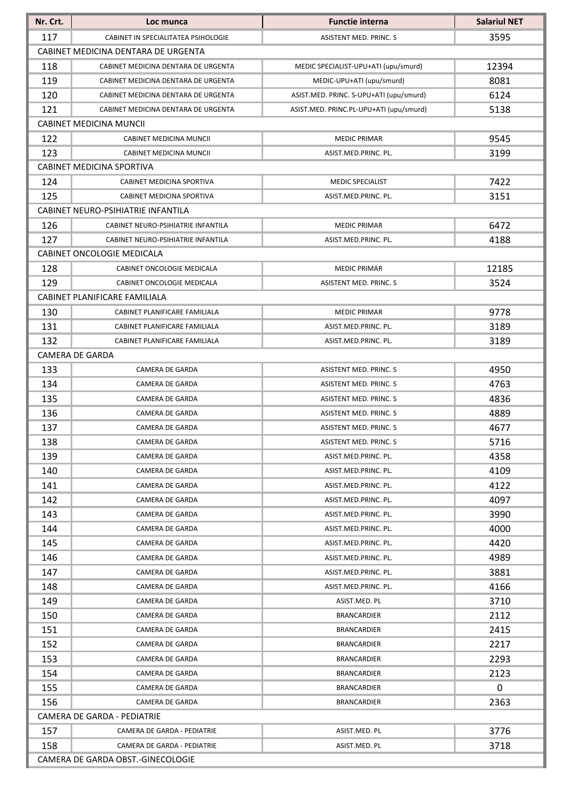| 117<br>3595<br>CABINET IN SPECIALITATEA PSIHOLOGIE<br>ASISTENT MED. PRINC. S<br>CABINET MEDICINA DENTARA DE URGENTA<br>118<br>12394<br>MEDIC SPECIALIST-UPU+ATI (upu/smurd)<br>CABINET MEDICINA DENTARA DE URGENTA<br>119<br>8081<br>MEDIC-UPU+ATI (upu/smurd)<br>CABINET MEDICINA DENTARA DE URGENTA<br>120<br>6124<br>ASIST.MED. PRINC. S-UPU+ATI (upu/smurd)<br>CABINET MEDICINA DENTARA DE URGENTA<br>121<br>5138<br>ASIST.MED. PRINC.PL-UPU+ATI (upu/smurd)<br>CABINET MEDICINA DENTARA DE URGENTA<br><b>CABINET MEDICINA MUNCII</b><br>122<br>9545<br><b>MEDIC PRIMAR</b><br>CABINET MEDICINA MUNCII<br>123<br>3199<br>ASIST.MED.PRINC. PL.<br>CABINET MEDICINA MUNCII<br>CABINET MEDICINA SPORTIVA<br>7422<br>124<br>CABINET MEDICINA SPORTIVA<br><b>MEDIC SPECIALIST</b><br>125<br>3151<br>CABINET MEDICINA SPORTIVA<br>ASIST.MED.PRINC. PL.<br>CABINET NEURO-PSIHIATRIE INFANTILA<br>126<br>6472<br>CABINET NEURO-PSIHIATRIE INFANTILA<br><b>MEDIC PRIMAR</b><br>127<br>4188<br>CABINET NEURO-PSIHIATRIE INFANTILA<br>ASIST.MED.PRINC. PL.<br>CABINET ONCOLOGIE MEDICALA<br>128<br>12185<br>CABINET ONCOLOGIE MEDICALA<br><b>MEDIC PRIMAR</b><br>129<br>3524<br>CABINET ONCOLOGIE MEDICALA<br>ASISTENT MED. PRINC. S<br>CABINET PLANIFICARE FAMILIALA<br>130<br><b>MEDIC PRIMAR</b><br>9778<br>CABINET PLANIFICARE FAMILIALA<br>131<br>3189<br>CABINET PLANIFICARE FAMILIALA<br>ASIST.MED.PRINC. PL.<br>132<br>3189<br>CABINET PLANIFICARE FAMILIALA<br>ASIST.MED.PRINC. PL.<br><b>CAMERA DE GARDA</b><br>133<br>4950<br>CAMERA DE GARDA<br>ASISTENT MED. PRINC. S<br>134<br>4763<br>CAMERA DE GARDA<br>ASISTENT MED. PRINC. S<br>135<br>4836<br>CAMERA DE GARDA<br><b>ASISTENT MED. PRINC. S</b><br>136<br>4889<br>CAMERA DE GARDA<br><b>ASISTENT MED. PRINC. S</b><br>137<br>4677<br>CAMERA DE GARDA<br>ASISTENT MED. PRINC. S<br>138<br>5716<br>CAMERA DE GARDA<br>ASISTENT MED. PRINC. S<br>139<br>CAMERA DE GARDA<br>4358<br>ASIST.MED.PRINC. PL.<br>140<br>4109<br><b>CAMERA DE GARDA</b><br>ASIST.MED.PRINC. PL.<br>4122<br>141<br>CAMERA DE GARDA<br>ASIST.MED.PRINC. PL.<br>142<br>4097<br>CAMERA DE GARDA<br>ASIST.MED.PRINC. PL.<br>3990<br>143<br>ASIST.MED.PRINC. PL.<br>CAMERA DE GARDA<br>4000<br>144<br>CAMERA DE GARDA<br>ASIST.MED.PRINC. PL.<br>4420<br>145<br>CAMERA DE GARDA<br>ASIST.MED.PRINC. PL.<br>146<br>4989<br>CAMERA DE GARDA<br>ASIST.MED.PRINC. PL.<br>147<br>3881<br>CAMERA DE GARDA<br>ASIST.MED.PRINC. PL.<br>4166<br>148<br>CAMERA DE GARDA<br>ASIST.MED.PRINC. PL.<br>3710<br>149<br>ASIST.MED. PL<br>CAMERA DE GARDA<br>150<br>2112<br>CAMERA DE GARDA<br><b>BRANCARDIER</b><br>151<br>2415<br>CAMERA DE GARDA<br><b>BRANCARDIER</b><br>152<br>2217<br>CAMERA DE GARDA<br>BRANCARDIER<br>2293<br>153<br>CAMERA DE GARDA<br><b>BRANCARDIER</b><br>154<br>2123<br>CAMERA DE GARDA<br>BRANCARDIER<br>0<br>155<br>CAMERA DE GARDA<br><b>BRANCARDIER</b><br>156<br>2363<br>CAMERA DE GARDA<br><b>BRANCARDIER</b><br>CAMERA DE GARDA - PEDIATRIE<br>157<br>3776<br>CAMERA DE GARDA - PEDIATRIE<br>ASIST.MED. PL<br>158<br>3718<br>CAMERA DE GARDA - PEDIATRIE<br>ASIST.MED. PL<br>CAMERA DE GARDA OBST.-GINECOLOGIE | Nr. Crt. | Loc munca | <b>Functie interna</b> | <b>Salariul NET</b> |  |  |
|--------------------------------------------------------------------------------------------------------------------------------------------------------------------------------------------------------------------------------------------------------------------------------------------------------------------------------------------------------------------------------------------------------------------------------------------------------------------------------------------------------------------------------------------------------------------------------------------------------------------------------------------------------------------------------------------------------------------------------------------------------------------------------------------------------------------------------------------------------------------------------------------------------------------------------------------------------------------------------------------------------------------------------------------------------------------------------------------------------------------------------------------------------------------------------------------------------------------------------------------------------------------------------------------------------------------------------------------------------------------------------------------------------------------------------------------------------------------------------------------------------------------------------------------------------------------------------------------------------------------------------------------------------------------------------------------------------------------------------------------------------------------------------------------------------------------------------------------------------------------------------------------------------------------------------------------------------------------------------------------------------------------------------------------------------------------------------------------------------------------------------------------------------------------------------------------------------------------------------------------------------------------------------------------------------------------------------------------------------------------------------------------------------------------------------------------------------------------------------------------------------------------------------------------------------------------------------------------------------------------------------------------------------------------------------------------------------------------------------------------------------------------------------------------------------------------------------------------------------------------------------------------------------------------------------------------------------------------------------------------------------------------------------------------------------------------------------------------------------------------------------------------------------------|----------|-----------|------------------------|---------------------|--|--|
|                                                                                                                                                                                                                                                                                                                                                                                                                                                                                                                                                                                                                                                                                                                                                                                                                                                                                                                                                                                                                                                                                                                                                                                                                                                                                                                                                                                                                                                                                                                                                                                                                                                                                                                                                                                                                                                                                                                                                                                                                                                                                                                                                                                                                                                                                                                                                                                                                                                                                                                                                                                                                                                                                                                                                                                                                                                                                                                                                                                                                                                                                                                                                              |          |           |                        |                     |  |  |
|                                                                                                                                                                                                                                                                                                                                                                                                                                                                                                                                                                                                                                                                                                                                                                                                                                                                                                                                                                                                                                                                                                                                                                                                                                                                                                                                                                                                                                                                                                                                                                                                                                                                                                                                                                                                                                                                                                                                                                                                                                                                                                                                                                                                                                                                                                                                                                                                                                                                                                                                                                                                                                                                                                                                                                                                                                                                                                                                                                                                                                                                                                                                                              |          |           |                        |                     |  |  |
|                                                                                                                                                                                                                                                                                                                                                                                                                                                                                                                                                                                                                                                                                                                                                                                                                                                                                                                                                                                                                                                                                                                                                                                                                                                                                                                                                                                                                                                                                                                                                                                                                                                                                                                                                                                                                                                                                                                                                                                                                                                                                                                                                                                                                                                                                                                                                                                                                                                                                                                                                                                                                                                                                                                                                                                                                                                                                                                                                                                                                                                                                                                                                              |          |           |                        |                     |  |  |
|                                                                                                                                                                                                                                                                                                                                                                                                                                                                                                                                                                                                                                                                                                                                                                                                                                                                                                                                                                                                                                                                                                                                                                                                                                                                                                                                                                                                                                                                                                                                                                                                                                                                                                                                                                                                                                                                                                                                                                                                                                                                                                                                                                                                                                                                                                                                                                                                                                                                                                                                                                                                                                                                                                                                                                                                                                                                                                                                                                                                                                                                                                                                                              |          |           |                        |                     |  |  |
|                                                                                                                                                                                                                                                                                                                                                                                                                                                                                                                                                                                                                                                                                                                                                                                                                                                                                                                                                                                                                                                                                                                                                                                                                                                                                                                                                                                                                                                                                                                                                                                                                                                                                                                                                                                                                                                                                                                                                                                                                                                                                                                                                                                                                                                                                                                                                                                                                                                                                                                                                                                                                                                                                                                                                                                                                                                                                                                                                                                                                                                                                                                                                              |          |           |                        |                     |  |  |
|                                                                                                                                                                                                                                                                                                                                                                                                                                                                                                                                                                                                                                                                                                                                                                                                                                                                                                                                                                                                                                                                                                                                                                                                                                                                                                                                                                                                                                                                                                                                                                                                                                                                                                                                                                                                                                                                                                                                                                                                                                                                                                                                                                                                                                                                                                                                                                                                                                                                                                                                                                                                                                                                                                                                                                                                                                                                                                                                                                                                                                                                                                                                                              |          |           |                        |                     |  |  |
|                                                                                                                                                                                                                                                                                                                                                                                                                                                                                                                                                                                                                                                                                                                                                                                                                                                                                                                                                                                                                                                                                                                                                                                                                                                                                                                                                                                                                                                                                                                                                                                                                                                                                                                                                                                                                                                                                                                                                                                                                                                                                                                                                                                                                                                                                                                                                                                                                                                                                                                                                                                                                                                                                                                                                                                                                                                                                                                                                                                                                                                                                                                                                              |          |           |                        |                     |  |  |
|                                                                                                                                                                                                                                                                                                                                                                                                                                                                                                                                                                                                                                                                                                                                                                                                                                                                                                                                                                                                                                                                                                                                                                                                                                                                                                                                                                                                                                                                                                                                                                                                                                                                                                                                                                                                                                                                                                                                                                                                                                                                                                                                                                                                                                                                                                                                                                                                                                                                                                                                                                                                                                                                                                                                                                                                                                                                                                                                                                                                                                                                                                                                                              |          |           |                        |                     |  |  |
|                                                                                                                                                                                                                                                                                                                                                                                                                                                                                                                                                                                                                                                                                                                                                                                                                                                                                                                                                                                                                                                                                                                                                                                                                                                                                                                                                                                                                                                                                                                                                                                                                                                                                                                                                                                                                                                                                                                                                                                                                                                                                                                                                                                                                                                                                                                                                                                                                                                                                                                                                                                                                                                                                                                                                                                                                                                                                                                                                                                                                                                                                                                                                              |          |           |                        |                     |  |  |
|                                                                                                                                                                                                                                                                                                                                                                                                                                                                                                                                                                                                                                                                                                                                                                                                                                                                                                                                                                                                                                                                                                                                                                                                                                                                                                                                                                                                                                                                                                                                                                                                                                                                                                                                                                                                                                                                                                                                                                                                                                                                                                                                                                                                                                                                                                                                                                                                                                                                                                                                                                                                                                                                                                                                                                                                                                                                                                                                                                                                                                                                                                                                                              |          |           |                        |                     |  |  |
|                                                                                                                                                                                                                                                                                                                                                                                                                                                                                                                                                                                                                                                                                                                                                                                                                                                                                                                                                                                                                                                                                                                                                                                                                                                                                                                                                                                                                                                                                                                                                                                                                                                                                                                                                                                                                                                                                                                                                                                                                                                                                                                                                                                                                                                                                                                                                                                                                                                                                                                                                                                                                                                                                                                                                                                                                                                                                                                                                                                                                                                                                                                                                              |          |           |                        |                     |  |  |
|                                                                                                                                                                                                                                                                                                                                                                                                                                                                                                                                                                                                                                                                                                                                                                                                                                                                                                                                                                                                                                                                                                                                                                                                                                                                                                                                                                                                                                                                                                                                                                                                                                                                                                                                                                                                                                                                                                                                                                                                                                                                                                                                                                                                                                                                                                                                                                                                                                                                                                                                                                                                                                                                                                                                                                                                                                                                                                                                                                                                                                                                                                                                                              |          |           |                        |                     |  |  |
|                                                                                                                                                                                                                                                                                                                                                                                                                                                                                                                                                                                                                                                                                                                                                                                                                                                                                                                                                                                                                                                                                                                                                                                                                                                                                                                                                                                                                                                                                                                                                                                                                                                                                                                                                                                                                                                                                                                                                                                                                                                                                                                                                                                                                                                                                                                                                                                                                                                                                                                                                                                                                                                                                                                                                                                                                                                                                                                                                                                                                                                                                                                                                              |          |           |                        |                     |  |  |
|                                                                                                                                                                                                                                                                                                                                                                                                                                                                                                                                                                                                                                                                                                                                                                                                                                                                                                                                                                                                                                                                                                                                                                                                                                                                                                                                                                                                                                                                                                                                                                                                                                                                                                                                                                                                                                                                                                                                                                                                                                                                                                                                                                                                                                                                                                                                                                                                                                                                                                                                                                                                                                                                                                                                                                                                                                                                                                                                                                                                                                                                                                                                                              |          |           |                        |                     |  |  |
|                                                                                                                                                                                                                                                                                                                                                                                                                                                                                                                                                                                                                                                                                                                                                                                                                                                                                                                                                                                                                                                                                                                                                                                                                                                                                                                                                                                                                                                                                                                                                                                                                                                                                                                                                                                                                                                                                                                                                                                                                                                                                                                                                                                                                                                                                                                                                                                                                                                                                                                                                                                                                                                                                                                                                                                                                                                                                                                                                                                                                                                                                                                                                              |          |           |                        |                     |  |  |
|                                                                                                                                                                                                                                                                                                                                                                                                                                                                                                                                                                                                                                                                                                                                                                                                                                                                                                                                                                                                                                                                                                                                                                                                                                                                                                                                                                                                                                                                                                                                                                                                                                                                                                                                                                                                                                                                                                                                                                                                                                                                                                                                                                                                                                                                                                                                                                                                                                                                                                                                                                                                                                                                                                                                                                                                                                                                                                                                                                                                                                                                                                                                                              |          |           |                        |                     |  |  |
|                                                                                                                                                                                                                                                                                                                                                                                                                                                                                                                                                                                                                                                                                                                                                                                                                                                                                                                                                                                                                                                                                                                                                                                                                                                                                                                                                                                                                                                                                                                                                                                                                                                                                                                                                                                                                                                                                                                                                                                                                                                                                                                                                                                                                                                                                                                                                                                                                                                                                                                                                                                                                                                                                                                                                                                                                                                                                                                                                                                                                                                                                                                                                              |          |           |                        |                     |  |  |
|                                                                                                                                                                                                                                                                                                                                                                                                                                                                                                                                                                                                                                                                                                                                                                                                                                                                                                                                                                                                                                                                                                                                                                                                                                                                                                                                                                                                                                                                                                                                                                                                                                                                                                                                                                                                                                                                                                                                                                                                                                                                                                                                                                                                                                                                                                                                                                                                                                                                                                                                                                                                                                                                                                                                                                                                                                                                                                                                                                                                                                                                                                                                                              |          |           |                        |                     |  |  |
|                                                                                                                                                                                                                                                                                                                                                                                                                                                                                                                                                                                                                                                                                                                                                                                                                                                                                                                                                                                                                                                                                                                                                                                                                                                                                                                                                                                                                                                                                                                                                                                                                                                                                                                                                                                                                                                                                                                                                                                                                                                                                                                                                                                                                                                                                                                                                                                                                                                                                                                                                                                                                                                                                                                                                                                                                                                                                                                                                                                                                                                                                                                                                              |          |           |                        |                     |  |  |
|                                                                                                                                                                                                                                                                                                                                                                                                                                                                                                                                                                                                                                                                                                                                                                                                                                                                                                                                                                                                                                                                                                                                                                                                                                                                                                                                                                                                                                                                                                                                                                                                                                                                                                                                                                                                                                                                                                                                                                                                                                                                                                                                                                                                                                                                                                                                                                                                                                                                                                                                                                                                                                                                                                                                                                                                                                                                                                                                                                                                                                                                                                                                                              |          |           |                        |                     |  |  |
|                                                                                                                                                                                                                                                                                                                                                                                                                                                                                                                                                                                                                                                                                                                                                                                                                                                                                                                                                                                                                                                                                                                                                                                                                                                                                                                                                                                                                                                                                                                                                                                                                                                                                                                                                                                                                                                                                                                                                                                                                                                                                                                                                                                                                                                                                                                                                                                                                                                                                                                                                                                                                                                                                                                                                                                                                                                                                                                                                                                                                                                                                                                                                              |          |           |                        |                     |  |  |
|                                                                                                                                                                                                                                                                                                                                                                                                                                                                                                                                                                                                                                                                                                                                                                                                                                                                                                                                                                                                                                                                                                                                                                                                                                                                                                                                                                                                                                                                                                                                                                                                                                                                                                                                                                                                                                                                                                                                                                                                                                                                                                                                                                                                                                                                                                                                                                                                                                                                                                                                                                                                                                                                                                                                                                                                                                                                                                                                                                                                                                                                                                                                                              |          |           |                        |                     |  |  |
|                                                                                                                                                                                                                                                                                                                                                                                                                                                                                                                                                                                                                                                                                                                                                                                                                                                                                                                                                                                                                                                                                                                                                                                                                                                                                                                                                                                                                                                                                                                                                                                                                                                                                                                                                                                                                                                                                                                                                                                                                                                                                                                                                                                                                                                                                                                                                                                                                                                                                                                                                                                                                                                                                                                                                                                                                                                                                                                                                                                                                                                                                                                                                              |          |           |                        |                     |  |  |
|                                                                                                                                                                                                                                                                                                                                                                                                                                                                                                                                                                                                                                                                                                                                                                                                                                                                                                                                                                                                                                                                                                                                                                                                                                                                                                                                                                                                                                                                                                                                                                                                                                                                                                                                                                                                                                                                                                                                                                                                                                                                                                                                                                                                                                                                                                                                                                                                                                                                                                                                                                                                                                                                                                                                                                                                                                                                                                                                                                                                                                                                                                                                                              |          |           |                        |                     |  |  |
|                                                                                                                                                                                                                                                                                                                                                                                                                                                                                                                                                                                                                                                                                                                                                                                                                                                                                                                                                                                                                                                                                                                                                                                                                                                                                                                                                                                                                                                                                                                                                                                                                                                                                                                                                                                                                                                                                                                                                                                                                                                                                                                                                                                                                                                                                                                                                                                                                                                                                                                                                                                                                                                                                                                                                                                                                                                                                                                                                                                                                                                                                                                                                              |          |           |                        |                     |  |  |
|                                                                                                                                                                                                                                                                                                                                                                                                                                                                                                                                                                                                                                                                                                                                                                                                                                                                                                                                                                                                                                                                                                                                                                                                                                                                                                                                                                                                                                                                                                                                                                                                                                                                                                                                                                                                                                                                                                                                                                                                                                                                                                                                                                                                                                                                                                                                                                                                                                                                                                                                                                                                                                                                                                                                                                                                                                                                                                                                                                                                                                                                                                                                                              |          |           |                        |                     |  |  |
|                                                                                                                                                                                                                                                                                                                                                                                                                                                                                                                                                                                                                                                                                                                                                                                                                                                                                                                                                                                                                                                                                                                                                                                                                                                                                                                                                                                                                                                                                                                                                                                                                                                                                                                                                                                                                                                                                                                                                                                                                                                                                                                                                                                                                                                                                                                                                                                                                                                                                                                                                                                                                                                                                                                                                                                                                                                                                                                                                                                                                                                                                                                                                              |          |           |                        |                     |  |  |
|                                                                                                                                                                                                                                                                                                                                                                                                                                                                                                                                                                                                                                                                                                                                                                                                                                                                                                                                                                                                                                                                                                                                                                                                                                                                                                                                                                                                                                                                                                                                                                                                                                                                                                                                                                                                                                                                                                                                                                                                                                                                                                                                                                                                                                                                                                                                                                                                                                                                                                                                                                                                                                                                                                                                                                                                                                                                                                                                                                                                                                                                                                                                                              |          |           |                        |                     |  |  |
|                                                                                                                                                                                                                                                                                                                                                                                                                                                                                                                                                                                                                                                                                                                                                                                                                                                                                                                                                                                                                                                                                                                                                                                                                                                                                                                                                                                                                                                                                                                                                                                                                                                                                                                                                                                                                                                                                                                                                                                                                                                                                                                                                                                                                                                                                                                                                                                                                                                                                                                                                                                                                                                                                                                                                                                                                                                                                                                                                                                                                                                                                                                                                              |          |           |                        |                     |  |  |
|                                                                                                                                                                                                                                                                                                                                                                                                                                                                                                                                                                                                                                                                                                                                                                                                                                                                                                                                                                                                                                                                                                                                                                                                                                                                                                                                                                                                                                                                                                                                                                                                                                                                                                                                                                                                                                                                                                                                                                                                                                                                                                                                                                                                                                                                                                                                                                                                                                                                                                                                                                                                                                                                                                                                                                                                                                                                                                                                                                                                                                                                                                                                                              |          |           |                        |                     |  |  |
|                                                                                                                                                                                                                                                                                                                                                                                                                                                                                                                                                                                                                                                                                                                                                                                                                                                                                                                                                                                                                                                                                                                                                                                                                                                                                                                                                                                                                                                                                                                                                                                                                                                                                                                                                                                                                                                                                                                                                                                                                                                                                                                                                                                                                                                                                                                                                                                                                                                                                                                                                                                                                                                                                                                                                                                                                                                                                                                                                                                                                                                                                                                                                              |          |           |                        |                     |  |  |
|                                                                                                                                                                                                                                                                                                                                                                                                                                                                                                                                                                                                                                                                                                                                                                                                                                                                                                                                                                                                                                                                                                                                                                                                                                                                                                                                                                                                                                                                                                                                                                                                                                                                                                                                                                                                                                                                                                                                                                                                                                                                                                                                                                                                                                                                                                                                                                                                                                                                                                                                                                                                                                                                                                                                                                                                                                                                                                                                                                                                                                                                                                                                                              |          |           |                        |                     |  |  |
|                                                                                                                                                                                                                                                                                                                                                                                                                                                                                                                                                                                                                                                                                                                                                                                                                                                                                                                                                                                                                                                                                                                                                                                                                                                                                                                                                                                                                                                                                                                                                                                                                                                                                                                                                                                                                                                                                                                                                                                                                                                                                                                                                                                                                                                                                                                                                                                                                                                                                                                                                                                                                                                                                                                                                                                                                                                                                                                                                                                                                                                                                                                                                              |          |           |                        |                     |  |  |
|                                                                                                                                                                                                                                                                                                                                                                                                                                                                                                                                                                                                                                                                                                                                                                                                                                                                                                                                                                                                                                                                                                                                                                                                                                                                                                                                                                                                                                                                                                                                                                                                                                                                                                                                                                                                                                                                                                                                                                                                                                                                                                                                                                                                                                                                                                                                                                                                                                                                                                                                                                                                                                                                                                                                                                                                                                                                                                                                                                                                                                                                                                                                                              |          |           |                        |                     |  |  |
|                                                                                                                                                                                                                                                                                                                                                                                                                                                                                                                                                                                                                                                                                                                                                                                                                                                                                                                                                                                                                                                                                                                                                                                                                                                                                                                                                                                                                                                                                                                                                                                                                                                                                                                                                                                                                                                                                                                                                                                                                                                                                                                                                                                                                                                                                                                                                                                                                                                                                                                                                                                                                                                                                                                                                                                                                                                                                                                                                                                                                                                                                                                                                              |          |           |                        |                     |  |  |
|                                                                                                                                                                                                                                                                                                                                                                                                                                                                                                                                                                                                                                                                                                                                                                                                                                                                                                                                                                                                                                                                                                                                                                                                                                                                                                                                                                                                                                                                                                                                                                                                                                                                                                                                                                                                                                                                                                                                                                                                                                                                                                                                                                                                                                                                                                                                                                                                                                                                                                                                                                                                                                                                                                                                                                                                                                                                                                                                                                                                                                                                                                                                                              |          |           |                        |                     |  |  |
|                                                                                                                                                                                                                                                                                                                                                                                                                                                                                                                                                                                                                                                                                                                                                                                                                                                                                                                                                                                                                                                                                                                                                                                                                                                                                                                                                                                                                                                                                                                                                                                                                                                                                                                                                                                                                                                                                                                                                                                                                                                                                                                                                                                                                                                                                                                                                                                                                                                                                                                                                                                                                                                                                                                                                                                                                                                                                                                                                                                                                                                                                                                                                              |          |           |                        |                     |  |  |
|                                                                                                                                                                                                                                                                                                                                                                                                                                                                                                                                                                                                                                                                                                                                                                                                                                                                                                                                                                                                                                                                                                                                                                                                                                                                                                                                                                                                                                                                                                                                                                                                                                                                                                                                                                                                                                                                                                                                                                                                                                                                                                                                                                                                                                                                                                                                                                                                                                                                                                                                                                                                                                                                                                                                                                                                                                                                                                                                                                                                                                                                                                                                                              |          |           |                        |                     |  |  |
|                                                                                                                                                                                                                                                                                                                                                                                                                                                                                                                                                                                                                                                                                                                                                                                                                                                                                                                                                                                                                                                                                                                                                                                                                                                                                                                                                                                                                                                                                                                                                                                                                                                                                                                                                                                                                                                                                                                                                                                                                                                                                                                                                                                                                                                                                                                                                                                                                                                                                                                                                                                                                                                                                                                                                                                                                                                                                                                                                                                                                                                                                                                                                              |          |           |                        |                     |  |  |
|                                                                                                                                                                                                                                                                                                                                                                                                                                                                                                                                                                                                                                                                                                                                                                                                                                                                                                                                                                                                                                                                                                                                                                                                                                                                                                                                                                                                                                                                                                                                                                                                                                                                                                                                                                                                                                                                                                                                                                                                                                                                                                                                                                                                                                                                                                                                                                                                                                                                                                                                                                                                                                                                                                                                                                                                                                                                                                                                                                                                                                                                                                                                                              |          |           |                        |                     |  |  |
|                                                                                                                                                                                                                                                                                                                                                                                                                                                                                                                                                                                                                                                                                                                                                                                                                                                                                                                                                                                                                                                                                                                                                                                                                                                                                                                                                                                                                                                                                                                                                                                                                                                                                                                                                                                                                                                                                                                                                                                                                                                                                                                                                                                                                                                                                                                                                                                                                                                                                                                                                                                                                                                                                                                                                                                                                                                                                                                                                                                                                                                                                                                                                              |          |           |                        |                     |  |  |
|                                                                                                                                                                                                                                                                                                                                                                                                                                                                                                                                                                                                                                                                                                                                                                                                                                                                                                                                                                                                                                                                                                                                                                                                                                                                                                                                                                                                                                                                                                                                                                                                                                                                                                                                                                                                                                                                                                                                                                                                                                                                                                                                                                                                                                                                                                                                                                                                                                                                                                                                                                                                                                                                                                                                                                                                                                                                                                                                                                                                                                                                                                                                                              |          |           |                        |                     |  |  |
|                                                                                                                                                                                                                                                                                                                                                                                                                                                                                                                                                                                                                                                                                                                                                                                                                                                                                                                                                                                                                                                                                                                                                                                                                                                                                                                                                                                                                                                                                                                                                                                                                                                                                                                                                                                                                                                                                                                                                                                                                                                                                                                                                                                                                                                                                                                                                                                                                                                                                                                                                                                                                                                                                                                                                                                                                                                                                                                                                                                                                                                                                                                                                              |          |           |                        |                     |  |  |
|                                                                                                                                                                                                                                                                                                                                                                                                                                                                                                                                                                                                                                                                                                                                                                                                                                                                                                                                                                                                                                                                                                                                                                                                                                                                                                                                                                                                                                                                                                                                                                                                                                                                                                                                                                                                                                                                                                                                                                                                                                                                                                                                                                                                                                                                                                                                                                                                                                                                                                                                                                                                                                                                                                                                                                                                                                                                                                                                                                                                                                                                                                                                                              |          |           |                        |                     |  |  |
|                                                                                                                                                                                                                                                                                                                                                                                                                                                                                                                                                                                                                                                                                                                                                                                                                                                                                                                                                                                                                                                                                                                                                                                                                                                                                                                                                                                                                                                                                                                                                                                                                                                                                                                                                                                                                                                                                                                                                                                                                                                                                                                                                                                                                                                                                                                                                                                                                                                                                                                                                                                                                                                                                                                                                                                                                                                                                                                                                                                                                                                                                                                                                              |          |           |                        |                     |  |  |
|                                                                                                                                                                                                                                                                                                                                                                                                                                                                                                                                                                                                                                                                                                                                                                                                                                                                                                                                                                                                                                                                                                                                                                                                                                                                                                                                                                                                                                                                                                                                                                                                                                                                                                                                                                                                                                                                                                                                                                                                                                                                                                                                                                                                                                                                                                                                                                                                                                                                                                                                                                                                                                                                                                                                                                                                                                                                                                                                                                                                                                                                                                                                                              |          |           |                        |                     |  |  |
|                                                                                                                                                                                                                                                                                                                                                                                                                                                                                                                                                                                                                                                                                                                                                                                                                                                                                                                                                                                                                                                                                                                                                                                                                                                                                                                                                                                                                                                                                                                                                                                                                                                                                                                                                                                                                                                                                                                                                                                                                                                                                                                                                                                                                                                                                                                                                                                                                                                                                                                                                                                                                                                                                                                                                                                                                                                                                                                                                                                                                                                                                                                                                              |          |           |                        |                     |  |  |
|                                                                                                                                                                                                                                                                                                                                                                                                                                                                                                                                                                                                                                                                                                                                                                                                                                                                                                                                                                                                                                                                                                                                                                                                                                                                                                                                                                                                                                                                                                                                                                                                                                                                                                                                                                                                                                                                                                                                                                                                                                                                                                                                                                                                                                                                                                                                                                                                                                                                                                                                                                                                                                                                                                                                                                                                                                                                                                                                                                                                                                                                                                                                                              |          |           |                        |                     |  |  |
|                                                                                                                                                                                                                                                                                                                                                                                                                                                                                                                                                                                                                                                                                                                                                                                                                                                                                                                                                                                                                                                                                                                                                                                                                                                                                                                                                                                                                                                                                                                                                                                                                                                                                                                                                                                                                                                                                                                                                                                                                                                                                                                                                                                                                                                                                                                                                                                                                                                                                                                                                                                                                                                                                                                                                                                                                                                                                                                                                                                                                                                                                                                                                              |          |           |                        |                     |  |  |
|                                                                                                                                                                                                                                                                                                                                                                                                                                                                                                                                                                                                                                                                                                                                                                                                                                                                                                                                                                                                                                                                                                                                                                                                                                                                                                                                                                                                                                                                                                                                                                                                                                                                                                                                                                                                                                                                                                                                                                                                                                                                                                                                                                                                                                                                                                                                                                                                                                                                                                                                                                                                                                                                                                                                                                                                                                                                                                                                                                                                                                                                                                                                                              |          |           |                        |                     |  |  |
|                                                                                                                                                                                                                                                                                                                                                                                                                                                                                                                                                                                                                                                                                                                                                                                                                                                                                                                                                                                                                                                                                                                                                                                                                                                                                                                                                                                                                                                                                                                                                                                                                                                                                                                                                                                                                                                                                                                                                                                                                                                                                                                                                                                                                                                                                                                                                                                                                                                                                                                                                                                                                                                                                                                                                                                                                                                                                                                                                                                                                                                                                                                                                              |          |           |                        |                     |  |  |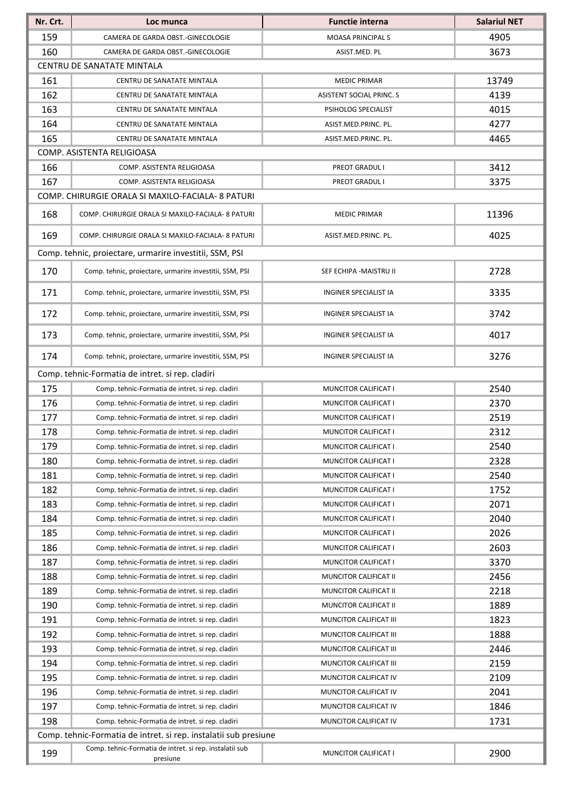| Nr. Crt. | Loc munca                                                           | <b>Functie interna</b>          | <b>Salariul NET</b> |
|----------|---------------------------------------------------------------------|---------------------------------|---------------------|
| 159      | CAMERA DE GARDA OBST.-GINECOLOGIE                                   | <b>MOASA PRINCIPALS</b>         | 4905                |
| 160      | CAMERA DE GARDA OBST.-GINECOLOGIE                                   | ASIST.MED. PL                   | 3673                |
|          | CENTRU DE SANATATE MINTALA                                          |                                 |                     |
| 161      | CENTRU DE SANATATE MINTALA                                          | <b>MEDIC PRIMAR</b>             | 13749               |
| 162      | CENTRU DE SANATATE MINTALA                                          | <b>ASISTENT SOCIAL PRINC. S</b> | 4139                |
| 163      | CENTRU DE SANATATE MINTALA                                          | PSIHOLOG SPECIALIST             | 4015                |
| 164      | CENTRU DE SANATATE MINTALA                                          | ASIST.MED.PRINC. PL.            | 4277                |
| 165      | CENTRU DE SANATATE MINTALA                                          | ASIST.MED.PRINC. PL.            | 4465                |
|          | COMP. ASISTENTA RELIGIOASA                                          |                                 |                     |
| 166      | COMP. ASISTENTA RELIGIOASA                                          | <b>PREOT GRADUL I</b>           | 3412                |
| 167      | COMP. ASISTENTA RELIGIOASA                                          | PREOT GRADUL I                  | 3375                |
|          | COMP. CHIRURGIE ORALA SI MAXILO-FACIALA- 8 PATURI                   |                                 |                     |
| 168      | COMP. CHIRURGIE ORALA SI MAXILO-FACIALA- 8 PATURI                   | <b>MEDIC PRIMAR</b>             | 11396               |
| 169      | COMP. CHIRURGIE ORALA SI MAXILO-FACIALA- 8 PATURI                   | ASIST.MED.PRINC. PL.            | 4025                |
|          | Comp. tehnic, projectare, urmarire investitii, SSM, PSI             |                                 |                     |
| 170      | Comp. tehnic, proiectare, urmarire investitii, SSM, PSI             | SEF ECHIPA - MAISTRU II         | 2728                |
| 171      | Comp. tehnic, proiectare, urmarire investitii, SSM, PSI             | INGINER SPECIALIST IA           | 3335                |
| 172      | Comp. tehnic, proiectare, urmarire investitii, SSM, PSI             | <b>INGINER SPECIALIST IA</b>    | 3742                |
| 173      | Comp. tehnic, proiectare, urmarire investitii, SSM, PSI             | <b>INGINER SPECIALIST IA</b>    | 4017                |
| 174      | Comp. tehnic, proiectare, urmarire investitii, SSM, PSI             | <b>INGINER SPECIALIST IA</b>    | 3276                |
|          | Comp. tehnic-Formatia de intret. si rep. cladiri                    |                                 |                     |
| 175      | Comp. tehnic-Formatia de intret. si rep. cladiri                    | MUNCITOR CALIFICAT I            | 2540                |
| 176      | Comp. tehnic-Formatia de intret. si rep. cladiri                    | MUNCITOR CALIFICAT I            | 2370                |
| 177      | Comp. tehnic-Formatia de intret. si rep. cladiri                    | <b>MUNCITOR CALIFICAT I</b>     | 2519                |
| 178      | Comp. tehnic-Formatia de intret. si rep. cladiri                    | <b>MUNCITOR CALIFICAT I</b>     | 2312                |
| 179      | Comp. tehnic-Formatia de intret. si rep. cladiri                    | MUNCITOR CALIFICAT I            | 2540                |
| 180      | Comp. tehnic-Formatia de intret. si rep. cladiri                    | MUNCITOR CALIFICAT I            | 2328                |
| 181      | Comp. tehnic-Formatia de intret. si rep. cladiri                    | MUNCITOR CALIFICAT I            | 2540                |
| 182      | Comp. tehnic-Formatia de intret. si rep. cladiri                    | MUNCITOR CALIFICAT I            | 1752                |
| 183      | Comp. tehnic-Formatia de intret. si rep. cladiri                    | MUNCITOR CALIFICAT I            | 2071                |
| 184      | Comp. tehnic-Formatia de intret. si rep. cladiri                    | MUNCITOR CALIFICAT I            | 2040                |
| 185      | Comp. tehnic-Formatia de intret. si rep. cladiri                    | MUNCITOR CALIFICAT I            | 2026                |
| 186      | Comp. tehnic-Formatia de intret. si rep. cladiri                    | MUNCITOR CALIFICAT I            | 2603                |
| 187      | Comp. tehnic-Formatia de intret. si rep. cladiri                    | MUNCITOR CALIFICAT I            | 3370                |
| 188      | Comp. tehnic-Formatia de intret. si rep. cladiri                    | MUNCITOR CALIFICAT II           | 2456                |
| 189      | Comp. tehnic-Formatia de intret. si rep. cladiri                    | MUNCITOR CALIFICAT II           | 2218                |
| 190      | Comp. tehnic-Formatia de intret. si rep. cladiri                    | MUNCITOR CALIFICAT II           | 1889                |
| 191      | Comp. tehnic-Formatia de intret. si rep. cladiri                    | MUNCITOR CALIFICAT III          | 1823                |
| 192      | Comp. tehnic-Formatia de intret. si rep. cladiri                    | MUNCITOR CALIFICAT III          | 1888                |
| 193      | Comp. tehnic-Formatia de intret. si rep. cladiri                    | MUNCITOR CALIFICAT III          | 2446                |
| 194      | Comp. tehnic-Formatia de intret. si rep. cladiri                    | MUNCITOR CALIFICAT III          | 2159                |
| 195      | Comp. tehnic-Formatia de intret. si rep. cladiri                    | MUNCITOR CALIFICAT IV           | 2109                |
| 196      | Comp. tehnic-Formatia de intret. si rep. cladiri                    | MUNCITOR CALIFICAT IV           | 2041                |
| 197      | Comp. tehnic-Formatia de intret. si rep. cladiri                    | MUNCITOR CALIFICAT IV           | 1846                |
| 198      | Comp. tehnic-Formatia de intret. si rep. cladiri                    | MUNCITOR CALIFICAT IV           | 1731                |
|          | Comp. tehnic-Formatia de intret. si rep. instalatii sub presiune    |                                 |                     |
| 199      | Comp. tehnic-Formatia de intret. si rep. instalatii sub<br>presiune | MUNCITOR CALIFICAT I            | 2900                |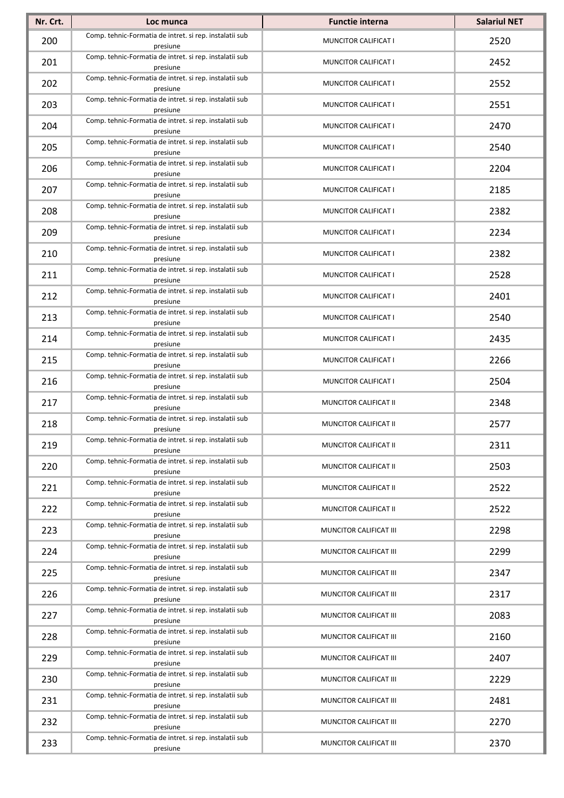| Nr. Crt. | Loc munca                                                           | <b>Functie interna</b>      | <b>Salariul NET</b> |
|----------|---------------------------------------------------------------------|-----------------------------|---------------------|
| 200      | Comp. tehnic-Formatia de intret. si rep. instalatii sub<br>presiune | MUNCITOR CALIFICAT I        | 2520                |
| 201      | Comp. tehnic-Formatia de intret. si rep. instalatii sub<br>presiune | MUNCITOR CALIFICAT I        | 2452                |
| 202      | Comp. tehnic-Formatia de intret. si rep. instalatii sub<br>presiune | MUNCITOR CALIFICAT I        | 2552                |
| 203      | Comp. tehnic-Formatia de intret. si rep. instalatii sub<br>presiune | MUNCITOR CALIFICAT I        | 2551                |
| 204      | Comp. tehnic-Formatia de intret. si rep. instalatii sub<br>presiune | MUNCITOR CALIFICAT I        | 2470                |
| 205      | Comp. tehnic-Formatia de intret. si rep. instalatii sub<br>presiune | MUNCITOR CALIFICAT I        | 2540                |
| 206      | Comp. tehnic-Formatia de intret. si rep. instalatii sub<br>presiune | MUNCITOR CALIFICAT I        | 2204                |
| 207      | Comp. tehnic-Formatia de intret. si rep. instalatii sub<br>presiune | MUNCITOR CALIFICAT I        | 2185                |
| 208      | Comp. tehnic-Formatia de intret. si rep. instalatii sub<br>presiune | MUNCITOR CALIFICAT I        | 2382                |
| 209      | Comp. tehnic-Formatia de intret. si rep. instalatii sub<br>presiune | MUNCITOR CALIFICAT I        | 2234                |
| 210      | Comp. tehnic-Formatia de intret. si rep. instalatii sub<br>presiune | MUNCITOR CALIFICAT I        | 2382                |
| 211      | Comp. tehnic-Formatia de intret. si rep. instalatii sub<br>presiune | <b>MUNCITOR CALIFICAT I</b> | 2528                |
| 212      | Comp. tehnic-Formatia de intret. si rep. instalatii sub<br>presiune | MUNCITOR CALIFICAT I        | 2401                |
| 213      | Comp. tehnic-Formatia de intret. si rep. instalatii sub<br>presiune | MUNCITOR CALIFICAT I        | 2540                |
| 214      | Comp. tehnic-Formatia de intret. si rep. instalatii sub<br>presiune | MUNCITOR CALIFICAT I        | 2435                |
| 215      | Comp. tehnic-Formatia de intret. si rep. instalatii sub<br>presiune | MUNCITOR CALIFICAT I        | 2266                |
| 216      | Comp. tehnic-Formatia de intret. si rep. instalatii sub<br>presiune | MUNCITOR CALIFICAT I        | 2504                |
| 217      | Comp. tehnic-Formatia de intret. si rep. instalatii sub<br>presiune | MUNCITOR CALIFICAT II       | 2348                |
| 218      | Comp. tehnic-Formatia de intret. si rep. instalatii sub<br>presiune | MUNCITOR CALIFICAT II       | 2577                |
| 219      | Comp. tehnic-Formatia de intret. si rep. instalatii sub<br>presiune | MUNCITOR CALIFICAT II       | 2311                |
| 220      | Comp. tehnic-Formatia de intret. si rep. instalatii sub<br>presiune | MUNCITOR CALIFICAT II       | 2503                |
| 221      | Comp. tehnic-Formatia de intret. si rep. instalatii sub<br>presiune | MUNCITOR CALIFICAT II       | 2522                |
| 222      | Comp. tehnic-Formatia de intret. si rep. instalatii sub<br>presiune | MUNCITOR CALIFICAT II       | 2522                |
| 223      | Comp. tehnic-Formatia de intret. si rep. instalatii sub<br>presiune | MUNCITOR CALIFICAT III      | 2298                |
| 224      | Comp. tehnic-Formatia de intret. si rep. instalatii sub<br>presiune | MUNCITOR CALIFICAT III      | 2299                |
| 225      | Comp. tehnic-Formatia de intret. si rep. instalatii sub<br>presiune | MUNCITOR CALIFICAT III      | 2347                |
| 226      | Comp. tehnic-Formatia de intret. si rep. instalatii sub<br>presiune | MUNCITOR CALIFICAT III      | 2317                |
| 227      | Comp. tehnic-Formatia de intret. si rep. instalatii sub<br>presiune | MUNCITOR CALIFICAT III      | 2083                |
| 228      | Comp. tehnic-Formatia de intret. si rep. instalatii sub<br>presiune | MUNCITOR CALIFICAT III      | 2160                |
| 229      | Comp. tehnic-Formatia de intret. si rep. instalatii sub<br>presiune | MUNCITOR CALIFICAT III      | 2407                |
| 230      | Comp. tehnic-Formatia de intret. si rep. instalatii sub<br>presiune | MUNCITOR CALIFICAT III      | 2229                |
| 231      | Comp. tehnic-Formatia de intret. si rep. instalatii sub<br>presiune | MUNCITOR CALIFICAT III      | 2481                |
| 232      | Comp. tehnic-Formatia de intret. si rep. instalatii sub<br>presiune | MUNCITOR CALIFICAT III      | 2270                |
| 233      | Comp. tehnic-Formatia de intret. si rep. instalatii sub<br>presiune | MUNCITOR CALIFICAT III      | 2370                |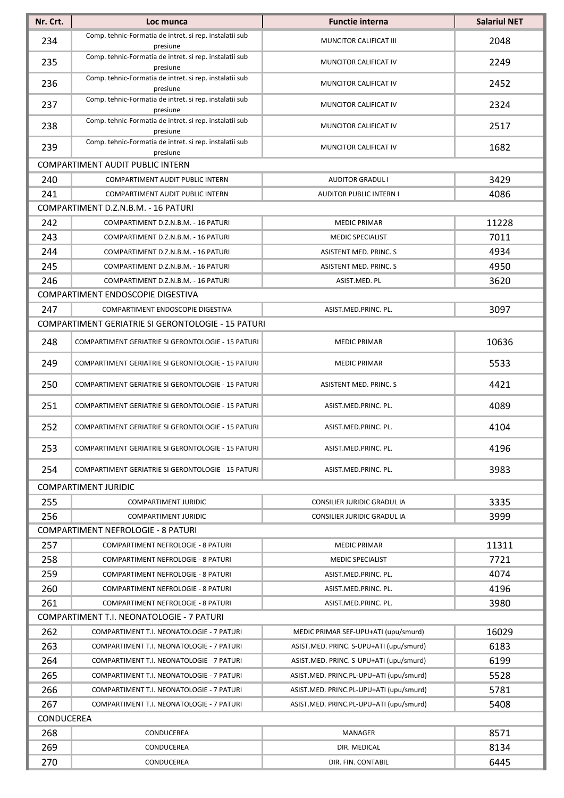| Comp. tehnic-Formatia de intret. si rep. instalatii sub<br>234<br>2048<br>MUNCITOR CALIFICAT III<br>presiune<br>Comp. tehnic-Formatia de intret. si rep. instalatii sub<br>235<br>2249<br>MUNCITOR CALIFICAT IV<br>presiune<br>Comp. tehnic-Formatia de intret. si rep. instalatii sub<br>236<br>2452<br>MUNCITOR CALIFICAT IV<br>presiune<br>Comp. tehnic-Formatia de intret. si rep. instalatii sub<br>237<br>2324<br>MUNCITOR CALIFICAT IV<br>presiune<br>Comp. tehnic-Formatia de intret. si rep. instalatii sub<br>238<br>2517<br>MUNCITOR CALIFICAT IV<br>presiune<br>Comp. tehnic-Formatia de intret. si rep. instalatii sub<br>239<br>1682<br>MUNCITOR CALIFICAT IV<br>presiune<br><b>COMPARTIMENT AUDIT PUBLIC INTERN</b><br>240<br>3429<br><b>AUDITOR GRADUL I</b><br>COMPARTIMENT AUDIT PUBLIC INTERN<br>241<br>4086<br>COMPARTIMENT AUDIT PUBLIC INTERN<br><b>AUDITOR PUBLIC INTERN I</b><br>COMPARTIMENT D.Z.N.B.M. - 16 PATURI<br>11228<br>242<br>COMPARTIMENT D.Z.N.B.M. - 16 PATURI<br><b>MEDIC PRIMAR</b><br>243<br>7011<br><b>MEDIC SPECIALIST</b><br>COMPARTIMENT D.Z.N.B.M. - 16 PATURI<br>244<br>4934<br>COMPARTIMENT D.Z.N.B.M. - 16 PATURI<br>ASISTENT MED. PRINC. S<br>245<br>4950<br>ASISTENT MED. PRINC. S<br>COMPARTIMENT D.Z.N.B.M. - 16 PATURI<br>246<br>3620<br>COMPARTIMENT D.Z.N.B.M. - 16 PATURI<br>ASIST.MED. PL<br>COMPARTIMENT ENDOSCOPIE DIGESTIVA<br>247<br>3097<br>COMPARTIMENT ENDOSCOPIE DIGESTIVA<br>ASIST.MED.PRINC. PL.<br>COMPARTIMENT GERIATRIE SI GERONTOLOGIE - 15 PATURI<br>248<br>10636<br>COMPARTIMENT GERIATRIE SI GERONTOLOGIE - 15 PATURI<br><b>MEDIC PRIMAR</b><br>249<br>5533<br>COMPARTIMENT GERIATRIE SI GERONTOLOGIE - 15 PATURI<br><b>MEDIC PRIMAR</b><br>250<br>4421<br>COMPARTIMENT GERIATRIE SI GERONTOLOGIE - 15 PATURI<br>ASISTENT MED. PRINC. S<br>251<br>4089<br>COMPARTIMENT GERIATRIE SI GERONTOLOGIE - 15 PATURI<br>ASIST.MED.PRINC. PL.<br>252<br>4104<br>COMPARTIMENT GERIATRIE SI GERONTOLOGIE - 15 PATURI<br>ASIST.MED.PRINC. PL.<br>253<br>4196<br>COMPARTIMENT GERIATRIE SI GERONTOLOGIE - 15 PATURI<br>ASIST.MED.PRINC. PL.<br>3983<br>254<br>COMPARTIMENT GERIATRIE SI GERONTOLOGIE - 15 PATURI<br>ASIST.MED.PRINC. PL.<br>COMPARTIMENT JURIDIC<br>3335<br>255<br><b>COMPARTIMENT JURIDIC</b><br><b>CONSILIER JURIDIC GRADUL IA</b><br>256<br>3999<br>COMPARTIMENT JURIDIC<br>CONSILIER JURIDIC GRADUL IA<br><b>COMPARTIMENT NEFROLOGIE - 8 PATURI</b><br>257<br>11311<br><b>COMPARTIMENT NEFROLOGIE - 8 PATURI</b><br><b>MEDIC PRIMAR</b><br>258<br>7721<br>COMPARTIMENT NEFROLOGIE - 8 PATURI<br><b>MEDIC SPECIALIST</b><br>259<br>4074<br>ASIST.MED.PRINC. PL.<br>COMPARTIMENT NEFROLOGIE - 8 PATURI<br>260<br>4196<br>ASIST.MED.PRINC. PL.<br>COMPARTIMENT NEFROLOGIE - 8 PATURI<br>261<br>3980<br>COMPARTIMENT NEFROLOGIE - 8 PATURI<br>ASIST.MED.PRINC. PL.<br>COMPARTIMENT T.I. NEONATOLOGIE - 7 PATURI<br>262<br>16029<br>COMPARTIMENT T.I. NEONATOLOGIE - 7 PATURI<br>MEDIC PRIMAR SEF-UPU+ATI (upu/smurd)<br>263<br>6183<br>COMPARTIMENT T.I. NEONATOLOGIE - 7 PATURI<br>ASIST.MED. PRINC. S-UPU+ATI (upu/smurd)<br>264<br>6199<br>COMPARTIMENT T.I. NEONATOLOGIE - 7 PATURI<br>ASIST.MED. PRINC. S-UPU+ATI (upu/smurd)<br>265<br>5528<br>ASIST.MED. PRINC.PL-UPU+ATI (upu/smurd)<br>COMPARTIMENT T.I. NEONATOLOGIE - 7 PATURI<br>266<br>5781<br>ASIST.MED. PRINC.PL-UPU+ATI (upu/smurd)<br>COMPARTIMENT T.I. NEONATOLOGIE - 7 PATURI<br>267<br>5408<br>COMPARTIMENT T.I. NEONATOLOGIE - 7 PATURI<br>ASIST.MED. PRINC.PL-UPU+ATI (upu/smurd)<br>CONDUCEREA<br>268<br>8571<br>CONDUCEREA<br><b>MANAGER</b><br>269<br>8134<br>CONDUCEREA<br>DIR. MEDICAL | Nr. Crt. | Loc munca | <b>Functie interna</b> | <b>Salariul NET</b> |
|------------------------------------------------------------------------------------------------------------------------------------------------------------------------------------------------------------------------------------------------------------------------------------------------------------------------------------------------------------------------------------------------------------------------------------------------------------------------------------------------------------------------------------------------------------------------------------------------------------------------------------------------------------------------------------------------------------------------------------------------------------------------------------------------------------------------------------------------------------------------------------------------------------------------------------------------------------------------------------------------------------------------------------------------------------------------------------------------------------------------------------------------------------------------------------------------------------------------------------------------------------------------------------------------------------------------------------------------------------------------------------------------------------------------------------------------------------------------------------------------------------------------------------------------------------------------------------------------------------------------------------------------------------------------------------------------------------------------------------------------------------------------------------------------------------------------------------------------------------------------------------------------------------------------------------------------------------------------------------------------------------------------------------------------------------------------------------------------------------------------------------------------------------------------------------------------------------------------------------------------------------------------------------------------------------------------------------------------------------------------------------------------------------------------------------------------------------------------------------------------------------------------------------------------------------------------------------------------------------------------------------------------------------------------------------------------------------------------------------------------------------------------------------------------------------------------------------------------------------------------------------------------------------------------------------------------------------------------------------------------------------------------------------------------------------------------------------------------------------------------------------------------------------------------------------------------------------------------------------------------------------------------------------------------------------------------------------------------------------------------------------------------------------------------------------------------------------------------------------------------------------------------------------------------------------------------------------------------------------------------------------------------|----------|-----------|------------------------|---------------------|
|                                                                                                                                                                                                                                                                                                                                                                                                                                                                                                                                                                                                                                                                                                                                                                                                                                                                                                                                                                                                                                                                                                                                                                                                                                                                                                                                                                                                                                                                                                                                                                                                                                                                                                                                                                                                                                                                                                                                                                                                                                                                                                                                                                                                                                                                                                                                                                                                                                                                                                                                                                                                                                                                                                                                                                                                                                                                                                                                                                                                                                                                                                                                                                                                                                                                                                                                                                                                                                                                                                                                                                                                                                                |          |           |                        |                     |
|                                                                                                                                                                                                                                                                                                                                                                                                                                                                                                                                                                                                                                                                                                                                                                                                                                                                                                                                                                                                                                                                                                                                                                                                                                                                                                                                                                                                                                                                                                                                                                                                                                                                                                                                                                                                                                                                                                                                                                                                                                                                                                                                                                                                                                                                                                                                                                                                                                                                                                                                                                                                                                                                                                                                                                                                                                                                                                                                                                                                                                                                                                                                                                                                                                                                                                                                                                                                                                                                                                                                                                                                                                                |          |           |                        |                     |
|                                                                                                                                                                                                                                                                                                                                                                                                                                                                                                                                                                                                                                                                                                                                                                                                                                                                                                                                                                                                                                                                                                                                                                                                                                                                                                                                                                                                                                                                                                                                                                                                                                                                                                                                                                                                                                                                                                                                                                                                                                                                                                                                                                                                                                                                                                                                                                                                                                                                                                                                                                                                                                                                                                                                                                                                                                                                                                                                                                                                                                                                                                                                                                                                                                                                                                                                                                                                                                                                                                                                                                                                                                                |          |           |                        |                     |
|                                                                                                                                                                                                                                                                                                                                                                                                                                                                                                                                                                                                                                                                                                                                                                                                                                                                                                                                                                                                                                                                                                                                                                                                                                                                                                                                                                                                                                                                                                                                                                                                                                                                                                                                                                                                                                                                                                                                                                                                                                                                                                                                                                                                                                                                                                                                                                                                                                                                                                                                                                                                                                                                                                                                                                                                                                                                                                                                                                                                                                                                                                                                                                                                                                                                                                                                                                                                                                                                                                                                                                                                                                                |          |           |                        |                     |
|                                                                                                                                                                                                                                                                                                                                                                                                                                                                                                                                                                                                                                                                                                                                                                                                                                                                                                                                                                                                                                                                                                                                                                                                                                                                                                                                                                                                                                                                                                                                                                                                                                                                                                                                                                                                                                                                                                                                                                                                                                                                                                                                                                                                                                                                                                                                                                                                                                                                                                                                                                                                                                                                                                                                                                                                                                                                                                                                                                                                                                                                                                                                                                                                                                                                                                                                                                                                                                                                                                                                                                                                                                                |          |           |                        |                     |
|                                                                                                                                                                                                                                                                                                                                                                                                                                                                                                                                                                                                                                                                                                                                                                                                                                                                                                                                                                                                                                                                                                                                                                                                                                                                                                                                                                                                                                                                                                                                                                                                                                                                                                                                                                                                                                                                                                                                                                                                                                                                                                                                                                                                                                                                                                                                                                                                                                                                                                                                                                                                                                                                                                                                                                                                                                                                                                                                                                                                                                                                                                                                                                                                                                                                                                                                                                                                                                                                                                                                                                                                                                                |          |           |                        |                     |
|                                                                                                                                                                                                                                                                                                                                                                                                                                                                                                                                                                                                                                                                                                                                                                                                                                                                                                                                                                                                                                                                                                                                                                                                                                                                                                                                                                                                                                                                                                                                                                                                                                                                                                                                                                                                                                                                                                                                                                                                                                                                                                                                                                                                                                                                                                                                                                                                                                                                                                                                                                                                                                                                                                                                                                                                                                                                                                                                                                                                                                                                                                                                                                                                                                                                                                                                                                                                                                                                                                                                                                                                                                                |          |           |                        |                     |
|                                                                                                                                                                                                                                                                                                                                                                                                                                                                                                                                                                                                                                                                                                                                                                                                                                                                                                                                                                                                                                                                                                                                                                                                                                                                                                                                                                                                                                                                                                                                                                                                                                                                                                                                                                                                                                                                                                                                                                                                                                                                                                                                                                                                                                                                                                                                                                                                                                                                                                                                                                                                                                                                                                                                                                                                                                                                                                                                                                                                                                                                                                                                                                                                                                                                                                                                                                                                                                                                                                                                                                                                                                                |          |           |                        |                     |
|                                                                                                                                                                                                                                                                                                                                                                                                                                                                                                                                                                                                                                                                                                                                                                                                                                                                                                                                                                                                                                                                                                                                                                                                                                                                                                                                                                                                                                                                                                                                                                                                                                                                                                                                                                                                                                                                                                                                                                                                                                                                                                                                                                                                                                                                                                                                                                                                                                                                                                                                                                                                                                                                                                                                                                                                                                                                                                                                                                                                                                                                                                                                                                                                                                                                                                                                                                                                                                                                                                                                                                                                                                                |          |           |                        |                     |
|                                                                                                                                                                                                                                                                                                                                                                                                                                                                                                                                                                                                                                                                                                                                                                                                                                                                                                                                                                                                                                                                                                                                                                                                                                                                                                                                                                                                                                                                                                                                                                                                                                                                                                                                                                                                                                                                                                                                                                                                                                                                                                                                                                                                                                                                                                                                                                                                                                                                                                                                                                                                                                                                                                                                                                                                                                                                                                                                                                                                                                                                                                                                                                                                                                                                                                                                                                                                                                                                                                                                                                                                                                                |          |           |                        |                     |
|                                                                                                                                                                                                                                                                                                                                                                                                                                                                                                                                                                                                                                                                                                                                                                                                                                                                                                                                                                                                                                                                                                                                                                                                                                                                                                                                                                                                                                                                                                                                                                                                                                                                                                                                                                                                                                                                                                                                                                                                                                                                                                                                                                                                                                                                                                                                                                                                                                                                                                                                                                                                                                                                                                                                                                                                                                                                                                                                                                                                                                                                                                                                                                                                                                                                                                                                                                                                                                                                                                                                                                                                                                                |          |           |                        |                     |
|                                                                                                                                                                                                                                                                                                                                                                                                                                                                                                                                                                                                                                                                                                                                                                                                                                                                                                                                                                                                                                                                                                                                                                                                                                                                                                                                                                                                                                                                                                                                                                                                                                                                                                                                                                                                                                                                                                                                                                                                                                                                                                                                                                                                                                                                                                                                                                                                                                                                                                                                                                                                                                                                                                                                                                                                                                                                                                                                                                                                                                                                                                                                                                                                                                                                                                                                                                                                                                                                                                                                                                                                                                                |          |           |                        |                     |
|                                                                                                                                                                                                                                                                                                                                                                                                                                                                                                                                                                                                                                                                                                                                                                                                                                                                                                                                                                                                                                                                                                                                                                                                                                                                                                                                                                                                                                                                                                                                                                                                                                                                                                                                                                                                                                                                                                                                                                                                                                                                                                                                                                                                                                                                                                                                                                                                                                                                                                                                                                                                                                                                                                                                                                                                                                                                                                                                                                                                                                                                                                                                                                                                                                                                                                                                                                                                                                                                                                                                                                                                                                                |          |           |                        |                     |
|                                                                                                                                                                                                                                                                                                                                                                                                                                                                                                                                                                                                                                                                                                                                                                                                                                                                                                                                                                                                                                                                                                                                                                                                                                                                                                                                                                                                                                                                                                                                                                                                                                                                                                                                                                                                                                                                                                                                                                                                                                                                                                                                                                                                                                                                                                                                                                                                                                                                                                                                                                                                                                                                                                                                                                                                                                                                                                                                                                                                                                                                                                                                                                                                                                                                                                                                                                                                                                                                                                                                                                                                                                                |          |           |                        |                     |
|                                                                                                                                                                                                                                                                                                                                                                                                                                                                                                                                                                                                                                                                                                                                                                                                                                                                                                                                                                                                                                                                                                                                                                                                                                                                                                                                                                                                                                                                                                                                                                                                                                                                                                                                                                                                                                                                                                                                                                                                                                                                                                                                                                                                                                                                                                                                                                                                                                                                                                                                                                                                                                                                                                                                                                                                                                                                                                                                                                                                                                                                                                                                                                                                                                                                                                                                                                                                                                                                                                                                                                                                                                                |          |           |                        |                     |
|                                                                                                                                                                                                                                                                                                                                                                                                                                                                                                                                                                                                                                                                                                                                                                                                                                                                                                                                                                                                                                                                                                                                                                                                                                                                                                                                                                                                                                                                                                                                                                                                                                                                                                                                                                                                                                                                                                                                                                                                                                                                                                                                                                                                                                                                                                                                                                                                                                                                                                                                                                                                                                                                                                                                                                                                                                                                                                                                                                                                                                                                                                                                                                                                                                                                                                                                                                                                                                                                                                                                                                                                                                                |          |           |                        |                     |
|                                                                                                                                                                                                                                                                                                                                                                                                                                                                                                                                                                                                                                                                                                                                                                                                                                                                                                                                                                                                                                                                                                                                                                                                                                                                                                                                                                                                                                                                                                                                                                                                                                                                                                                                                                                                                                                                                                                                                                                                                                                                                                                                                                                                                                                                                                                                                                                                                                                                                                                                                                                                                                                                                                                                                                                                                                                                                                                                                                                                                                                                                                                                                                                                                                                                                                                                                                                                                                                                                                                                                                                                                                                |          |           |                        |                     |
|                                                                                                                                                                                                                                                                                                                                                                                                                                                                                                                                                                                                                                                                                                                                                                                                                                                                                                                                                                                                                                                                                                                                                                                                                                                                                                                                                                                                                                                                                                                                                                                                                                                                                                                                                                                                                                                                                                                                                                                                                                                                                                                                                                                                                                                                                                                                                                                                                                                                                                                                                                                                                                                                                                                                                                                                                                                                                                                                                                                                                                                                                                                                                                                                                                                                                                                                                                                                                                                                                                                                                                                                                                                |          |           |                        |                     |
|                                                                                                                                                                                                                                                                                                                                                                                                                                                                                                                                                                                                                                                                                                                                                                                                                                                                                                                                                                                                                                                                                                                                                                                                                                                                                                                                                                                                                                                                                                                                                                                                                                                                                                                                                                                                                                                                                                                                                                                                                                                                                                                                                                                                                                                                                                                                                                                                                                                                                                                                                                                                                                                                                                                                                                                                                                                                                                                                                                                                                                                                                                                                                                                                                                                                                                                                                                                                                                                                                                                                                                                                                                                |          |           |                        |                     |
|                                                                                                                                                                                                                                                                                                                                                                                                                                                                                                                                                                                                                                                                                                                                                                                                                                                                                                                                                                                                                                                                                                                                                                                                                                                                                                                                                                                                                                                                                                                                                                                                                                                                                                                                                                                                                                                                                                                                                                                                                                                                                                                                                                                                                                                                                                                                                                                                                                                                                                                                                                                                                                                                                                                                                                                                                                                                                                                                                                                                                                                                                                                                                                                                                                                                                                                                                                                                                                                                                                                                                                                                                                                |          |           |                        |                     |
|                                                                                                                                                                                                                                                                                                                                                                                                                                                                                                                                                                                                                                                                                                                                                                                                                                                                                                                                                                                                                                                                                                                                                                                                                                                                                                                                                                                                                                                                                                                                                                                                                                                                                                                                                                                                                                                                                                                                                                                                                                                                                                                                                                                                                                                                                                                                                                                                                                                                                                                                                                                                                                                                                                                                                                                                                                                                                                                                                                                                                                                                                                                                                                                                                                                                                                                                                                                                                                                                                                                                                                                                                                                |          |           |                        |                     |
|                                                                                                                                                                                                                                                                                                                                                                                                                                                                                                                                                                                                                                                                                                                                                                                                                                                                                                                                                                                                                                                                                                                                                                                                                                                                                                                                                                                                                                                                                                                                                                                                                                                                                                                                                                                                                                                                                                                                                                                                                                                                                                                                                                                                                                                                                                                                                                                                                                                                                                                                                                                                                                                                                                                                                                                                                                                                                                                                                                                                                                                                                                                                                                                                                                                                                                                                                                                                                                                                                                                                                                                                                                                |          |           |                        |                     |
|                                                                                                                                                                                                                                                                                                                                                                                                                                                                                                                                                                                                                                                                                                                                                                                                                                                                                                                                                                                                                                                                                                                                                                                                                                                                                                                                                                                                                                                                                                                                                                                                                                                                                                                                                                                                                                                                                                                                                                                                                                                                                                                                                                                                                                                                                                                                                                                                                                                                                                                                                                                                                                                                                                                                                                                                                                                                                                                                                                                                                                                                                                                                                                                                                                                                                                                                                                                                                                                                                                                                                                                                                                                |          |           |                        |                     |
|                                                                                                                                                                                                                                                                                                                                                                                                                                                                                                                                                                                                                                                                                                                                                                                                                                                                                                                                                                                                                                                                                                                                                                                                                                                                                                                                                                                                                                                                                                                                                                                                                                                                                                                                                                                                                                                                                                                                                                                                                                                                                                                                                                                                                                                                                                                                                                                                                                                                                                                                                                                                                                                                                                                                                                                                                                                                                                                                                                                                                                                                                                                                                                                                                                                                                                                                                                                                                                                                                                                                                                                                                                                |          |           |                        |                     |
|                                                                                                                                                                                                                                                                                                                                                                                                                                                                                                                                                                                                                                                                                                                                                                                                                                                                                                                                                                                                                                                                                                                                                                                                                                                                                                                                                                                                                                                                                                                                                                                                                                                                                                                                                                                                                                                                                                                                                                                                                                                                                                                                                                                                                                                                                                                                                                                                                                                                                                                                                                                                                                                                                                                                                                                                                                                                                                                                                                                                                                                                                                                                                                                                                                                                                                                                                                                                                                                                                                                                                                                                                                                |          |           |                        |                     |
|                                                                                                                                                                                                                                                                                                                                                                                                                                                                                                                                                                                                                                                                                                                                                                                                                                                                                                                                                                                                                                                                                                                                                                                                                                                                                                                                                                                                                                                                                                                                                                                                                                                                                                                                                                                                                                                                                                                                                                                                                                                                                                                                                                                                                                                                                                                                                                                                                                                                                                                                                                                                                                                                                                                                                                                                                                                                                                                                                                                                                                                                                                                                                                                                                                                                                                                                                                                                                                                                                                                                                                                                                                                |          |           |                        |                     |
|                                                                                                                                                                                                                                                                                                                                                                                                                                                                                                                                                                                                                                                                                                                                                                                                                                                                                                                                                                                                                                                                                                                                                                                                                                                                                                                                                                                                                                                                                                                                                                                                                                                                                                                                                                                                                                                                                                                                                                                                                                                                                                                                                                                                                                                                                                                                                                                                                                                                                                                                                                                                                                                                                                                                                                                                                                                                                                                                                                                                                                                                                                                                                                                                                                                                                                                                                                                                                                                                                                                                                                                                                                                |          |           |                        |                     |
|                                                                                                                                                                                                                                                                                                                                                                                                                                                                                                                                                                                                                                                                                                                                                                                                                                                                                                                                                                                                                                                                                                                                                                                                                                                                                                                                                                                                                                                                                                                                                                                                                                                                                                                                                                                                                                                                                                                                                                                                                                                                                                                                                                                                                                                                                                                                                                                                                                                                                                                                                                                                                                                                                                                                                                                                                                                                                                                                                                                                                                                                                                                                                                                                                                                                                                                                                                                                                                                                                                                                                                                                                                                |          |           |                        |                     |
|                                                                                                                                                                                                                                                                                                                                                                                                                                                                                                                                                                                                                                                                                                                                                                                                                                                                                                                                                                                                                                                                                                                                                                                                                                                                                                                                                                                                                                                                                                                                                                                                                                                                                                                                                                                                                                                                                                                                                                                                                                                                                                                                                                                                                                                                                                                                                                                                                                                                                                                                                                                                                                                                                                                                                                                                                                                                                                                                                                                                                                                                                                                                                                                                                                                                                                                                                                                                                                                                                                                                                                                                                                                |          |           |                        |                     |
|                                                                                                                                                                                                                                                                                                                                                                                                                                                                                                                                                                                                                                                                                                                                                                                                                                                                                                                                                                                                                                                                                                                                                                                                                                                                                                                                                                                                                                                                                                                                                                                                                                                                                                                                                                                                                                                                                                                                                                                                                                                                                                                                                                                                                                                                                                                                                                                                                                                                                                                                                                                                                                                                                                                                                                                                                                                                                                                                                                                                                                                                                                                                                                                                                                                                                                                                                                                                                                                                                                                                                                                                                                                |          |           |                        |                     |
|                                                                                                                                                                                                                                                                                                                                                                                                                                                                                                                                                                                                                                                                                                                                                                                                                                                                                                                                                                                                                                                                                                                                                                                                                                                                                                                                                                                                                                                                                                                                                                                                                                                                                                                                                                                                                                                                                                                                                                                                                                                                                                                                                                                                                                                                                                                                                                                                                                                                                                                                                                                                                                                                                                                                                                                                                                                                                                                                                                                                                                                                                                                                                                                                                                                                                                                                                                                                                                                                                                                                                                                                                                                |          |           |                        |                     |
|                                                                                                                                                                                                                                                                                                                                                                                                                                                                                                                                                                                                                                                                                                                                                                                                                                                                                                                                                                                                                                                                                                                                                                                                                                                                                                                                                                                                                                                                                                                                                                                                                                                                                                                                                                                                                                                                                                                                                                                                                                                                                                                                                                                                                                                                                                                                                                                                                                                                                                                                                                                                                                                                                                                                                                                                                                                                                                                                                                                                                                                                                                                                                                                                                                                                                                                                                                                                                                                                                                                                                                                                                                                |          |           |                        |                     |
|                                                                                                                                                                                                                                                                                                                                                                                                                                                                                                                                                                                                                                                                                                                                                                                                                                                                                                                                                                                                                                                                                                                                                                                                                                                                                                                                                                                                                                                                                                                                                                                                                                                                                                                                                                                                                                                                                                                                                                                                                                                                                                                                                                                                                                                                                                                                                                                                                                                                                                                                                                                                                                                                                                                                                                                                                                                                                                                                                                                                                                                                                                                                                                                                                                                                                                                                                                                                                                                                                                                                                                                                                                                |          |           |                        |                     |
|                                                                                                                                                                                                                                                                                                                                                                                                                                                                                                                                                                                                                                                                                                                                                                                                                                                                                                                                                                                                                                                                                                                                                                                                                                                                                                                                                                                                                                                                                                                                                                                                                                                                                                                                                                                                                                                                                                                                                                                                                                                                                                                                                                                                                                                                                                                                                                                                                                                                                                                                                                                                                                                                                                                                                                                                                                                                                                                                                                                                                                                                                                                                                                                                                                                                                                                                                                                                                                                                                                                                                                                                                                                |          |           |                        |                     |
|                                                                                                                                                                                                                                                                                                                                                                                                                                                                                                                                                                                                                                                                                                                                                                                                                                                                                                                                                                                                                                                                                                                                                                                                                                                                                                                                                                                                                                                                                                                                                                                                                                                                                                                                                                                                                                                                                                                                                                                                                                                                                                                                                                                                                                                                                                                                                                                                                                                                                                                                                                                                                                                                                                                                                                                                                                                                                                                                                                                                                                                                                                                                                                                                                                                                                                                                                                                                                                                                                                                                                                                                                                                |          |           |                        |                     |
|                                                                                                                                                                                                                                                                                                                                                                                                                                                                                                                                                                                                                                                                                                                                                                                                                                                                                                                                                                                                                                                                                                                                                                                                                                                                                                                                                                                                                                                                                                                                                                                                                                                                                                                                                                                                                                                                                                                                                                                                                                                                                                                                                                                                                                                                                                                                                                                                                                                                                                                                                                                                                                                                                                                                                                                                                                                                                                                                                                                                                                                                                                                                                                                                                                                                                                                                                                                                                                                                                                                                                                                                                                                |          |           |                        |                     |
|                                                                                                                                                                                                                                                                                                                                                                                                                                                                                                                                                                                                                                                                                                                                                                                                                                                                                                                                                                                                                                                                                                                                                                                                                                                                                                                                                                                                                                                                                                                                                                                                                                                                                                                                                                                                                                                                                                                                                                                                                                                                                                                                                                                                                                                                                                                                                                                                                                                                                                                                                                                                                                                                                                                                                                                                                                                                                                                                                                                                                                                                                                                                                                                                                                                                                                                                                                                                                                                                                                                                                                                                                                                |          |           |                        |                     |
|                                                                                                                                                                                                                                                                                                                                                                                                                                                                                                                                                                                                                                                                                                                                                                                                                                                                                                                                                                                                                                                                                                                                                                                                                                                                                                                                                                                                                                                                                                                                                                                                                                                                                                                                                                                                                                                                                                                                                                                                                                                                                                                                                                                                                                                                                                                                                                                                                                                                                                                                                                                                                                                                                                                                                                                                                                                                                                                                                                                                                                                                                                                                                                                                                                                                                                                                                                                                                                                                                                                                                                                                                                                |          |           |                        |                     |
|                                                                                                                                                                                                                                                                                                                                                                                                                                                                                                                                                                                                                                                                                                                                                                                                                                                                                                                                                                                                                                                                                                                                                                                                                                                                                                                                                                                                                                                                                                                                                                                                                                                                                                                                                                                                                                                                                                                                                                                                                                                                                                                                                                                                                                                                                                                                                                                                                                                                                                                                                                                                                                                                                                                                                                                                                                                                                                                                                                                                                                                                                                                                                                                                                                                                                                                                                                                                                                                                                                                                                                                                                                                |          |           |                        |                     |
|                                                                                                                                                                                                                                                                                                                                                                                                                                                                                                                                                                                                                                                                                                                                                                                                                                                                                                                                                                                                                                                                                                                                                                                                                                                                                                                                                                                                                                                                                                                                                                                                                                                                                                                                                                                                                                                                                                                                                                                                                                                                                                                                                                                                                                                                                                                                                                                                                                                                                                                                                                                                                                                                                                                                                                                                                                                                                                                                                                                                                                                                                                                                                                                                                                                                                                                                                                                                                                                                                                                                                                                                                                                |          |           |                        |                     |
|                                                                                                                                                                                                                                                                                                                                                                                                                                                                                                                                                                                                                                                                                                                                                                                                                                                                                                                                                                                                                                                                                                                                                                                                                                                                                                                                                                                                                                                                                                                                                                                                                                                                                                                                                                                                                                                                                                                                                                                                                                                                                                                                                                                                                                                                                                                                                                                                                                                                                                                                                                                                                                                                                                                                                                                                                                                                                                                                                                                                                                                                                                                                                                                                                                                                                                                                                                                                                                                                                                                                                                                                                                                |          |           |                        |                     |
|                                                                                                                                                                                                                                                                                                                                                                                                                                                                                                                                                                                                                                                                                                                                                                                                                                                                                                                                                                                                                                                                                                                                                                                                                                                                                                                                                                                                                                                                                                                                                                                                                                                                                                                                                                                                                                                                                                                                                                                                                                                                                                                                                                                                                                                                                                                                                                                                                                                                                                                                                                                                                                                                                                                                                                                                                                                                                                                                                                                                                                                                                                                                                                                                                                                                                                                                                                                                                                                                                                                                                                                                                                                |          |           |                        |                     |
|                                                                                                                                                                                                                                                                                                                                                                                                                                                                                                                                                                                                                                                                                                                                                                                                                                                                                                                                                                                                                                                                                                                                                                                                                                                                                                                                                                                                                                                                                                                                                                                                                                                                                                                                                                                                                                                                                                                                                                                                                                                                                                                                                                                                                                                                                                                                                                                                                                                                                                                                                                                                                                                                                                                                                                                                                                                                                                                                                                                                                                                                                                                                                                                                                                                                                                                                                                                                                                                                                                                                                                                                                                                |          |           |                        |                     |
|                                                                                                                                                                                                                                                                                                                                                                                                                                                                                                                                                                                                                                                                                                                                                                                                                                                                                                                                                                                                                                                                                                                                                                                                                                                                                                                                                                                                                                                                                                                                                                                                                                                                                                                                                                                                                                                                                                                                                                                                                                                                                                                                                                                                                                                                                                                                                                                                                                                                                                                                                                                                                                                                                                                                                                                                                                                                                                                                                                                                                                                                                                                                                                                                                                                                                                                                                                                                                                                                                                                                                                                                                                                |          |           |                        |                     |
| 270<br>6445<br>CONDUCEREA<br>DIR. FIN. CONTABIL                                                                                                                                                                                                                                                                                                                                                                                                                                                                                                                                                                                                                                                                                                                                                                                                                                                                                                                                                                                                                                                                                                                                                                                                                                                                                                                                                                                                                                                                                                                                                                                                                                                                                                                                                                                                                                                                                                                                                                                                                                                                                                                                                                                                                                                                                                                                                                                                                                                                                                                                                                                                                                                                                                                                                                                                                                                                                                                                                                                                                                                                                                                                                                                                                                                                                                                                                                                                                                                                                                                                                                                                |          |           |                        |                     |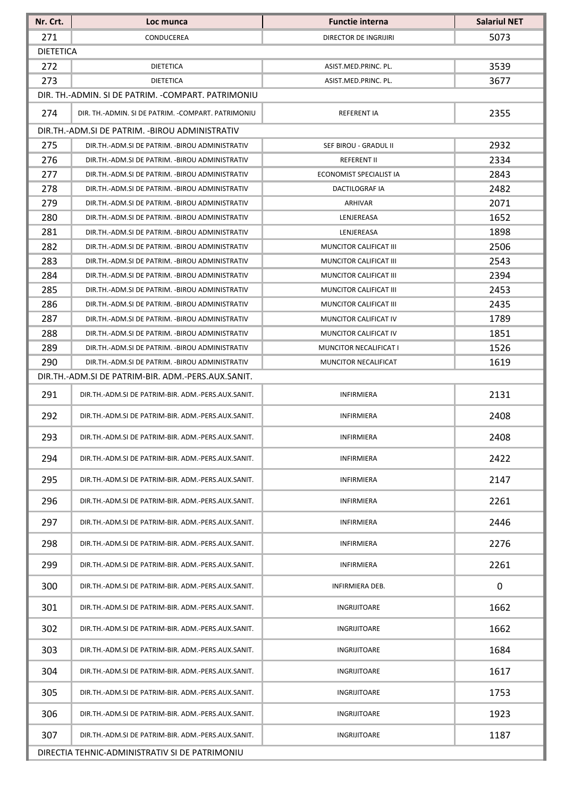| Nr. Crt.                                       | Loc munca                                                                                          | <b>Functie interna</b>                           | <b>Salariul NET</b> |  |  |
|------------------------------------------------|----------------------------------------------------------------------------------------------------|--------------------------------------------------|---------------------|--|--|
| 271                                            | CONDUCEREA                                                                                         | DIRECTOR DE INGRIJIRI                            | 5073                |  |  |
|                                                | <b>DIETETICA</b>                                                                                   |                                                  |                     |  |  |
| 272                                            | DIETETICA                                                                                          | ASIST.MED.PRINC. PL.                             | 3539                |  |  |
| 273                                            | DIETETICA                                                                                          | ASIST.MED.PRINC. PL.                             | 3677                |  |  |
|                                                | DIR. TH.-ADMIN. SI DE PATRIM. -COMPART. PATRIMONIU                                                 |                                                  |                     |  |  |
| 274                                            | DIR. TH.-ADMIN. SI DE PATRIM. - COMPART. PATRIMONIU                                                | REFERENT IA                                      | 2355                |  |  |
|                                                | DIR.TH.-ADM.SI DE PATRIM. -BIROU ADMINISTRATIV                                                     |                                                  |                     |  |  |
| 275                                            | DIR.TH.-ADM.SI DE PATRIM. - BIROU ADMINISTRATIV                                                    | SEF BIROU - GRADUL II                            | 2932                |  |  |
| 276                                            | DIR.TH.-ADM.SI DE PATRIM. - BIROU ADMINISTRATIV                                                    | <b>REFERENT II</b>                               | 2334                |  |  |
| 277                                            | DIR.TH.-ADM.SI DE PATRIM. - BIROU ADMINISTRATIV                                                    | ECONOMIST SPECIALIST IA                          | 2843                |  |  |
| 278                                            | DIR.TH.-ADM.SI DE PATRIM. - BIROU ADMINISTRATIV                                                    | DACTILOGRAF IA                                   | 2482                |  |  |
| 279                                            | DIR.TH.-ADM.SI DE PATRIM. - BIROU ADMINISTRATIV                                                    | ARHIVAR                                          | 2071                |  |  |
| 280                                            | DIR.TH.-ADM.SI DE PATRIM. - BIROU ADMINISTRATIV                                                    | LENJEREASA                                       | 1652                |  |  |
| 281                                            | DIR.TH.-ADM.SI DE PATRIM. - BIROU ADMINISTRATIV                                                    | LENJEREASA                                       | 1898                |  |  |
| 282                                            | DIR.TH.-ADM.SI DE PATRIM. - BIROU ADMINISTRATIV                                                    | MUNCITOR CALIFICAT III                           | 2506                |  |  |
| 283                                            | DIR.TH.-ADM.SI DE PATRIM. -BIROU ADMINISTRATIV                                                     | MUNCITOR CALIFICAT III                           | 2543                |  |  |
| 284<br>285                                     | DIR.TH.-ADM.SI DE PATRIM. - BIROU ADMINISTRATIV<br>DIR.TH.-ADM.SI DE PATRIM. - BIROU ADMINISTRATIV | MUNCITOR CALIFICAT III<br>MUNCITOR CALIFICAT III | 2394                |  |  |
| 286                                            | DIR.TH.-ADM.SI DE PATRIM. - BIROU ADMINISTRATIV                                                    | MUNCITOR CALIFICAT III                           | 2453<br>2435        |  |  |
| 287                                            | DIR.TH.-ADM.SI DE PATRIM. - BIROU ADMINISTRATIV                                                    | MUNCITOR CALIFICAT IV                            | 1789                |  |  |
| 288                                            | DIR.TH.-ADM.SI DE PATRIM. - BIROU ADMINISTRATIV                                                    | MUNCITOR CALIFICAT IV                            | 1851                |  |  |
| 289                                            | DIR.TH.-ADM.SI DE PATRIM. - BIROU ADMINISTRATIV                                                    | MUNCITOR NECALIFICAT I                           | 1526                |  |  |
| 290                                            | DIR.TH.-ADM.SI DE PATRIM. - BIROU ADMINISTRATIV                                                    | MUNCITOR NECALIFICAT                             | 1619                |  |  |
|                                                | DIR.TH.-ADM.SI DE PATRIM-BIR. ADM.-PERS.AUX.SANIT.                                                 |                                                  |                     |  |  |
| 291                                            | DIR.TH.-ADM.SI DE PATRIM-BIR. ADM.-PERS.AUX.SANIT.                                                 | <b>INFIRMIERA</b>                                | 2131                |  |  |
| 292                                            | DIR.TH.-ADM.SI DE PATRIM-BIR. ADM.-PERS.AUX.SANIT.                                                 | <b>INFIRMIERA</b>                                | 2408                |  |  |
| 293                                            | DIR.TH.-ADM.SI DE PATRIM-BIR. ADM.-PERS.AUX.SANIT.                                                 | INFIRMIERA                                       | 2408                |  |  |
| 294                                            | DIR.TH.-ADM.SI DE PATRIM-BIR. ADM.-PERS.AUX.SANIT.                                                 | <b>INFIRMIERA</b>                                | 2422                |  |  |
| 295                                            | DIR.TH.-ADM.SI DE PATRIM-BIR. ADM.-PERS.AUX.SANIT.                                                 | <b>INFIRMIERA</b>                                | 2147                |  |  |
| 296                                            | DIR.TH.-ADM.SI DE PATRIM-BIR. ADM.-PERS.AUX.SANIT.                                                 | <b>INFIRMIERA</b>                                | 2261                |  |  |
| 297                                            | DIR.TH.-ADM.SI DE PATRIM-BIR. ADM.-PERS.AUX.SANIT.                                                 | <b>INFIRMIERA</b>                                | 2446                |  |  |
| 298                                            | DIR.TH.-ADM.SI DE PATRIM-BIR. ADM.-PERS.AUX.SANIT.                                                 | <b>INFIRMIERA</b>                                | 2276                |  |  |
| 299                                            | DIR.TH.-ADM.SI DE PATRIM-BIR. ADM.-PERS.AUX.SANIT.                                                 | <b>INFIRMIERA</b>                                | 2261                |  |  |
| 300                                            | DIR.TH.-ADM.SI DE PATRIM-BIR. ADM.-PERS.AUX.SANIT.                                                 | INFIRMIERA DEB.                                  | 0                   |  |  |
| 301                                            | DIR.TH.-ADM.SI DE PATRIM-BIR. ADM.-PERS.AUX.SANIT.                                                 | <b>INGRIJITOARE</b>                              | 1662                |  |  |
| 302                                            | DIR.TH.-ADM.SI DE PATRIM-BIR. ADM.-PERS.AUX.SANIT.                                                 | INGRIJITOARE                                     | 1662                |  |  |
| 303                                            | DIR.TH.-ADM.SI DE PATRIM-BIR. ADM.-PERS.AUX.SANIT.                                                 | INGRIJITOARE                                     | 1684                |  |  |
| 304                                            | DIR.TH.-ADM.SI DE PATRIM-BIR. ADM.-PERS.AUX.SANIT.                                                 | INGRIJITOARE                                     | 1617                |  |  |
| 305                                            | DIR.TH.-ADM.SI DE PATRIM-BIR. ADM.-PERS.AUX.SANIT.                                                 | INGRIJITOARE                                     | 1753                |  |  |
| 306                                            | DIR.TH.-ADM.SI DE PATRIM-BIR. ADM.-PERS.AUX.SANIT.                                                 | INGRIJITOARE                                     | 1923                |  |  |
| 307                                            | DIR.TH.-ADM.SI DE PATRIM-BIR. ADM.-PERS.AUX.SANIT.                                                 | INGRIJITOARE                                     | 1187                |  |  |
| DIRECTIA TEHNIC-ADMINISTRATIV SI DE PATRIMONIU |                                                                                                    |                                                  |                     |  |  |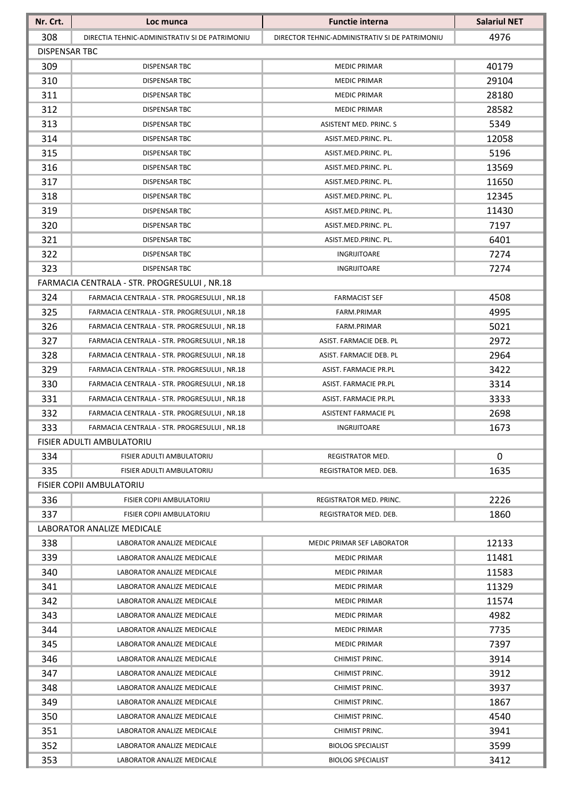| 4976<br>308<br>DIRECTIA TEHNIC-ADMINISTRATIV SI DE PATRIMONIU<br>DIRECTOR TEHNIC-ADMINISTRATIV SI DE PATRIMONIU<br><b>DISPENSAR TBC</b><br>309<br>40179<br><b>MEDIC PRIMAR</b><br><b>DISPENSAR TBC</b><br>310<br>29104<br>DISPENSAR TBC<br><b>MEDIC PRIMAR</b><br>311<br>28180<br>DISPENSAR TBC<br><b>MEDIC PRIMAR</b><br>28582<br>312<br><b>DISPENSAR TBC</b><br><b>MEDIC PRIMAR</b><br>313<br>5349<br><b>DISPENSAR TBC</b><br>ASISTENT MED. PRINC. S<br>314<br>12058<br><b>DISPENSAR TBC</b><br>ASIST.MED.PRINC. PL.<br>315<br>5196<br>DISPENSAR TBC<br>ASIST.MED.PRINC. PL.<br>316<br>13569<br>DISPENSAR TBC<br>ASIST.MED.PRINC. PL. |
|-----------------------------------------------------------------------------------------------------------------------------------------------------------------------------------------------------------------------------------------------------------------------------------------------------------------------------------------------------------------------------------------------------------------------------------------------------------------------------------------------------------------------------------------------------------------------------------------------------------------------------------------|
|                                                                                                                                                                                                                                                                                                                                                                                                                                                                                                                                                                                                                                         |
|                                                                                                                                                                                                                                                                                                                                                                                                                                                                                                                                                                                                                                         |
|                                                                                                                                                                                                                                                                                                                                                                                                                                                                                                                                                                                                                                         |
|                                                                                                                                                                                                                                                                                                                                                                                                                                                                                                                                                                                                                                         |
|                                                                                                                                                                                                                                                                                                                                                                                                                                                                                                                                                                                                                                         |
|                                                                                                                                                                                                                                                                                                                                                                                                                                                                                                                                                                                                                                         |
|                                                                                                                                                                                                                                                                                                                                                                                                                                                                                                                                                                                                                                         |
|                                                                                                                                                                                                                                                                                                                                                                                                                                                                                                                                                                                                                                         |
|                                                                                                                                                                                                                                                                                                                                                                                                                                                                                                                                                                                                                                         |
|                                                                                                                                                                                                                                                                                                                                                                                                                                                                                                                                                                                                                                         |
| 317<br>11650<br>DISPENSAR TBC<br>ASIST.MED.PRINC. PL.                                                                                                                                                                                                                                                                                                                                                                                                                                                                                                                                                                                   |
| 318<br>12345<br><b>DISPENSAR TBC</b><br>ASIST.MED.PRINC. PL.                                                                                                                                                                                                                                                                                                                                                                                                                                                                                                                                                                            |
| 319<br>11430<br>DISPENSAR TBC<br>ASIST.MED.PRINC. PL.                                                                                                                                                                                                                                                                                                                                                                                                                                                                                                                                                                                   |
| 320<br>7197<br><b>DISPENSAR TBC</b><br>ASIST.MED.PRINC. PL.                                                                                                                                                                                                                                                                                                                                                                                                                                                                                                                                                                             |
| 321<br>6401<br>DISPENSAR TBC<br>ASIST.MED.PRINC. PL.                                                                                                                                                                                                                                                                                                                                                                                                                                                                                                                                                                                    |
| 322<br>7274<br><b>DISPENSAR TBC</b><br>INGRIJITOARE                                                                                                                                                                                                                                                                                                                                                                                                                                                                                                                                                                                     |
| 323<br>7274<br>DISPENSAR TBC<br>INGRIJITOARE                                                                                                                                                                                                                                                                                                                                                                                                                                                                                                                                                                                            |
| FARMACIA CENTRALA - STR. PROGRESULUI, NR.18                                                                                                                                                                                                                                                                                                                                                                                                                                                                                                                                                                                             |
| 324<br>4508<br>FARMACIA CENTRALA - STR. PROGRESULUI, NR.18<br><b>FARMACIST SEF</b>                                                                                                                                                                                                                                                                                                                                                                                                                                                                                                                                                      |
| 325<br>4995<br>FARMACIA CENTRALA - STR. PROGRESULUI, NR.18<br>FARM.PRIMAR                                                                                                                                                                                                                                                                                                                                                                                                                                                                                                                                                               |
| 326<br>5021<br>FARM.PRIMAR<br>FARMACIA CENTRALA - STR. PROGRESULUI, NR.18                                                                                                                                                                                                                                                                                                                                                                                                                                                                                                                                                               |
| 327<br>2972<br>FARMACIA CENTRALA - STR. PROGRESULUI, NR.18<br>ASIST. FARMACIE DEB. PL                                                                                                                                                                                                                                                                                                                                                                                                                                                                                                                                                   |
| 328<br>2964<br>FARMACIA CENTRALA - STR. PROGRESULUI, NR.18<br>ASIST. FARMACIE DEB. PL                                                                                                                                                                                                                                                                                                                                                                                                                                                                                                                                                   |
| 329<br>3422<br>FARMACIA CENTRALA - STR. PROGRESULUI, NR.18<br>ASIST. FARMACIE PR.PL                                                                                                                                                                                                                                                                                                                                                                                                                                                                                                                                                     |
| 330<br>3314<br>FARMACIA CENTRALA - STR. PROGRESULUI, NR.18<br>ASIST. FARMACIE PR.PL                                                                                                                                                                                                                                                                                                                                                                                                                                                                                                                                                     |
| 331<br>3333<br>FARMACIA CENTRALA - STR. PROGRESULUI, NR.18<br>ASIST. FARMACIE PR.PL                                                                                                                                                                                                                                                                                                                                                                                                                                                                                                                                                     |
| 332<br>2698<br>FARMACIA CENTRALA - STR. PROGRESULUI, NR.18<br><b>ASISTENT FARMACIE PL</b>                                                                                                                                                                                                                                                                                                                                                                                                                                                                                                                                               |
| 333<br>1673<br>FARMACIA CENTRALA - STR. PROGRESULUI, NR.18<br>INGRIJITOARE                                                                                                                                                                                                                                                                                                                                                                                                                                                                                                                                                              |
| FISIER ADULTI AMBULATORIU                                                                                                                                                                                                                                                                                                                                                                                                                                                                                                                                                                                                               |
| 0<br>334<br>FISIER ADULTI AMBULATORIU<br><b>REGISTRATOR MED.</b>                                                                                                                                                                                                                                                                                                                                                                                                                                                                                                                                                                        |
| 335<br>1635<br>FISIER ADULTI AMBULATORIU<br>REGISTRATOR MED. DEB.                                                                                                                                                                                                                                                                                                                                                                                                                                                                                                                                                                       |
| FISIER COPII AMBULATORIU                                                                                                                                                                                                                                                                                                                                                                                                                                                                                                                                                                                                                |
| 2226<br>336<br><b>FISIER COPII AMBULATORIU</b><br>REGISTRATOR MED. PRINC.                                                                                                                                                                                                                                                                                                                                                                                                                                                                                                                                                               |
| 337<br>1860<br>FISIER COPII AMBULATORIU<br>REGISTRATOR MED. DEB.                                                                                                                                                                                                                                                                                                                                                                                                                                                                                                                                                                        |
| LABORATOR ANALIZE MEDICALE                                                                                                                                                                                                                                                                                                                                                                                                                                                                                                                                                                                                              |
| 12133<br>338<br>LABORATOR ANALIZE MEDICALE<br>MEDIC PRIMAR SEF LABORATOR                                                                                                                                                                                                                                                                                                                                                                                                                                                                                                                                                                |
| 339<br>11481<br>LABORATOR ANALIZE MEDICALE<br><b>MEDIC PRIMAR</b>                                                                                                                                                                                                                                                                                                                                                                                                                                                                                                                                                                       |
| 340<br>11583<br>LABORATOR ANALIZE MEDICALE<br><b>MEDIC PRIMAR</b>                                                                                                                                                                                                                                                                                                                                                                                                                                                                                                                                                                       |
| 11329<br>341<br>LABORATOR ANALIZE MEDICALE<br><b>MEDIC PRIMAR</b>                                                                                                                                                                                                                                                                                                                                                                                                                                                                                                                                                                       |
| 342<br>11574<br>LABORATOR ANALIZE MEDICALE<br><b>MEDIC PRIMAR</b>                                                                                                                                                                                                                                                                                                                                                                                                                                                                                                                                                                       |
| 4982<br>343<br>LABORATOR ANALIZE MEDICALE<br><b>MEDIC PRIMAR</b>                                                                                                                                                                                                                                                                                                                                                                                                                                                                                                                                                                        |
| 7735<br>344<br>LABORATOR ANALIZE MEDICALE<br><b>MEDIC PRIMAR</b>                                                                                                                                                                                                                                                                                                                                                                                                                                                                                                                                                                        |
| 7397<br>345<br>LABORATOR ANALIZE MEDICALE<br><b>MEDIC PRIMAR</b>                                                                                                                                                                                                                                                                                                                                                                                                                                                                                                                                                                        |
| 3914<br>346<br>LABORATOR ANALIZE MEDICALE<br>CHIMIST PRINC.                                                                                                                                                                                                                                                                                                                                                                                                                                                                                                                                                                             |
| 3912<br>347<br>LABORATOR ANALIZE MEDICALE<br>CHIMIST PRINC.                                                                                                                                                                                                                                                                                                                                                                                                                                                                                                                                                                             |
| 3937<br>348<br>LABORATOR ANALIZE MEDICALE<br>CHIMIST PRINC.                                                                                                                                                                                                                                                                                                                                                                                                                                                                                                                                                                             |
| 349<br>1867<br>LABORATOR ANALIZE MEDICALE<br>CHIMIST PRINC.                                                                                                                                                                                                                                                                                                                                                                                                                                                                                                                                                                             |
| 350<br>LABORATOR ANALIZE MEDICALE<br>4540<br>CHIMIST PRINC.                                                                                                                                                                                                                                                                                                                                                                                                                                                                                                                                                                             |
| 351<br>3941<br>LABORATOR ANALIZE MEDICALE<br>CHIMIST PRINC.                                                                                                                                                                                                                                                                                                                                                                                                                                                                                                                                                                             |
| 352<br>3599<br>LABORATOR ANALIZE MEDICALE<br><b>BIOLOG SPECIALIST</b>                                                                                                                                                                                                                                                                                                                                                                                                                                                                                                                                                                   |
| 353<br>3412<br>LABORATOR ANALIZE MEDICALE<br><b>BIOLOG SPECIALIST</b>                                                                                                                                                                                                                                                                                                                                                                                                                                                                                                                                                                   |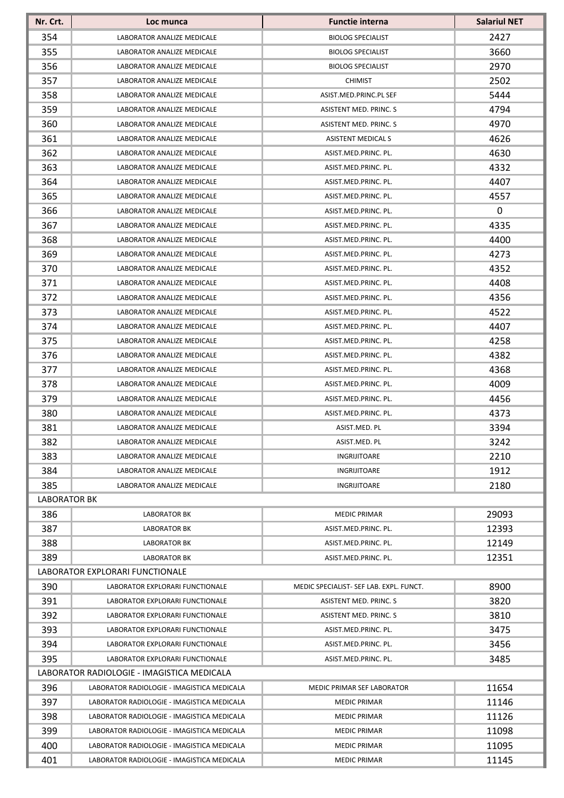| 354<br>2427<br><b>BIOLOG SPECIALIST</b><br>LABORATOR ANALIZE MEDICALE<br>355<br>3660<br>LABORATOR ANALIZE MEDICALE<br><b>BIOLOG SPECIALIST</b><br>356<br>2970<br>LABORATOR ANALIZE MEDICALE<br><b>BIOLOG SPECIALIST</b><br>357<br>2502<br>LABORATOR ANALIZE MEDICALE<br><b>CHIMIST</b><br>358<br>5444<br>LABORATOR ANALIZE MEDICALE<br>ASIST.MED.PRINC.PL SEF<br>359<br>4794<br><b>ASISTENT MED. PRINC. S</b><br>LABORATOR ANALIZE MEDICALE<br>360<br>4970<br>LABORATOR ANALIZE MEDICALE<br><b>ASISTENT MED. PRINC. S</b><br>361<br>4626<br><b>LABORATOR ANALIZE MEDICALE</b><br><b>ASISTENT MEDICAL S</b><br>362<br>4630<br>LABORATOR ANALIZE MEDICALE<br>ASIST.MED.PRINC. PL.<br>363<br>4332<br>LABORATOR ANALIZE MEDICALE<br>ASIST.MED.PRINC. PL.<br>364<br>4407<br>LABORATOR ANALIZE MEDICALE<br>ASIST.MED.PRINC. PL.<br>365<br>4557<br>LABORATOR ANALIZE MEDICALE<br>ASIST.MED.PRINC. PL.<br>366<br>0<br>ASIST.MED.PRINC. PL.<br>LABORATOR ANALIZE MEDICALE<br>367<br>4335<br>LABORATOR ANALIZE MEDICALE<br>ASIST.MED.PRINC. PL.<br>368<br>4400<br>LABORATOR ANALIZE MEDICALE<br>ASIST.MED.PRINC. PL.<br>369<br>4273<br>LABORATOR ANALIZE MEDICALE<br>ASIST.MED.PRINC. PL.<br>370<br>4352<br>LABORATOR ANALIZE MEDICALE<br>ASIST.MED.PRINC. PL.<br>371<br>4408<br><b>LABORATOR ANALIZE MEDICALE</b><br>ASIST.MED.PRINC. PL.<br>372<br>4356<br>LABORATOR ANALIZE MEDICALE<br>ASIST.MED.PRINC. PL.<br>373<br>4522<br>LABORATOR ANALIZE MEDICALE<br>ASIST.MED.PRINC. PL.<br>374<br>4407<br>LABORATOR ANALIZE MEDICALE<br>ASIST.MED.PRINC. PL.<br>375<br>4258<br>LABORATOR ANALIZE MEDICALE<br>ASIST.MED.PRINC. PL.<br>4382<br>376<br>LABORATOR ANALIZE MEDICALE<br>ASIST.MED.PRINC. PL.<br>377<br>4368<br>ASIST.MED.PRINC. PL.<br>LABORATOR ANALIZE MEDICALE<br>378<br>4009<br>LABORATOR ANALIZE MEDICALE<br>ASIST.MED.PRINC. PL.<br>379<br>4456<br>LABORATOR ANALIZE MEDICALE<br>ASIST.MED.PRINC. PL.<br>380<br>LABORATOR ANALIZE MEDICALE<br>4373<br>ASIST.MED.PRINC. PL.<br>381<br>3394<br>LABORATOR ANALIZE MEDICALE<br>ASIST.MED. PL<br>382<br>3242<br>LABORATOR ANALIZE MEDICALE<br>ASIST.MED. PL<br>383<br>2210<br>LABORATOR ANALIZE MEDICALE<br>INGRIJITOARE<br>1912<br>384<br>LABORATOR ANALIZE MEDICALE<br>INGRIJITOARE<br>385<br>2180<br>LABORATOR ANALIZE MEDICALE<br><b>INGRIJITOARE</b><br><b>LABORATOR BK</b><br>386<br>29093<br><b>LABORATOR BK</b><br><b>MEDIC PRIMAR</b><br>387<br>12393<br><b>LABORATOR BK</b><br>ASIST.MED.PRINC. PL.<br>388<br>12149<br><b>LABORATOR BK</b><br>ASIST.MED.PRINC. PL.<br>389<br>12351<br><b>LABORATOR BK</b><br>ASIST.MED.PRINC. PL.<br>LABORATOR EXPLORARI FUNCTIONALE<br>390<br>8900<br>LABORATOR EXPLORARI FUNCTIONALE<br>MEDIC SPECIALIST- SEF LAB. EXPL. FUNCT.<br>391<br>3820<br>LABORATOR EXPLORARI FUNCTIONALE<br>ASISTENT MED. PRINC. S<br>392<br>3810<br>LABORATOR EXPLORARI FUNCTIONALE<br>ASISTENT MED. PRINC. S<br>393<br>3475<br>LABORATOR EXPLORARI FUNCTIONALE<br>ASIST.MED.PRINC. PL.<br>394<br>3456<br>LABORATOR EXPLORARI FUNCTIONALE<br>ASIST.MED.PRINC. PL.<br>395<br>3485<br>LABORATOR EXPLORARI FUNCTIONALE<br>ASIST.MED.PRINC. PL.<br>LABORATOR RADIOLOGIE - IMAGISTICA MEDICALA<br>396<br>11654<br>LABORATOR RADIOLOGIE - IMAGISTICA MEDICALA<br>MEDIC PRIMAR SEF LABORATOR<br>397<br>11146<br>LABORATOR RADIOLOGIE - IMAGISTICA MEDICALA<br><b>MEDIC PRIMAR</b><br>398<br>11126<br>LABORATOR RADIOLOGIE - IMAGISTICA MEDICALA<br><b>MEDIC PRIMAR</b><br>399<br>11098<br>LABORATOR RADIOLOGIE - IMAGISTICA MEDICALA<br><b>MEDIC PRIMAR</b><br><b>MEDIC PRIMAR</b><br>LABORATOR RADIOLOGIE - IMAGISTICA MEDICALA | Nr. Crt. | Loc munca | <b>Functie interna</b> | <b>Salariul NET</b> |
|-----------------------------------------------------------------------------------------------------------------------------------------------------------------------------------------------------------------------------------------------------------------------------------------------------------------------------------------------------------------------------------------------------------------------------------------------------------------------------------------------------------------------------------------------------------------------------------------------------------------------------------------------------------------------------------------------------------------------------------------------------------------------------------------------------------------------------------------------------------------------------------------------------------------------------------------------------------------------------------------------------------------------------------------------------------------------------------------------------------------------------------------------------------------------------------------------------------------------------------------------------------------------------------------------------------------------------------------------------------------------------------------------------------------------------------------------------------------------------------------------------------------------------------------------------------------------------------------------------------------------------------------------------------------------------------------------------------------------------------------------------------------------------------------------------------------------------------------------------------------------------------------------------------------------------------------------------------------------------------------------------------------------------------------------------------------------------------------------------------------------------------------------------------------------------------------------------------------------------------------------------------------------------------------------------------------------------------------------------------------------------------------------------------------------------------------------------------------------------------------------------------------------------------------------------------------------------------------------------------------------------------------------------------------------------------------------------------------------------------------------------------------------------------------------------------------------------------------------------------------------------------------------------------------------------------------------------------------------------------------------------------------------------------------------------------------------------------------------------------------------------------------------------------------------------------------------------------------------------------------------------------------------------------------------------------------------------------------------------------------------------------------------------------------------------------------------------------------------------------------------------------------------------------------------------------------------------------------------|----------|-----------|------------------------|---------------------|
|                                                                                                                                                                                                                                                                                                                                                                                                                                                                                                                                                                                                                                                                                                                                                                                                                                                                                                                                                                                                                                                                                                                                                                                                                                                                                                                                                                                                                                                                                                                                                                                                                                                                                                                                                                                                                                                                                                                                                                                                                                                                                                                                                                                                                                                                                                                                                                                                                                                                                                                                                                                                                                                                                                                                                                                                                                                                                                                                                                                                                                                                                                                                                                                                                                                                                                                                                                                                                                                                                                                                                                                               |          |           |                        |                     |
|                                                                                                                                                                                                                                                                                                                                                                                                                                                                                                                                                                                                                                                                                                                                                                                                                                                                                                                                                                                                                                                                                                                                                                                                                                                                                                                                                                                                                                                                                                                                                                                                                                                                                                                                                                                                                                                                                                                                                                                                                                                                                                                                                                                                                                                                                                                                                                                                                                                                                                                                                                                                                                                                                                                                                                                                                                                                                                                                                                                                                                                                                                                                                                                                                                                                                                                                                                                                                                                                                                                                                                                               |          |           |                        |                     |
|                                                                                                                                                                                                                                                                                                                                                                                                                                                                                                                                                                                                                                                                                                                                                                                                                                                                                                                                                                                                                                                                                                                                                                                                                                                                                                                                                                                                                                                                                                                                                                                                                                                                                                                                                                                                                                                                                                                                                                                                                                                                                                                                                                                                                                                                                                                                                                                                                                                                                                                                                                                                                                                                                                                                                                                                                                                                                                                                                                                                                                                                                                                                                                                                                                                                                                                                                                                                                                                                                                                                                                                               |          |           |                        |                     |
|                                                                                                                                                                                                                                                                                                                                                                                                                                                                                                                                                                                                                                                                                                                                                                                                                                                                                                                                                                                                                                                                                                                                                                                                                                                                                                                                                                                                                                                                                                                                                                                                                                                                                                                                                                                                                                                                                                                                                                                                                                                                                                                                                                                                                                                                                                                                                                                                                                                                                                                                                                                                                                                                                                                                                                                                                                                                                                                                                                                                                                                                                                                                                                                                                                                                                                                                                                                                                                                                                                                                                                                               |          |           |                        |                     |
|                                                                                                                                                                                                                                                                                                                                                                                                                                                                                                                                                                                                                                                                                                                                                                                                                                                                                                                                                                                                                                                                                                                                                                                                                                                                                                                                                                                                                                                                                                                                                                                                                                                                                                                                                                                                                                                                                                                                                                                                                                                                                                                                                                                                                                                                                                                                                                                                                                                                                                                                                                                                                                                                                                                                                                                                                                                                                                                                                                                                                                                                                                                                                                                                                                                                                                                                                                                                                                                                                                                                                                                               |          |           |                        |                     |
|                                                                                                                                                                                                                                                                                                                                                                                                                                                                                                                                                                                                                                                                                                                                                                                                                                                                                                                                                                                                                                                                                                                                                                                                                                                                                                                                                                                                                                                                                                                                                                                                                                                                                                                                                                                                                                                                                                                                                                                                                                                                                                                                                                                                                                                                                                                                                                                                                                                                                                                                                                                                                                                                                                                                                                                                                                                                                                                                                                                                                                                                                                                                                                                                                                                                                                                                                                                                                                                                                                                                                                                               |          |           |                        |                     |
|                                                                                                                                                                                                                                                                                                                                                                                                                                                                                                                                                                                                                                                                                                                                                                                                                                                                                                                                                                                                                                                                                                                                                                                                                                                                                                                                                                                                                                                                                                                                                                                                                                                                                                                                                                                                                                                                                                                                                                                                                                                                                                                                                                                                                                                                                                                                                                                                                                                                                                                                                                                                                                                                                                                                                                                                                                                                                                                                                                                                                                                                                                                                                                                                                                                                                                                                                                                                                                                                                                                                                                                               |          |           |                        |                     |
|                                                                                                                                                                                                                                                                                                                                                                                                                                                                                                                                                                                                                                                                                                                                                                                                                                                                                                                                                                                                                                                                                                                                                                                                                                                                                                                                                                                                                                                                                                                                                                                                                                                                                                                                                                                                                                                                                                                                                                                                                                                                                                                                                                                                                                                                                                                                                                                                                                                                                                                                                                                                                                                                                                                                                                                                                                                                                                                                                                                                                                                                                                                                                                                                                                                                                                                                                                                                                                                                                                                                                                                               |          |           |                        |                     |
|                                                                                                                                                                                                                                                                                                                                                                                                                                                                                                                                                                                                                                                                                                                                                                                                                                                                                                                                                                                                                                                                                                                                                                                                                                                                                                                                                                                                                                                                                                                                                                                                                                                                                                                                                                                                                                                                                                                                                                                                                                                                                                                                                                                                                                                                                                                                                                                                                                                                                                                                                                                                                                                                                                                                                                                                                                                                                                                                                                                                                                                                                                                                                                                                                                                                                                                                                                                                                                                                                                                                                                                               |          |           |                        |                     |
|                                                                                                                                                                                                                                                                                                                                                                                                                                                                                                                                                                                                                                                                                                                                                                                                                                                                                                                                                                                                                                                                                                                                                                                                                                                                                                                                                                                                                                                                                                                                                                                                                                                                                                                                                                                                                                                                                                                                                                                                                                                                                                                                                                                                                                                                                                                                                                                                                                                                                                                                                                                                                                                                                                                                                                                                                                                                                                                                                                                                                                                                                                                                                                                                                                                                                                                                                                                                                                                                                                                                                                                               |          |           |                        |                     |
|                                                                                                                                                                                                                                                                                                                                                                                                                                                                                                                                                                                                                                                                                                                                                                                                                                                                                                                                                                                                                                                                                                                                                                                                                                                                                                                                                                                                                                                                                                                                                                                                                                                                                                                                                                                                                                                                                                                                                                                                                                                                                                                                                                                                                                                                                                                                                                                                                                                                                                                                                                                                                                                                                                                                                                                                                                                                                                                                                                                                                                                                                                                                                                                                                                                                                                                                                                                                                                                                                                                                                                                               |          |           |                        |                     |
|                                                                                                                                                                                                                                                                                                                                                                                                                                                                                                                                                                                                                                                                                                                                                                                                                                                                                                                                                                                                                                                                                                                                                                                                                                                                                                                                                                                                                                                                                                                                                                                                                                                                                                                                                                                                                                                                                                                                                                                                                                                                                                                                                                                                                                                                                                                                                                                                                                                                                                                                                                                                                                                                                                                                                                                                                                                                                                                                                                                                                                                                                                                                                                                                                                                                                                                                                                                                                                                                                                                                                                                               |          |           |                        |                     |
|                                                                                                                                                                                                                                                                                                                                                                                                                                                                                                                                                                                                                                                                                                                                                                                                                                                                                                                                                                                                                                                                                                                                                                                                                                                                                                                                                                                                                                                                                                                                                                                                                                                                                                                                                                                                                                                                                                                                                                                                                                                                                                                                                                                                                                                                                                                                                                                                                                                                                                                                                                                                                                                                                                                                                                                                                                                                                                                                                                                                                                                                                                                                                                                                                                                                                                                                                                                                                                                                                                                                                                                               |          |           |                        |                     |
|                                                                                                                                                                                                                                                                                                                                                                                                                                                                                                                                                                                                                                                                                                                                                                                                                                                                                                                                                                                                                                                                                                                                                                                                                                                                                                                                                                                                                                                                                                                                                                                                                                                                                                                                                                                                                                                                                                                                                                                                                                                                                                                                                                                                                                                                                                                                                                                                                                                                                                                                                                                                                                                                                                                                                                                                                                                                                                                                                                                                                                                                                                                                                                                                                                                                                                                                                                                                                                                                                                                                                                                               |          |           |                        |                     |
|                                                                                                                                                                                                                                                                                                                                                                                                                                                                                                                                                                                                                                                                                                                                                                                                                                                                                                                                                                                                                                                                                                                                                                                                                                                                                                                                                                                                                                                                                                                                                                                                                                                                                                                                                                                                                                                                                                                                                                                                                                                                                                                                                                                                                                                                                                                                                                                                                                                                                                                                                                                                                                                                                                                                                                                                                                                                                                                                                                                                                                                                                                                                                                                                                                                                                                                                                                                                                                                                                                                                                                                               |          |           |                        |                     |
|                                                                                                                                                                                                                                                                                                                                                                                                                                                                                                                                                                                                                                                                                                                                                                                                                                                                                                                                                                                                                                                                                                                                                                                                                                                                                                                                                                                                                                                                                                                                                                                                                                                                                                                                                                                                                                                                                                                                                                                                                                                                                                                                                                                                                                                                                                                                                                                                                                                                                                                                                                                                                                                                                                                                                                                                                                                                                                                                                                                                                                                                                                                                                                                                                                                                                                                                                                                                                                                                                                                                                                                               |          |           |                        |                     |
|                                                                                                                                                                                                                                                                                                                                                                                                                                                                                                                                                                                                                                                                                                                                                                                                                                                                                                                                                                                                                                                                                                                                                                                                                                                                                                                                                                                                                                                                                                                                                                                                                                                                                                                                                                                                                                                                                                                                                                                                                                                                                                                                                                                                                                                                                                                                                                                                                                                                                                                                                                                                                                                                                                                                                                                                                                                                                                                                                                                                                                                                                                                                                                                                                                                                                                                                                                                                                                                                                                                                                                                               |          |           |                        |                     |
|                                                                                                                                                                                                                                                                                                                                                                                                                                                                                                                                                                                                                                                                                                                                                                                                                                                                                                                                                                                                                                                                                                                                                                                                                                                                                                                                                                                                                                                                                                                                                                                                                                                                                                                                                                                                                                                                                                                                                                                                                                                                                                                                                                                                                                                                                                                                                                                                                                                                                                                                                                                                                                                                                                                                                                                                                                                                                                                                                                                                                                                                                                                                                                                                                                                                                                                                                                                                                                                                                                                                                                                               |          |           |                        |                     |
|                                                                                                                                                                                                                                                                                                                                                                                                                                                                                                                                                                                                                                                                                                                                                                                                                                                                                                                                                                                                                                                                                                                                                                                                                                                                                                                                                                                                                                                                                                                                                                                                                                                                                                                                                                                                                                                                                                                                                                                                                                                                                                                                                                                                                                                                                                                                                                                                                                                                                                                                                                                                                                                                                                                                                                                                                                                                                                                                                                                                                                                                                                                                                                                                                                                                                                                                                                                                                                                                                                                                                                                               |          |           |                        |                     |
|                                                                                                                                                                                                                                                                                                                                                                                                                                                                                                                                                                                                                                                                                                                                                                                                                                                                                                                                                                                                                                                                                                                                                                                                                                                                                                                                                                                                                                                                                                                                                                                                                                                                                                                                                                                                                                                                                                                                                                                                                                                                                                                                                                                                                                                                                                                                                                                                                                                                                                                                                                                                                                                                                                                                                                                                                                                                                                                                                                                                                                                                                                                                                                                                                                                                                                                                                                                                                                                                                                                                                                                               |          |           |                        |                     |
|                                                                                                                                                                                                                                                                                                                                                                                                                                                                                                                                                                                                                                                                                                                                                                                                                                                                                                                                                                                                                                                                                                                                                                                                                                                                                                                                                                                                                                                                                                                                                                                                                                                                                                                                                                                                                                                                                                                                                                                                                                                                                                                                                                                                                                                                                                                                                                                                                                                                                                                                                                                                                                                                                                                                                                                                                                                                                                                                                                                                                                                                                                                                                                                                                                                                                                                                                                                                                                                                                                                                                                                               |          |           |                        |                     |
|                                                                                                                                                                                                                                                                                                                                                                                                                                                                                                                                                                                                                                                                                                                                                                                                                                                                                                                                                                                                                                                                                                                                                                                                                                                                                                                                                                                                                                                                                                                                                                                                                                                                                                                                                                                                                                                                                                                                                                                                                                                                                                                                                                                                                                                                                                                                                                                                                                                                                                                                                                                                                                                                                                                                                                                                                                                                                                                                                                                                                                                                                                                                                                                                                                                                                                                                                                                                                                                                                                                                                                                               |          |           |                        |                     |
|                                                                                                                                                                                                                                                                                                                                                                                                                                                                                                                                                                                                                                                                                                                                                                                                                                                                                                                                                                                                                                                                                                                                                                                                                                                                                                                                                                                                                                                                                                                                                                                                                                                                                                                                                                                                                                                                                                                                                                                                                                                                                                                                                                                                                                                                                                                                                                                                                                                                                                                                                                                                                                                                                                                                                                                                                                                                                                                                                                                                                                                                                                                                                                                                                                                                                                                                                                                                                                                                                                                                                                                               |          |           |                        |                     |
|                                                                                                                                                                                                                                                                                                                                                                                                                                                                                                                                                                                                                                                                                                                                                                                                                                                                                                                                                                                                                                                                                                                                                                                                                                                                                                                                                                                                                                                                                                                                                                                                                                                                                                                                                                                                                                                                                                                                                                                                                                                                                                                                                                                                                                                                                                                                                                                                                                                                                                                                                                                                                                                                                                                                                                                                                                                                                                                                                                                                                                                                                                                                                                                                                                                                                                                                                                                                                                                                                                                                                                                               |          |           |                        |                     |
|                                                                                                                                                                                                                                                                                                                                                                                                                                                                                                                                                                                                                                                                                                                                                                                                                                                                                                                                                                                                                                                                                                                                                                                                                                                                                                                                                                                                                                                                                                                                                                                                                                                                                                                                                                                                                                                                                                                                                                                                                                                                                                                                                                                                                                                                                                                                                                                                                                                                                                                                                                                                                                                                                                                                                                                                                                                                                                                                                                                                                                                                                                                                                                                                                                                                                                                                                                                                                                                                                                                                                                                               |          |           |                        |                     |
|                                                                                                                                                                                                                                                                                                                                                                                                                                                                                                                                                                                                                                                                                                                                                                                                                                                                                                                                                                                                                                                                                                                                                                                                                                                                                                                                                                                                                                                                                                                                                                                                                                                                                                                                                                                                                                                                                                                                                                                                                                                                                                                                                                                                                                                                                                                                                                                                                                                                                                                                                                                                                                                                                                                                                                                                                                                                                                                                                                                                                                                                                                                                                                                                                                                                                                                                                                                                                                                                                                                                                                                               |          |           |                        |                     |
|                                                                                                                                                                                                                                                                                                                                                                                                                                                                                                                                                                                                                                                                                                                                                                                                                                                                                                                                                                                                                                                                                                                                                                                                                                                                                                                                                                                                                                                                                                                                                                                                                                                                                                                                                                                                                                                                                                                                                                                                                                                                                                                                                                                                                                                                                                                                                                                                                                                                                                                                                                                                                                                                                                                                                                                                                                                                                                                                                                                                                                                                                                                                                                                                                                                                                                                                                                                                                                                                                                                                                                                               |          |           |                        |                     |
|                                                                                                                                                                                                                                                                                                                                                                                                                                                                                                                                                                                                                                                                                                                                                                                                                                                                                                                                                                                                                                                                                                                                                                                                                                                                                                                                                                                                                                                                                                                                                                                                                                                                                                                                                                                                                                                                                                                                                                                                                                                                                                                                                                                                                                                                                                                                                                                                                                                                                                                                                                                                                                                                                                                                                                                                                                                                                                                                                                                                                                                                                                                                                                                                                                                                                                                                                                                                                                                                                                                                                                                               |          |           |                        |                     |
|                                                                                                                                                                                                                                                                                                                                                                                                                                                                                                                                                                                                                                                                                                                                                                                                                                                                                                                                                                                                                                                                                                                                                                                                                                                                                                                                                                                                                                                                                                                                                                                                                                                                                                                                                                                                                                                                                                                                                                                                                                                                                                                                                                                                                                                                                                                                                                                                                                                                                                                                                                                                                                                                                                                                                                                                                                                                                                                                                                                                                                                                                                                                                                                                                                                                                                                                                                                                                                                                                                                                                                                               |          |           |                        |                     |
|                                                                                                                                                                                                                                                                                                                                                                                                                                                                                                                                                                                                                                                                                                                                                                                                                                                                                                                                                                                                                                                                                                                                                                                                                                                                                                                                                                                                                                                                                                                                                                                                                                                                                                                                                                                                                                                                                                                                                                                                                                                                                                                                                                                                                                                                                                                                                                                                                                                                                                                                                                                                                                                                                                                                                                                                                                                                                                                                                                                                                                                                                                                                                                                                                                                                                                                                                                                                                                                                                                                                                                                               |          |           |                        |                     |
|                                                                                                                                                                                                                                                                                                                                                                                                                                                                                                                                                                                                                                                                                                                                                                                                                                                                                                                                                                                                                                                                                                                                                                                                                                                                                                                                                                                                                                                                                                                                                                                                                                                                                                                                                                                                                                                                                                                                                                                                                                                                                                                                                                                                                                                                                                                                                                                                                                                                                                                                                                                                                                                                                                                                                                                                                                                                                                                                                                                                                                                                                                                                                                                                                                                                                                                                                                                                                                                                                                                                                                                               |          |           |                        |                     |
|                                                                                                                                                                                                                                                                                                                                                                                                                                                                                                                                                                                                                                                                                                                                                                                                                                                                                                                                                                                                                                                                                                                                                                                                                                                                                                                                                                                                                                                                                                                                                                                                                                                                                                                                                                                                                                                                                                                                                                                                                                                                                                                                                                                                                                                                                                                                                                                                                                                                                                                                                                                                                                                                                                                                                                                                                                                                                                                                                                                                                                                                                                                                                                                                                                                                                                                                                                                                                                                                                                                                                                                               |          |           |                        |                     |
|                                                                                                                                                                                                                                                                                                                                                                                                                                                                                                                                                                                                                                                                                                                                                                                                                                                                                                                                                                                                                                                                                                                                                                                                                                                                                                                                                                                                                                                                                                                                                                                                                                                                                                                                                                                                                                                                                                                                                                                                                                                                                                                                                                                                                                                                                                                                                                                                                                                                                                                                                                                                                                                                                                                                                                                                                                                                                                                                                                                                                                                                                                                                                                                                                                                                                                                                                                                                                                                                                                                                                                                               |          |           |                        |                     |
|                                                                                                                                                                                                                                                                                                                                                                                                                                                                                                                                                                                                                                                                                                                                                                                                                                                                                                                                                                                                                                                                                                                                                                                                                                                                                                                                                                                                                                                                                                                                                                                                                                                                                                                                                                                                                                                                                                                                                                                                                                                                                                                                                                                                                                                                                                                                                                                                                                                                                                                                                                                                                                                                                                                                                                                                                                                                                                                                                                                                                                                                                                                                                                                                                                                                                                                                                                                                                                                                                                                                                                                               |          |           |                        |                     |
|                                                                                                                                                                                                                                                                                                                                                                                                                                                                                                                                                                                                                                                                                                                                                                                                                                                                                                                                                                                                                                                                                                                                                                                                                                                                                                                                                                                                                                                                                                                                                                                                                                                                                                                                                                                                                                                                                                                                                                                                                                                                                                                                                                                                                                                                                                                                                                                                                                                                                                                                                                                                                                                                                                                                                                                                                                                                                                                                                                                                                                                                                                                                                                                                                                                                                                                                                                                                                                                                                                                                                                                               |          |           |                        |                     |
|                                                                                                                                                                                                                                                                                                                                                                                                                                                                                                                                                                                                                                                                                                                                                                                                                                                                                                                                                                                                                                                                                                                                                                                                                                                                                                                                                                                                                                                                                                                                                                                                                                                                                                                                                                                                                                                                                                                                                                                                                                                                                                                                                                                                                                                                                                                                                                                                                                                                                                                                                                                                                                                                                                                                                                                                                                                                                                                                                                                                                                                                                                                                                                                                                                                                                                                                                                                                                                                                                                                                                                                               |          |           |                        |                     |
|                                                                                                                                                                                                                                                                                                                                                                                                                                                                                                                                                                                                                                                                                                                                                                                                                                                                                                                                                                                                                                                                                                                                                                                                                                                                                                                                                                                                                                                                                                                                                                                                                                                                                                                                                                                                                                                                                                                                                                                                                                                                                                                                                                                                                                                                                                                                                                                                                                                                                                                                                                                                                                                                                                                                                                                                                                                                                                                                                                                                                                                                                                                                                                                                                                                                                                                                                                                                                                                                                                                                                                                               |          |           |                        |                     |
|                                                                                                                                                                                                                                                                                                                                                                                                                                                                                                                                                                                                                                                                                                                                                                                                                                                                                                                                                                                                                                                                                                                                                                                                                                                                                                                                                                                                                                                                                                                                                                                                                                                                                                                                                                                                                                                                                                                                                                                                                                                                                                                                                                                                                                                                                                                                                                                                                                                                                                                                                                                                                                                                                                                                                                                                                                                                                                                                                                                                                                                                                                                                                                                                                                                                                                                                                                                                                                                                                                                                                                                               |          |           |                        |                     |
|                                                                                                                                                                                                                                                                                                                                                                                                                                                                                                                                                                                                                                                                                                                                                                                                                                                                                                                                                                                                                                                                                                                                                                                                                                                                                                                                                                                                                                                                                                                                                                                                                                                                                                                                                                                                                                                                                                                                                                                                                                                                                                                                                                                                                                                                                                                                                                                                                                                                                                                                                                                                                                                                                                                                                                                                                                                                                                                                                                                                                                                                                                                                                                                                                                                                                                                                                                                                                                                                                                                                                                                               |          |           |                        |                     |
|                                                                                                                                                                                                                                                                                                                                                                                                                                                                                                                                                                                                                                                                                                                                                                                                                                                                                                                                                                                                                                                                                                                                                                                                                                                                                                                                                                                                                                                                                                                                                                                                                                                                                                                                                                                                                                                                                                                                                                                                                                                                                                                                                                                                                                                                                                                                                                                                                                                                                                                                                                                                                                                                                                                                                                                                                                                                                                                                                                                                                                                                                                                                                                                                                                                                                                                                                                                                                                                                                                                                                                                               |          |           |                        |                     |
|                                                                                                                                                                                                                                                                                                                                                                                                                                                                                                                                                                                                                                                                                                                                                                                                                                                                                                                                                                                                                                                                                                                                                                                                                                                                                                                                                                                                                                                                                                                                                                                                                                                                                                                                                                                                                                                                                                                                                                                                                                                                                                                                                                                                                                                                                                                                                                                                                                                                                                                                                                                                                                                                                                                                                                                                                                                                                                                                                                                                                                                                                                                                                                                                                                                                                                                                                                                                                                                                                                                                                                                               |          |           |                        |                     |
|                                                                                                                                                                                                                                                                                                                                                                                                                                                                                                                                                                                                                                                                                                                                                                                                                                                                                                                                                                                                                                                                                                                                                                                                                                                                                                                                                                                                                                                                                                                                                                                                                                                                                                                                                                                                                                                                                                                                                                                                                                                                                                                                                                                                                                                                                                                                                                                                                                                                                                                                                                                                                                                                                                                                                                                                                                                                                                                                                                                                                                                                                                                                                                                                                                                                                                                                                                                                                                                                                                                                                                                               |          |           |                        |                     |
|                                                                                                                                                                                                                                                                                                                                                                                                                                                                                                                                                                                                                                                                                                                                                                                                                                                                                                                                                                                                                                                                                                                                                                                                                                                                                                                                                                                                                                                                                                                                                                                                                                                                                                                                                                                                                                                                                                                                                                                                                                                                                                                                                                                                                                                                                                                                                                                                                                                                                                                                                                                                                                                                                                                                                                                                                                                                                                                                                                                                                                                                                                                                                                                                                                                                                                                                                                                                                                                                                                                                                                                               |          |           |                        |                     |
|                                                                                                                                                                                                                                                                                                                                                                                                                                                                                                                                                                                                                                                                                                                                                                                                                                                                                                                                                                                                                                                                                                                                                                                                                                                                                                                                                                                                                                                                                                                                                                                                                                                                                                                                                                                                                                                                                                                                                                                                                                                                                                                                                                                                                                                                                                                                                                                                                                                                                                                                                                                                                                                                                                                                                                                                                                                                                                                                                                                                                                                                                                                                                                                                                                                                                                                                                                                                                                                                                                                                                                                               |          |           |                        |                     |
|                                                                                                                                                                                                                                                                                                                                                                                                                                                                                                                                                                                                                                                                                                                                                                                                                                                                                                                                                                                                                                                                                                                                                                                                                                                                                                                                                                                                                                                                                                                                                                                                                                                                                                                                                                                                                                                                                                                                                                                                                                                                                                                                                                                                                                                                                                                                                                                                                                                                                                                                                                                                                                                                                                                                                                                                                                                                                                                                                                                                                                                                                                                                                                                                                                                                                                                                                                                                                                                                                                                                                                                               |          |           |                        |                     |
|                                                                                                                                                                                                                                                                                                                                                                                                                                                                                                                                                                                                                                                                                                                                                                                                                                                                                                                                                                                                                                                                                                                                                                                                                                                                                                                                                                                                                                                                                                                                                                                                                                                                                                                                                                                                                                                                                                                                                                                                                                                                                                                                                                                                                                                                                                                                                                                                                                                                                                                                                                                                                                                                                                                                                                                                                                                                                                                                                                                                                                                                                                                                                                                                                                                                                                                                                                                                                                                                                                                                                                                               |          |           |                        |                     |
|                                                                                                                                                                                                                                                                                                                                                                                                                                                                                                                                                                                                                                                                                                                                                                                                                                                                                                                                                                                                                                                                                                                                                                                                                                                                                                                                                                                                                                                                                                                                                                                                                                                                                                                                                                                                                                                                                                                                                                                                                                                                                                                                                                                                                                                                                                                                                                                                                                                                                                                                                                                                                                                                                                                                                                                                                                                                                                                                                                                                                                                                                                                                                                                                                                                                                                                                                                                                                                                                                                                                                                                               |          |           |                        |                     |
|                                                                                                                                                                                                                                                                                                                                                                                                                                                                                                                                                                                                                                                                                                                                                                                                                                                                                                                                                                                                                                                                                                                                                                                                                                                                                                                                                                                                                                                                                                                                                                                                                                                                                                                                                                                                                                                                                                                                                                                                                                                                                                                                                                                                                                                                                                                                                                                                                                                                                                                                                                                                                                                                                                                                                                                                                                                                                                                                                                                                                                                                                                                                                                                                                                                                                                                                                                                                                                                                                                                                                                                               |          |           |                        |                     |
|                                                                                                                                                                                                                                                                                                                                                                                                                                                                                                                                                                                                                                                                                                                                                                                                                                                                                                                                                                                                                                                                                                                                                                                                                                                                                                                                                                                                                                                                                                                                                                                                                                                                                                                                                                                                                                                                                                                                                                                                                                                                                                                                                                                                                                                                                                                                                                                                                                                                                                                                                                                                                                                                                                                                                                                                                                                                                                                                                                                                                                                                                                                                                                                                                                                                                                                                                                                                                                                                                                                                                                                               |          |           |                        |                     |
|                                                                                                                                                                                                                                                                                                                                                                                                                                                                                                                                                                                                                                                                                                                                                                                                                                                                                                                                                                                                                                                                                                                                                                                                                                                                                                                                                                                                                                                                                                                                                                                                                                                                                                                                                                                                                                                                                                                                                                                                                                                                                                                                                                                                                                                                                                                                                                                                                                                                                                                                                                                                                                                                                                                                                                                                                                                                                                                                                                                                                                                                                                                                                                                                                                                                                                                                                                                                                                                                                                                                                                                               | 400      |           |                        | 11095               |
| 401<br>11145<br>LABORATOR RADIOLOGIE - IMAGISTICA MEDICALA<br><b>MEDIC PRIMAR</b>                                                                                                                                                                                                                                                                                                                                                                                                                                                                                                                                                                                                                                                                                                                                                                                                                                                                                                                                                                                                                                                                                                                                                                                                                                                                                                                                                                                                                                                                                                                                                                                                                                                                                                                                                                                                                                                                                                                                                                                                                                                                                                                                                                                                                                                                                                                                                                                                                                                                                                                                                                                                                                                                                                                                                                                                                                                                                                                                                                                                                                                                                                                                                                                                                                                                                                                                                                                                                                                                                                             |          |           |                        |                     |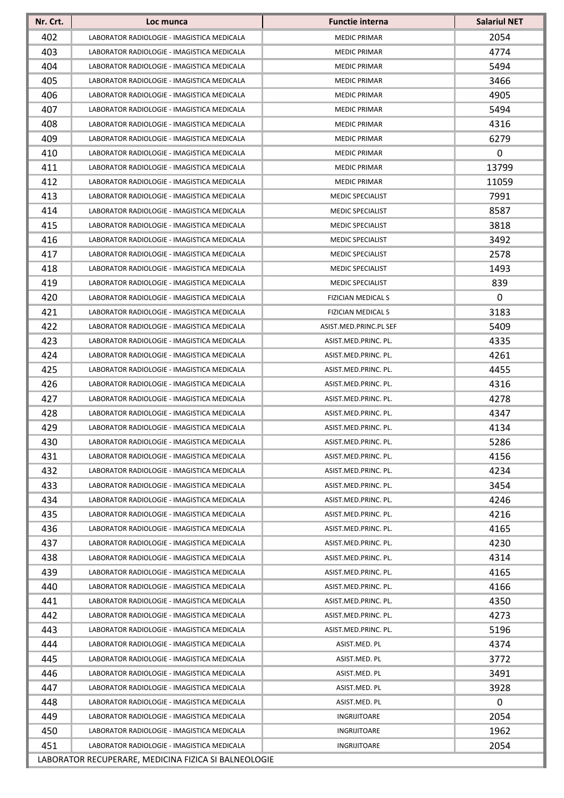| Nr. Crt.                                             | Loc munca                                  | <b>Functie interna</b>    | <b>Salariul NET</b> |
|------------------------------------------------------|--------------------------------------------|---------------------------|---------------------|
| 402                                                  | LABORATOR RADIOLOGIE - IMAGISTICA MEDICALA | <b>MEDIC PRIMAR</b>       | 2054                |
| 403                                                  | LABORATOR RADIOLOGIE - IMAGISTICA MEDICALA | <b>MEDIC PRIMAR</b>       | 4774                |
| 404                                                  | LABORATOR RADIOLOGIE - IMAGISTICA MEDICALA | <b>MEDIC PRIMAR</b>       | 5494                |
| 405                                                  | LABORATOR RADIOLOGIE - IMAGISTICA MEDICALA | <b>MEDIC PRIMAR</b>       | 3466                |
| 406                                                  | LABORATOR RADIOLOGIE - IMAGISTICA MEDICALA | <b>MEDIC PRIMAR</b>       | 4905                |
| 407                                                  | LABORATOR RADIOLOGIE - IMAGISTICA MEDICALA | <b>MEDIC PRIMAR</b>       | 5494                |
| 408                                                  | LABORATOR RADIOLOGIE - IMAGISTICA MEDICALA | <b>MEDIC PRIMAR</b>       | 4316                |
| 409                                                  | LABORATOR RADIOLOGIE - IMAGISTICA MEDICALA | MEDIC PRIMAR              | 6279                |
| 410                                                  | LABORATOR RADIOLOGIE - IMAGISTICA MEDICALA | <b>MEDIC PRIMAR</b>       | 0                   |
| 411                                                  | LABORATOR RADIOLOGIE - IMAGISTICA MEDICALA | MEDIC PRIMAR              | 13799               |
| 412                                                  | LABORATOR RADIOLOGIE - IMAGISTICA MEDICALA | <b>MEDIC PRIMAR</b>       | 11059               |
| 413                                                  | LABORATOR RADIOLOGIE - IMAGISTICA MEDICALA | <b>MEDIC SPECIALIST</b>   | 7991                |
| 414                                                  | LABORATOR RADIOLOGIE - IMAGISTICA MEDICALA | <b>MEDIC SPECIALIST</b>   | 8587                |
| 415                                                  | LABORATOR RADIOLOGIE - IMAGISTICA MEDICALA | <b>MEDIC SPECIALIST</b>   | 3818                |
| 416                                                  | LABORATOR RADIOLOGIE - IMAGISTICA MEDICALA | MEDIC SPECIALIST          | 3492                |
| 417                                                  | LABORATOR RADIOLOGIE - IMAGISTICA MEDICALA | MEDIC SPECIALIST          | 2578                |
| 418                                                  | LABORATOR RADIOLOGIE - IMAGISTICA MEDICALA | <b>MEDIC SPECIALIST</b>   | 1493                |
| 419                                                  | LABORATOR RADIOLOGIE - IMAGISTICA MEDICALA | <b>MEDIC SPECIALIST</b>   | 839                 |
| 420                                                  | LABORATOR RADIOLOGIE - IMAGISTICA MEDICALA | FIZICIAN MEDICAL S        | 0                   |
| 421                                                  | LABORATOR RADIOLOGIE - IMAGISTICA MEDICALA | <b>FIZICIAN MEDICAL S</b> | 3183                |
| 422                                                  | LABORATOR RADIOLOGIE - IMAGISTICA MEDICALA | ASIST.MED.PRINC.PL SEF    | 5409                |
| 423                                                  | LABORATOR RADIOLOGIE - IMAGISTICA MEDICALA | ASIST.MED.PRINC. PL.      | 4335                |
| 424                                                  | LABORATOR RADIOLOGIE - IMAGISTICA MEDICALA | ASIST.MED.PRINC. PL.      | 4261                |
| 425                                                  | LABORATOR RADIOLOGIE - IMAGISTICA MEDICALA | ASIST.MED.PRINC. PL.      | 4455                |
| 426                                                  | LABORATOR RADIOLOGIE - IMAGISTICA MEDICALA | ASIST.MED.PRINC. PL.      | 4316                |
| 427                                                  | LABORATOR RADIOLOGIE - IMAGISTICA MEDICALA | ASIST.MED.PRINC. PL.      | 4278                |
| 428                                                  | LABORATOR RADIOLOGIE - IMAGISTICA MEDICALA | ASIST.MED.PRINC. PL.      | 4347                |
| 429                                                  | LABORATOR RADIOLOGIE - IMAGISTICA MEDICALA | ASIST.MED.PRINC. PL.      | 4134                |
| 430                                                  | LABORATOR RADIOLOGIE - IMAGISTICA MEDICALA | ASIST.MED.PRINC. PL.      | 5286                |
| 431                                                  | LABORATOR RADIOLOGIE - IMAGISTICA MEDICALA | ASIST.MED.PRINC. PL.      | 4156                |
| 432                                                  | LABORATOR RADIOLOGIE - IMAGISTICA MEDICALA | ASIST.MED.PRINC. PL.      | 4234                |
| 433                                                  | LABORATOR RADIOLOGIE - IMAGISTICA MEDICALA | ASIST.MED.PRINC. PL.      | 3454                |
| 434                                                  | LABORATOR RADIOLOGIE - IMAGISTICA MEDICALA | ASIST.MED.PRINC. PL.      | 4246                |
| 435                                                  | LABORATOR RADIOLOGIE - IMAGISTICA MEDICALA | ASIST.MED.PRINC. PL.      | 4216                |
| 436                                                  | LABORATOR RADIOLOGIE - IMAGISTICA MEDICALA | ASIST.MED.PRINC. PL.      | 4165                |
| 437                                                  | LABORATOR RADIOLOGIE - IMAGISTICA MEDICALA | ASIST.MED.PRINC. PL.      | 4230                |
| 438                                                  | LABORATOR RADIOLOGIE - IMAGISTICA MEDICALA | ASIST.MED.PRINC. PL.      | 4314                |
| 439                                                  | LABORATOR RADIOLOGIE - IMAGISTICA MEDICALA | ASIST.MED.PRINC. PL.      | 4165                |
| 440                                                  | LABORATOR RADIOLOGIE - IMAGISTICA MEDICALA | ASIST.MED.PRINC. PL.      | 4166                |
| 441                                                  | LABORATOR RADIOLOGIE - IMAGISTICA MEDICALA | ASIST.MED.PRINC. PL.      | 4350                |
| 442                                                  | LABORATOR RADIOLOGIE - IMAGISTICA MEDICALA | ASIST.MED.PRINC. PL.      | 4273                |
| 443                                                  | LABORATOR RADIOLOGIE - IMAGISTICA MEDICALA | ASIST.MED.PRINC. PL.      | 5196                |
| 444                                                  | LABORATOR RADIOLOGIE - IMAGISTICA MEDICALA | ASIST.MED. PL             | 4374                |
| 445                                                  | LABORATOR RADIOLOGIE - IMAGISTICA MEDICALA | ASIST.MED. PL             | 3772                |
| 446                                                  | LABORATOR RADIOLOGIE - IMAGISTICA MEDICALA | ASIST.MED. PL             | 3491                |
| 447                                                  | LABORATOR RADIOLOGIE - IMAGISTICA MEDICALA | ASIST.MED. PL             | 3928                |
| 448                                                  | LABORATOR RADIOLOGIE - IMAGISTICA MEDICALA | ASIST.MED. PL             | 0                   |
| 449                                                  | LABORATOR RADIOLOGIE - IMAGISTICA MEDICALA | INGRIJITOARE              | 2054                |
| 450                                                  | LABORATOR RADIOLOGIE - IMAGISTICA MEDICALA | INGRIJITOARE              | 1962                |
| 451                                                  | LABORATOR RADIOLOGIE - IMAGISTICA MEDICALA | INGRIJITOARE              | 2054                |
| LABORATOR RECUPERARE, MEDICINA FIZICA SI BALNEOLOGIE |                                            |                           |                     |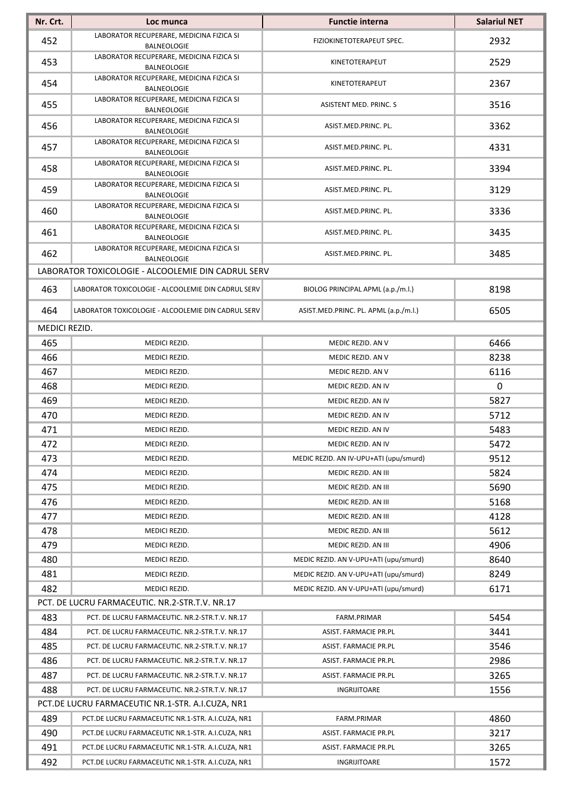| Nr. Crt.      | Loc munca                                                                                          | <b>Functie interna</b>                 | <b>Salariul NET</b> |
|---------------|----------------------------------------------------------------------------------------------------|----------------------------------------|---------------------|
| 452           | LABORATOR RECUPERARE, MEDICINA FIZICA SI<br><b>BALNEOLOGIE</b>                                     | FIZIOKINETOTERAPEUT SPEC.              | 2932                |
| 453           | LABORATOR RECUPERARE, MEDICINA FIZICA SI<br><b>BALNEOLOGIE</b>                                     | KINETOTERAPEUT                         | 2529                |
| 454           | LABORATOR RECUPERARE, MEDICINA FIZICA SI<br>BALNEOLOGIE                                            | KINETOTERAPEUT                         | 2367                |
| 455           | LABORATOR RECUPERARE, MEDICINA FIZICA SI<br><b>BALNEOLOGIE</b>                                     | ASISTENT MED. PRINC. S                 | 3516                |
| 456           | LABORATOR RECUPERARE, MEDICINA FIZICA SI<br><b>BALNEOLOGIE</b>                                     | ASIST.MED.PRINC. PL.                   | 3362                |
| 457           | LABORATOR RECUPERARE, MEDICINA FIZICA SI<br><b>BALNEOLOGIE</b>                                     | ASIST.MED.PRINC. PL.                   | 4331                |
| 458           | LABORATOR RECUPERARE, MEDICINA FIZICA SI<br>BALNEOLOGIE                                            | ASIST.MED.PRINC. PL.                   | 3394                |
| 459           | LABORATOR RECUPERARE, MEDICINA FIZICA SI<br><b>BALNEOLOGIE</b>                                     | ASIST.MED.PRINC. PL.                   | 3129                |
| 460           | LABORATOR RECUPERARE, MEDICINA FIZICA SI<br><b>BALNEOLOGIE</b>                                     | ASIST.MED.PRINC. PL.                   | 3336                |
| 461           | LABORATOR RECUPERARE, MEDICINA FIZICA SI<br><b>BALNEOLOGIE</b>                                     | ASIST.MED.PRINC. PL.                   | 3435                |
| 462           | LABORATOR RECUPERARE, MEDICINA FIZICA SI<br>BALNEOLOGIE                                            | ASIST.MED.PRINC. PL.                   | 3485                |
|               | LABORATOR TOXICOLOGIE - ALCOOLEMIE DIN CADRUL SERV                                                 |                                        |                     |
| 463           | LABORATOR TOXICOLOGIE - ALCOOLEMIE DIN CADRUL SERV                                                 | BIOLOG PRINCIPAL APML (a.p./m.l.)      | 8198                |
| 464           | LABORATOR TOXICOLOGIE - ALCOOLEMIE DIN CADRUL SERV                                                 | ASIST.MED.PRINC. PL. APML (a.p./m.l.)  | 6505                |
| MEDICI REZID. |                                                                                                    |                                        |                     |
| 465           | MEDICI REZID.                                                                                      | MEDIC REZID. AN V                      | 6466                |
| 466           | MEDICI REZID.                                                                                      | MEDIC REZID. AN V                      | 8238                |
| 467           | MEDICI REZID.                                                                                      | MEDIC REZID. AN V                      | 6116                |
| 468           | MEDICI REZID.                                                                                      | MEDIC REZID. AN IV                     | 0                   |
| 469           | MEDICI REZID.                                                                                      | MEDIC REZID. AN IV                     | 5827                |
| 470           | MEDICI REZID.                                                                                      | MEDIC REZID. AN IV                     | 5712                |
| 471           | MEDICI REZID.                                                                                      | MEDIC REZID. AN IV                     | 5483                |
| 472           | MEDICI REZID.                                                                                      | MEDIC REZID. AN IV                     | 5472                |
| 473           | MEDICI REZID.                                                                                      | MEDIC REZID. AN IV-UPU+ATI (upu/smurd) | 9512                |
| 474           | MEDICI REZID.                                                                                      | MEDIC REZID. AN III                    | 5824                |
| 475           | MEDICI REZID.                                                                                      | MEDIC REZID. AN III                    | 5690                |
| 476           | MEDICI REZID.                                                                                      | MEDIC REZID. AN III                    | 5168                |
| 477           | MEDICI REZID.                                                                                      | MEDIC REZID. AN III                    | 4128                |
| 478           | MEDICI REZID.                                                                                      | MEDIC REZID. AN III                    | 5612                |
| 479           | MEDICI REZID.                                                                                      | MEDIC REZID. AN III                    | 4906                |
| 480           | MEDICI REZID.                                                                                      | MEDIC REZID. AN V-UPU+ATI (upu/smurd)  | 8640                |
| 481           | MEDICI REZID.                                                                                      | MEDIC REZID. AN V-UPU+ATI (upu/smurd)  | 8249                |
| 482           | MEDICI REZID.                                                                                      | MEDIC REZID. AN V-UPU+ATI (upu/smurd)  | 6171                |
|               | PCT. DE LUCRU FARMACEUTIC. NR.2-STR.T.V. NR.17                                                     |                                        |                     |
| 483           | PCT. DE LUCRU FARMACEUTIC. NR.2-STR.T.V. NR.17                                                     | FARM.PRIMAR                            | 5454                |
| 484           | PCT. DE LUCRU FARMACEUTIC. NR.2-STR.T.V. NR.17                                                     | ASIST. FARMACIE PR.PL                  | 3441                |
| 485           | PCT. DE LUCRU FARMACEUTIC. NR.2-STR.T.V. NR.17                                                     | ASIST. FARMACIE PR.PL                  | 3546                |
| 486           | PCT. DE LUCRU FARMACEUTIC. NR.2-STR.T.V. NR.17                                                     | ASIST. FARMACIE PR.PL                  | 2986                |
| 487           | PCT. DE LUCRU FARMACEUTIC. NR.2-STR.T.V. NR.17                                                     | ASIST. FARMACIE PR.PL                  | 3265                |
| 488           |                                                                                                    |                                        | 1556                |
|               | PCT. DE LUCRU FARMACEUTIC. NR.2-STR.T.V. NR.17<br>PCT.DE LUCRU FARMACEUTIC NR.1-STR. A.I.CUZA, NR1 | INGRIJITOARE                           |                     |
| 489           |                                                                                                    | FARM.PRIMAR                            | 4860                |
| 490           | PCT.DE LUCRU FARMACEUTIC NR.1-STR. A.I.CUZA, NR1                                                   |                                        | 3217                |
|               | PCT.DE LUCRU FARMACEUTIC NR.1-STR. A.I.CUZA, NR1                                                   | ASIST. FARMACIE PR.PL                  |                     |
| 491           | PCT.DE LUCRU FARMACEUTIC NR.1-STR. A.I.CUZA, NR1                                                   | ASIST. FARMACIE PR.PL                  | 3265                |
| 492           | PCT.DE LUCRU FARMACEUTIC NR.1-STR. A.I.CUZA, NR1                                                   | INGRIJITOARE                           | 1572                |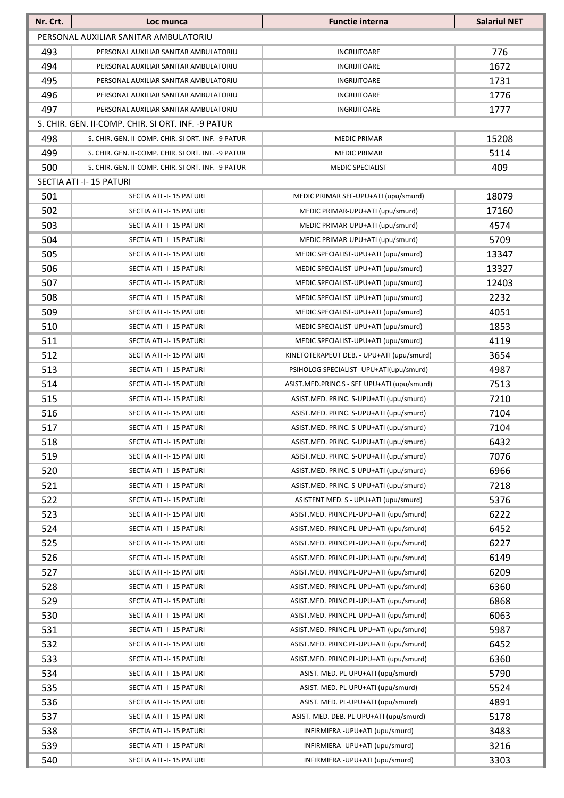| Nr. Crt.                              | Loc munca                                          | <b>Functie interna</b>                      | <b>Salariul NET</b> |
|---------------------------------------|----------------------------------------------------|---------------------------------------------|---------------------|
| PERSONAL AUXILIAR SANITAR AMBULATORIU |                                                    |                                             |                     |
| 493                                   | PERSONAL AUXILIAR SANITAR AMBULATORIU              | INGRIJITOARE                                | 776                 |
| 494                                   | PERSONAL AUXILIAR SANITAR AMBULATORIU              | INGRIJITOARE                                | 1672                |
| 495                                   | PERSONAL AUXILIAR SANITAR AMBULATORIU              | <b>INGRIJITOARE</b>                         | 1731                |
| 496                                   | PERSONAL AUXILIAR SANITAR AMBULATORIU              | <b>INGRIJITOARE</b>                         | 1776                |
| 497                                   | PERSONAL AUXILIAR SANITAR AMBULATORIU              | INGRIJITOARE                                | 1777                |
|                                       | S. CHIR. GEN. II-COMP. CHIR. SI ORT. INF. -9 PATUR |                                             |                     |
| 498                                   | S. CHIR. GEN. II-COMP. CHIR. SI ORT. INF. -9 PATUR | <b>MEDIC PRIMAR</b>                         | 15208               |
| 499                                   | S. CHIR. GEN. II-COMP. CHIR. SI ORT. INF. -9 PATUR | <b>MEDIC PRIMAR</b>                         | 5114                |
| 500                                   | S. CHIR. GEN. II-COMP. CHIR. SI ORT. INF. -9 PATUR | <b>MEDIC SPECIALIST</b>                     | 409                 |
|                                       | SECTIA ATI -I-15 PATURI                            |                                             |                     |
| 501                                   | SECTIA ATI -I-15 PATURI                            | MEDIC PRIMAR SEF-UPU+ATI (upu/smurd)        | 18079               |
| 502                                   | SECTIA ATI -I-15 PATURI                            | MEDIC PRIMAR-UPU+ATI (upu/smurd)            | 17160               |
| 503                                   | SECTIA ATI -I-15 PATURI                            | MEDIC PRIMAR-UPU+ATI (upu/smurd)            | 4574                |
| 504                                   | SECTIA ATI -I-15 PATURI                            | MEDIC PRIMAR-UPU+ATI (upu/smurd)            | 5709                |
| 505                                   | SECTIA ATI -I-15 PATURI                            | MEDIC SPECIALIST-UPU+ATI (upu/smurd)        | 13347               |
| 506                                   | SECTIA ATI -I-15 PATURI                            | MEDIC SPECIALIST-UPU+ATI (upu/smurd)        | 13327               |
| 507                                   | SECTIA ATI -I-15 PATURI                            | MEDIC SPECIALIST-UPU+ATI (upu/smurd)        | 12403               |
| 508                                   | SECTIA ATI -I-15 PATURI                            | MEDIC SPECIALIST-UPU+ATI (upu/smurd)        | 2232                |
| 509                                   | SECTIA ATI -I-15 PATURI                            | MEDIC SPECIALIST-UPU+ATI (upu/smurd)        | 4051                |
| 510                                   | SECTIA ATI -I-15 PATURI                            | MEDIC SPECIALIST-UPU+ATI (upu/smurd)        | 1853                |
| 511                                   | SECTIA ATI -I-15 PATURI                            | MEDIC SPECIALIST-UPU+ATI (upu/smurd)        | 4119                |
| 512                                   | SECTIA ATI -I-15 PATURI                            | KINETOTERAPEUT DEB. - UPU+ATI (upu/smurd)   | 3654                |
| 513                                   | SECTIA ATI -I-15 PATURI                            | PSIHOLOG SPECIALIST- UPU+ATI(upu/smurd)     | 4987                |
| 514                                   | SECTIA ATI -I-15 PATURI                            | ASIST.MED.PRINC.S - SEF UPU+ATI (upu/smurd) | 7513                |
| 515                                   | SECTIA ATI -I-15 PATURI                            | ASIST.MED. PRINC. S-UPU+ATI (upu/smurd)     | 7210                |
| 516                                   | SECTIA ATI -I-15 PATURI                            | ASIST.MED. PRINC. S-UPU+ATI (upu/smurd)     | 7104                |
| 517                                   | SECTIA ATI -I-15 PATURI                            | ASIST.MED. PRINC. S-UPU+ATI (upu/smurd)     | 7104                |
| 518                                   | SECTIA ATI -I-15 PATURI                            | ASIST.MED. PRINC. S-UPU+ATI (upu/smurd)     | 6432                |
| 519                                   | SECTIA ATI -I-15 PATURI                            | ASIST.MED. PRINC. S-UPU+ATI (upu/smurd)     | 7076                |
| 520                                   | SECTIA ATI -I-15 PATURI                            | ASIST.MED. PRINC. S-UPU+ATI (upu/smurd)     | 6966                |
| 521                                   | SECTIA ATI -I-15 PATURI                            | ASIST.MED. PRINC. S-UPU+ATI (upu/smurd)     | 7218                |
| 522                                   | SECTIA ATI -I-15 PATURI                            | ASISTENT MED. S - UPU+ATI (upu/smurd)       | 5376                |
| 523                                   | SECTIA ATI -I-15 PATURI                            | ASIST.MED. PRINC.PL-UPU+ATI (upu/smurd)     | 6222                |
| 524                                   | SECTIA ATI -I-15 PATURI                            | ASIST.MED. PRINC.PL-UPU+ATI (upu/smurd)     | 6452                |
| 525                                   | SECTIA ATI -I-15 PATURI                            | ASIST.MED. PRINC.PL-UPU+ATI (upu/smurd)     | 6227                |
| 526                                   | SECTIA ATI -I-15 PATURI                            | ASIST.MED. PRINC.PL-UPU+ATI (upu/smurd)     | 6149                |
| 527                                   | SECTIA ATI -I-15 PATURI                            | ASIST.MED. PRINC.PL-UPU+ATI (upu/smurd)     | 6209                |
| 528                                   | SECTIA ATI -I-15 PATURI                            | ASIST.MED. PRINC.PL-UPU+ATI (upu/smurd)     | 6360                |
| 529                                   | SECTIA ATI -I-15 PATURI                            | ASIST.MED. PRINC.PL-UPU+ATI (upu/smurd)     | 6868                |
| 530                                   | SECTIA ATI -I-15 PATURI                            | ASIST.MED. PRINC.PL-UPU+ATI (upu/smurd)     | 6063                |
| 531                                   | SECTIA ATI -I-15 PATURI                            | ASIST.MED. PRINC.PL-UPU+ATI (upu/smurd)     | 5987                |
| 532                                   | SECTIA ATI -I-15 PATURI                            | ASIST.MED. PRINC.PL-UPU+ATI (upu/smurd)     | 6452                |
| 533                                   | SECTIA ATI -I-15 PATURI                            | ASIST.MED. PRINC.PL-UPU+ATI (upu/smurd)     | 6360                |
| 534                                   | SECTIA ATI -I-15 PATURI                            | ASIST. MED. PL-UPU+ATI (upu/smurd)          | 5790                |
| 535                                   | SECTIA ATI -I-15 PATURI                            | ASIST. MED. PL-UPU+ATI (upu/smurd)          | 5524                |
| 536                                   | SECTIA ATI -I-15 PATURI                            | ASIST. MED. PL-UPU+ATI (upu/smurd)          | 4891                |
| 537                                   | SECTIA ATI -I-15 PATURI                            | ASIST. MED. DEB. PL-UPU+ATI (upu/smurd)     | 5178                |
| 538                                   | SECTIA ATI -I-15 PATURI                            | INFIRMIERA - UPU+ATI (upu/smurd)            | 3483                |
| 539                                   | SECTIA ATI -I-15 PATURI                            | INFIRMIERA - UPU+ATI (upu/smurd)            | 3216                |
| 540                                   | SECTIA ATI -I-15 PATURI                            | INFIRMIERA - UPU+ATI (upu/smurd)            | 3303                |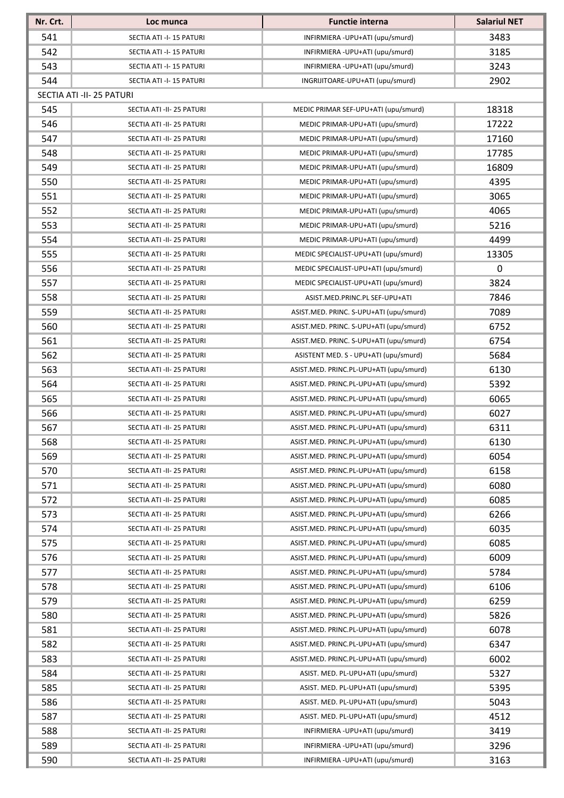| Nr. Crt. | Loc munca                 | <b>Functie interna</b>                  | <b>Salariul NET</b> |
|----------|---------------------------|-----------------------------------------|---------------------|
| 541      | SECTIA ATI -I-15 PATURI   | INFIRMIERA - UPU+ATI (upu/smurd)        | 3483                |
| 542      | SECTIA ATI -I-15 PATURI   | INFIRMIERA - UPU+ATI (upu/smurd)        | 3185                |
| 543      | SECTIA ATI -I-15 PATURI   | INFIRMIERA - UPU+ATI (upu/smurd)        | 3243                |
| 544      | SECTIA ATI -I-15 PATURI   | INGRIJITOARE-UPU+ATI (upu/smurd)        | 2902                |
|          | SECTIA ATI -II- 25 PATURI |                                         |                     |
| 545      | SECTIA ATI -II- 25 PATURI | MEDIC PRIMAR SEF-UPU+ATI (upu/smurd)    | 18318               |
| 546      | SECTIA ATI -II- 25 PATURI | MEDIC PRIMAR-UPU+ATI (upu/smurd)        | 17222               |
| 547      | SECTIA ATI -II- 25 PATURI | MEDIC PRIMAR-UPU+ATI (upu/smurd)        | 17160               |
| 548      | SECTIA ATI -II- 25 PATURI | MEDIC PRIMAR-UPU+ATI (upu/smurd)        | 17785               |
| 549      | SECTIA ATI -II- 25 PATURI | MEDIC PRIMAR-UPU+ATI (upu/smurd)        | 16809               |
| 550      | SECTIA ATI -II- 25 PATURI | MEDIC PRIMAR-UPU+ATI (upu/smurd)        | 4395                |
| 551      | SECTIA ATI -II- 25 PATURI | MEDIC PRIMAR-UPU+ATI (upu/smurd)        | 3065                |
| 552      | SECTIA ATI -II- 25 PATURI | MEDIC PRIMAR-UPU+ATI (upu/smurd)        | 4065                |
| 553      | SECTIA ATI -II- 25 PATURI | MEDIC PRIMAR-UPU+ATI (upu/smurd)        | 5216                |
| 554      | SECTIA ATI -II- 25 PATURI | MEDIC PRIMAR-UPU+ATI (upu/smurd)        | 4499                |
| 555      | SECTIA ATI -II- 25 PATURI | MEDIC SPECIALIST-UPU+ATI (upu/smurd)    | 13305               |
| 556      | SECTIA ATI -II- 25 PATURI | MEDIC SPECIALIST-UPU+ATI (upu/smurd)    | 0                   |
| 557      | SECTIA ATI -II- 25 PATURI | MEDIC SPECIALIST-UPU+ATI (upu/smurd)    | 3824                |
| 558      | SECTIA ATI -II- 25 PATURI | ASIST.MED.PRINC.PL SEF-UPU+ATI          | 7846                |
| 559      | SECTIA ATI -II- 25 PATURI | ASIST.MED. PRINC. S-UPU+ATI (upu/smurd) | 7089                |
| 560      | SECTIA ATI -II- 25 PATURI | ASIST.MED. PRINC. S-UPU+ATI (upu/smurd) | 6752                |
| 561      | SECTIA ATI -II- 25 PATURI | ASIST.MED. PRINC. S-UPU+ATI (upu/smurd) | 6754                |
| 562      | SECTIA ATI -II- 25 PATURI | ASISTENT MED. S - UPU+ATI (upu/smurd)   | 5684                |
| 563      | SECTIA ATI -II- 25 PATURI | ASIST.MED. PRINC.PL-UPU+ATI (upu/smurd) | 6130                |
| 564      | SECTIA ATI -II- 25 PATURI | ASIST.MED. PRINC.PL-UPU+ATI (upu/smurd) | 5392                |
| 565      | SECTIA ATI -II- 25 PATURI | ASIST.MED. PRINC.PL-UPU+ATI (upu/smurd) | 6065                |
| 566      | SECTIA ATI -II- 25 PATURI | ASIST.MED. PRINC.PL-UPU+ATI (upu/smurd) | 6027                |
| 567      | SECTIA ATI -II- 25 PATURI | ASIST.MED. PRINC.PL-UPU+ATI (upu/smurd) | 6311                |
| 568      | SECTIA ATI -II- 25 PATURI | ASIST.MED. PRINC.PL-UPU+ATI (upu/smurd) | 6130                |
| 569      | SECTIA ATI -II- 25 PATURI | ASIST.MED. PRINC.PL-UPU+ATI (upu/smurd) | 6054                |
| 570      | SECTIA ATI -II- 25 PATURI | ASIST.MED. PRINC.PL-UPU+ATI (upu/smurd) | 6158                |
| 571      | SECTIA ATI -II- 25 PATURI | ASIST.MED. PRINC.PL-UPU+ATI (upu/smurd) | 6080                |
| 572      | SECTIA ATI -II- 25 PATURI | ASIST.MED. PRINC.PL-UPU+ATI (upu/smurd) | 6085                |
| 573      | SECTIA ATI -II- 25 PATURI | ASIST.MED. PRINC.PL-UPU+ATI (upu/smurd) | 6266                |
| 574      | SECTIA ATI -II- 25 PATURI | ASIST.MED. PRINC.PL-UPU+ATI (upu/smurd) | 6035                |
| 575      | SECTIA ATI -II- 25 PATURI | ASIST.MED. PRINC.PL-UPU+ATI (upu/smurd) | 6085                |
| 576      | SECTIA ATI -II- 25 PATURI | ASIST.MED. PRINC.PL-UPU+ATI (upu/smurd) | 6009                |
| 577      | SECTIA ATI -II- 25 PATURI | ASIST.MED. PRINC.PL-UPU+ATI (upu/smurd) | 5784                |
| 578      | SECTIA ATI -II- 25 PATURI | ASIST.MED. PRINC.PL-UPU+ATI (upu/smurd) | 6106                |
| 579      | SECTIA ATI -II- 25 PATURI | ASIST.MED. PRINC.PL-UPU+ATI (upu/smurd) | 6259                |
| 580      | SECTIA ATI -II- 25 PATURI | ASIST.MED. PRINC.PL-UPU+ATI (upu/smurd) | 5826                |
| 581      | SECTIA ATI -II- 25 PATURI | ASIST.MED. PRINC.PL-UPU+ATI (upu/smurd) | 6078                |
| 582      | SECTIA ATI -II- 25 PATURI | ASIST.MED. PRINC.PL-UPU+ATI (upu/smurd) | 6347                |
| 583      | SECTIA ATI -II- 25 PATURI | ASIST.MED. PRINC.PL-UPU+ATI (upu/smurd) | 6002                |
| 584      | SECTIA ATI -II- 25 PATURI | ASIST. MED. PL-UPU+ATI (upu/smurd)      | 5327                |
| 585      | SECTIA ATI -II- 25 PATURI | ASIST. MED. PL-UPU+ATI (upu/smurd)      | 5395                |
| 586      | SECTIA ATI -II- 25 PATURI | ASIST. MED. PL-UPU+ATI (upu/smurd)      | 5043                |
| 587      | SECTIA ATI -II- 25 PATURI | ASIST. MED. PL-UPU+ATI (upu/smurd)      | 4512                |
| 588      | SECTIA ATI -II- 25 PATURI | INFIRMIERA - UPU+ATI (upu/smurd)        | 3419                |
| 589      | SECTIA ATI -II- 25 PATURI | INFIRMIERA - UPU+ATI (upu/smurd)        | 3296                |
| 590      | SECTIA ATI -II- 25 PATURI | INFIRMIERA - UPU+ATI (upu/smurd)        | 3163                |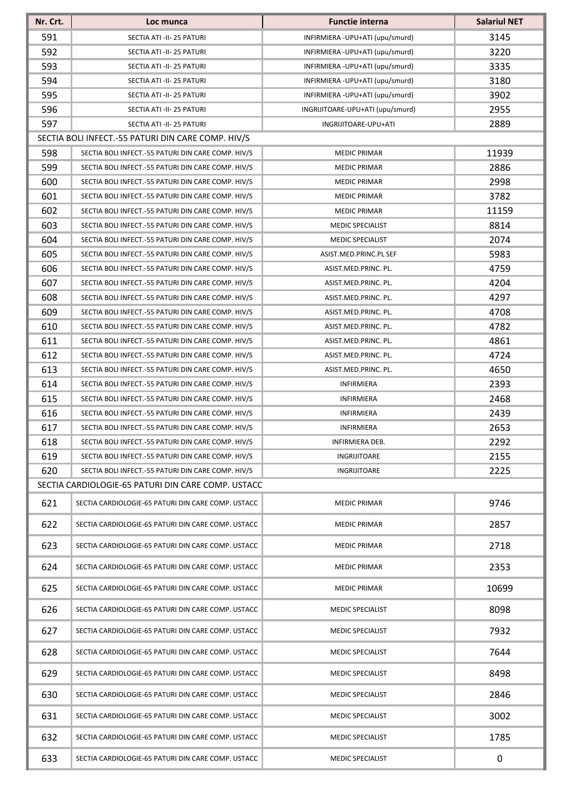| Nr. Crt. | Loc munca                                                                                                | <b>Functie interna</b>           | <b>Salariul NET</b> |
|----------|----------------------------------------------------------------------------------------------------------|----------------------------------|---------------------|
| 591      | SECTIA ATI -II- 25 PATURI                                                                                | INFIRMIERA - UPU+ATI (upu/smurd) | 3145                |
| 592      | SECTIA ATI -II- 25 PATURI                                                                                | INFIRMIERA - UPU+ATI (upu/smurd) | 3220                |
| 593      | SECTIA ATI -II- 25 PATURI                                                                                | INFIRMIERA - UPU+ATI (upu/smurd) | 3335                |
| 594      | SECTIA ATI -II- 25 PATURI                                                                                | INFIRMIERA - UPU+ATI (upu/smurd) | 3180                |
| 595      | SECTIA ATI -II- 25 PATURI                                                                                | INFIRMIERA - UPU+ATI (upu/smurd) | 3902                |
| 596      | SECTIA ATI -II- 25 PATURI                                                                                | INGRIJITOARE-UPU+ATI (upu/smurd) | 2955                |
| 597      | SECTIA ATI -II- 25 PATURI                                                                                | INGRIJITOARE-UPU+ATI             | 2889                |
|          | SECTIA BOLI INFECT.-55 PATURI DIN CARE COMP. HIV/S                                                       |                                  |                     |
| 598      | SECTIA BOLI INFECT.-55 PATURI DIN CARE COMP. HIV/S                                                       | <b>MEDIC PRIMAR</b>              | 11939               |
| 599      | SECTIA BOLI INFECT.-55 PATURI DIN CARE COMP. HIV/S                                                       | <b>MEDIC PRIMAR</b>              | 2886                |
| 600      | SECTIA BOLI INFECT.-55 PATURI DIN CARE COMP. HIV/S                                                       | <b>MEDIC PRIMAR</b>              | 2998                |
| 601      | SECTIA BOLI INFECT.-55 PATURI DIN CARE COMP. HIV/S                                                       | <b>MEDIC PRIMAR</b>              | 3782                |
| 602      | SECTIA BOLI INFECT.-55 PATURI DIN CARE COMP. HIV/S                                                       | <b>MEDIC PRIMAR</b>              | 11159               |
| 603      | SECTIA BOLI INFECT.-55 PATURI DIN CARE COMP. HIV/S                                                       | <b>MEDIC SPECIALIST</b>          | 8814                |
| 604      | SECTIA BOLI INFECT.-55 PATURI DIN CARE COMP. HIV/S                                                       | <b>MEDIC SPECIALIST</b>          | 2074                |
| 605      | SECTIA BOLI INFECT.-55 PATURI DIN CARE COMP. HIV/S                                                       | ASIST.MED.PRINC.PL SEF           | 5983                |
| 606      | SECTIA BOLI INFECT.-55 PATURI DIN CARE COMP. HIV/S                                                       | ASIST.MED.PRINC. PL.             | 4759                |
| 607      | SECTIA BOLI INFECT.-55 PATURI DIN CARE COMP. HIV/S                                                       | ASIST.MED.PRINC. PL.             | 4204                |
| 608      | SECTIA BOLI INFECT.-55 PATURI DIN CARE COMP. HIV/S                                                       | ASIST.MED.PRINC. PL.             | 4297                |
| 609      | SECTIA BOLI INFECT.-55 PATURI DIN CARE COMP. HIV/S                                                       | ASIST.MED.PRINC. PL.             | 4708                |
| 610      | SECTIA BOLI INFECT.-55 PATURI DIN CARE COMP. HIV/S                                                       | ASIST.MED.PRINC. PL.             | 4782                |
| 611      | SECTIA BOLI INFECT.-55 PATURI DIN CARE COMP. HIV/S                                                       | ASIST.MED.PRINC. PL.             | 4861                |
| 612      | SECTIA BOLI INFECT.-55 PATURI DIN CARE COMP. HIV/S                                                       | ASIST.MED.PRINC. PL.             | 4724                |
| 613      | SECTIA BOLI INFECT.-55 PATURI DIN CARE COMP. HIV/S                                                       | ASIST.MED.PRINC. PL.             | 4650                |
| 614      | SECTIA BOLI INFECT.-55 PATURI DIN CARE COMP. HIV/S                                                       | INFIRMIERA                       | 2393                |
| 615      | SECTIA BOLI INFECT.-55 PATURI DIN CARE COMP. HIV/S                                                       | INFIRMIERA                       | 2468                |
| 616      | SECTIA BOLI INFECT.-55 PATURI DIN CARE COMP. HIV/S                                                       | INFIRMIERA                       | 2439                |
| 617      | SECTIA BOLI INFECT.-55 PATURI DIN CARE COMP. HIV/S                                                       | INFIRMIERA                       | 2653                |
| 618      | SECTIA BOLI INFECT.-55 PATURI DIN CARE COMP. HIV/S<br>SECTIA BOLI INFECT.-55 PATURI DIN CARE COMP. HIV/S | INFIRMIERA DEB.                  | 2292                |
| 619      |                                                                                                          | INGRIJITOARE                     | 2155<br>2225        |
| 620      | SECTIA BOLI INFECT.-55 PATURI DIN CARE COMP. HIV/S<br>SECTIA CARDIOLOGIE-65 PATURI DIN CARE COMP. USTACC | INGRIJITOARE                     |                     |
|          |                                                                                                          |                                  |                     |
| 621      | SECTIA CARDIOLOGIE-65 PATURI DIN CARE COMP. USTACC                                                       | <b>MEDIC PRIMAR</b>              | 9746                |
| 622      | SECTIA CARDIOLOGIE-65 PATURI DIN CARE COMP. USTACC                                                       | <b>MEDIC PRIMAR</b>              | 2857                |
| 623      | SECTIA CARDIOLOGIE-65 PATURI DIN CARE COMP. USTACC                                                       | <b>MEDIC PRIMAR</b>              | 2718                |
| 624      | SECTIA CARDIOLOGIE-65 PATURI DIN CARE COMP. USTACC                                                       | <b>MEDIC PRIMAR</b>              | 2353                |
| 625      | SECTIA CARDIOLOGIE-65 PATURI DIN CARE COMP. USTACC                                                       | <b>MEDIC PRIMAR</b>              | 10699               |
| 626      | SECTIA CARDIOLOGIE-65 PATURI DIN CARE COMP. USTACC                                                       | MEDIC SPECIALIST                 | 8098                |
| 627      | SECTIA CARDIOLOGIE-65 PATURI DIN CARE COMP. USTACC                                                       | MEDIC SPECIALIST                 | 7932                |
| 628      | SECTIA CARDIOLOGIE-65 PATURI DIN CARE COMP. USTACC                                                       | <b>MEDIC SPECIALIST</b>          | 7644                |
| 629      | SECTIA CARDIOLOGIE-65 PATURI DIN CARE COMP. USTACC                                                       | MEDIC SPECIALIST                 | 8498                |
| 630      | SECTIA CARDIOLOGIE-65 PATURI DIN CARE COMP. USTACC                                                       | MEDIC SPECIALIST                 | 2846                |
| 631      | SECTIA CARDIOLOGIE-65 PATURI DIN CARE COMP. USTACC                                                       | MEDIC SPECIALIST                 | 3002                |
| 632      | SECTIA CARDIOLOGIE-65 PATURI DIN CARE COMP. USTACC                                                       | MEDIC SPECIALIST                 | 1785                |
| 633      | SECTIA CARDIOLOGIE-65 PATURI DIN CARE COMP. USTACC                                                       | <b>MEDIC SPECIALIST</b>          | 0                   |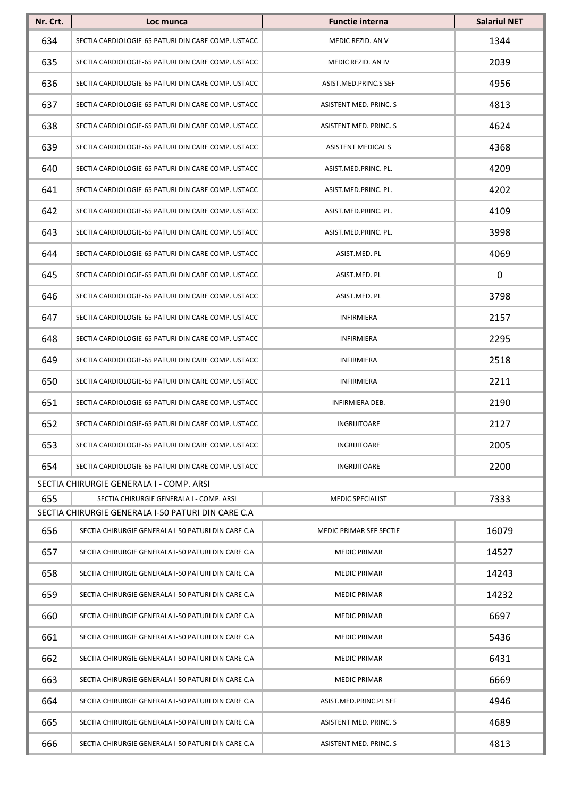| Nr. Crt. | Loc munca                                          | <b>Functie interna</b>         | <b>Salariul NET</b> |
|----------|----------------------------------------------------|--------------------------------|---------------------|
| 634      | SECTIA CARDIOLOGIE-65 PATURI DIN CARE COMP. USTACC | MEDIC REZID. AN V              | 1344                |
| 635      | SECTIA CARDIOLOGIE-65 PATURI DIN CARE COMP. USTACC | MEDIC REZID. AN IV             | 2039                |
| 636      | SECTIA CARDIOLOGIE-65 PATURI DIN CARE COMP. USTACC | ASIST.MED.PRINC.S SEF          | 4956                |
| 637      | SECTIA CARDIOLOGIE-65 PATURI DIN CARE COMP. USTACC | ASISTENT MED. PRINC. S         | 4813                |
| 638      | SECTIA CARDIOLOGIE-65 PATURI DIN CARE COMP. USTACC | <b>ASISTENT MED. PRINC. S</b>  | 4624                |
| 639      | SECTIA CARDIOLOGIE-65 PATURI DIN CARE COMP. USTACC | <b>ASISTENT MEDICAL S</b>      | 4368                |
| 640      | SECTIA CARDIOLOGIE-65 PATURI DIN CARE COMP. USTACC | ASIST.MED.PRINC. PL.           | 4209                |
| 641      | SECTIA CARDIOLOGIE-65 PATURI DIN CARE COMP. USTACC | ASIST.MED.PRINC. PL.           | 4202                |
| 642      | SECTIA CARDIOLOGIE-65 PATURI DIN CARE COMP. USTACC | ASIST.MED.PRINC. PL.           | 4109                |
| 643      | SECTIA CARDIOLOGIE-65 PATURI DIN CARE COMP. USTACC | ASIST.MED.PRINC. PL.           | 3998                |
| 644      | SECTIA CARDIOLOGIE-65 PATURI DIN CARE COMP. USTACC | ASIST.MED. PL                  | 4069                |
| 645      | SECTIA CARDIOLOGIE-65 PATURI DIN CARE COMP. USTACC | ASIST.MED. PL                  | 0                   |
| 646      | SECTIA CARDIOLOGIE-65 PATURI DIN CARE COMP. USTACC | ASIST.MED. PL                  | 3798                |
| 647      | SECTIA CARDIOLOGIE-65 PATURI DIN CARE COMP. USTACC | <b>INFIRMIERA</b>              | 2157                |
| 648      | SECTIA CARDIOLOGIE-65 PATURI DIN CARE COMP. USTACC | <b>INFIRMIERA</b>              | 2295                |
| 649      | SECTIA CARDIOLOGIE-65 PATURI DIN CARE COMP. USTACC | <b>INFIRMIERA</b>              | 2518                |
| 650      | SECTIA CARDIOLOGIE-65 PATURI DIN CARE COMP. USTACC | <b>INFIRMIERA</b>              | 2211                |
| 651      | SECTIA CARDIOLOGIE-65 PATURI DIN CARE COMP. USTACC | INFIRMIERA DEB.                | 2190                |
| 652      | SECTIA CARDIOLOGIE-65 PATURI DIN CARE COMP. USTACC | INGRIJITOARE                   | 2127                |
| 653      | SECTIA CARDIOLOGIE-65 PATURI DIN CARE COMP. USTACC | INGRIJITOARE                   | 2005                |
| 654      | SECTIA CARDIOLOGIE-65 PATURI DIN CARE COMP. USTACC | <b>INGRIJITOARE</b>            | 2200                |
|          | SECTIA CHIRURGIE GENERALA I - COMP. ARSI           |                                |                     |
| 655      | SECTIA CHIRURGIE GENERALA I - COMP. ARSI           | <b>MEDIC SPECIALIST</b>        | 7333                |
|          | SECTIA CHIRURGIE GENERALA I-50 PATURI DIN CARE C.A |                                |                     |
| 656      | SECTIA CHIRURGIE GENERALA I-50 PATURI DIN CARE C.A | <b>MEDIC PRIMAR SEF SECTIE</b> | 16079               |
| 657      | SECTIA CHIRURGIE GENERALA I-50 PATURI DIN CARE C.A | <b>MEDIC PRIMAR</b>            | 14527               |
| 658      | SECTIA CHIRURGIE GENERALA I-50 PATURI DIN CARE C.A | MEDIC PRIMAR                   | 14243               |
| 659      | SECTIA CHIRURGIE GENERALA I-50 PATURI DIN CARE C.A | <b>MEDIC PRIMAR</b>            | 14232               |
| 660      | SECTIA CHIRURGIE GENERALA I-50 PATURI DIN CARE C.A | <b>MEDIC PRIMAR</b>            | 6697                |
| 661      | SECTIA CHIRURGIE GENERALA I-50 PATURI DIN CARE C.A | <b>MEDIC PRIMAR</b>            | 5436                |
| 662      | SECTIA CHIRURGIE GENERALA I-50 PATURI DIN CARE C.A | <b>MEDIC PRIMAR</b>            | 6431                |
| 663      | SECTIA CHIRURGIE GENERALA I-50 PATURI DIN CARE C.A | <b>MEDIC PRIMAR</b>            | 6669                |
| 664      | SECTIA CHIRURGIE GENERALA I-50 PATURI DIN CARE C.A | ASIST.MED.PRINC.PL SEF         | 4946                |
| 665      | SECTIA CHIRURGIE GENERALA I-50 PATURI DIN CARE C.A | ASISTENT MED. PRINC. S         | 4689                |
| 666      | SECTIA CHIRURGIE GENERALA I-50 PATURI DIN CARE C.A | ASISTENT MED. PRINC. S         | 4813                |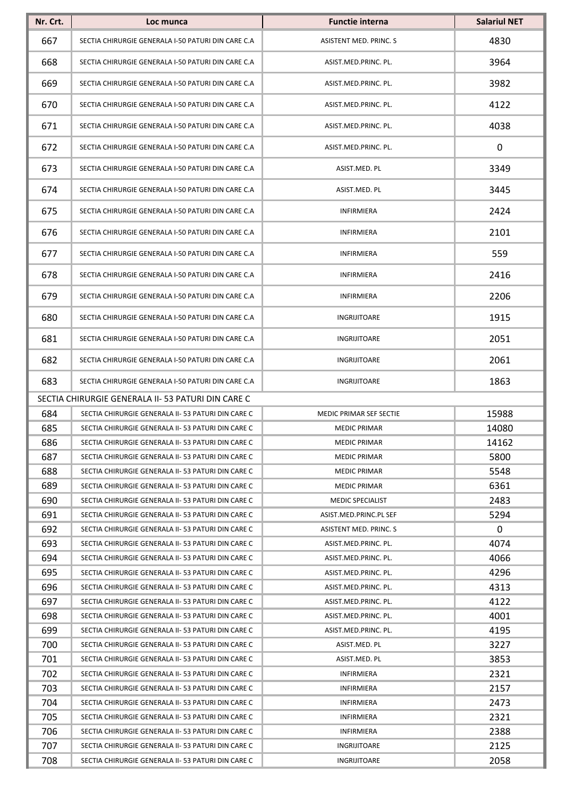| Nr. Crt. | Loc munca                                          | <b>Functie interna</b>  | <b>Salariul NET</b> |
|----------|----------------------------------------------------|-------------------------|---------------------|
| 667      | SECTIA CHIRURGIE GENERALA I-50 PATURI DIN CARE C.A | ASISTENT MED. PRINC. S  | 4830                |
| 668      | SECTIA CHIRURGIE GENERALA I-50 PATURI DIN CARE C.A | ASIST.MED.PRINC. PL.    | 3964                |
| 669      | SECTIA CHIRURGIE GENERALA I-50 PATURI DIN CARE C.A | ASIST.MED.PRINC. PL.    | 3982                |
| 670      | SECTIA CHIRURGIE GENERALA I-50 PATURI DIN CARE C.A | ASIST.MED.PRINC. PL.    | 4122                |
| 671      | SECTIA CHIRURGIE GENERALA I-50 PATURI DIN CARE C.A | ASIST.MED.PRINC. PL.    | 4038                |
| 672      | SECTIA CHIRURGIE GENERALA I-50 PATURI DIN CARE C.A | ASIST.MED.PRINC. PL.    | 0                   |
| 673      | SECTIA CHIRURGIE GENERALA I-50 PATURI DIN CARE C.A | ASIST.MED. PL           | 3349                |
| 674      | SECTIA CHIRURGIE GENERALA I-50 PATURI DIN CARE C.A | ASIST.MED. PL           | 3445                |
| 675      | SECTIA CHIRURGIE GENERALA I-50 PATURI DIN CARE C.A | <b>INFIRMIERA</b>       | 2424                |
| 676      | SECTIA CHIRURGIE GENERALA I-50 PATURI DIN CARE C.A | <b>INFIRMIERA</b>       | 2101                |
| 677      | SECTIA CHIRURGIE GENERALA I-50 PATURI DIN CARE C.A | <b>INFIRMIERA</b>       | 559                 |
| 678      | SECTIA CHIRURGIE GENERALA I-50 PATURI DIN CARE C.A | <b>INFIRMIERA</b>       | 2416                |
| 679      | SECTIA CHIRURGIE GENERALA I-50 PATURI DIN CARE C.A | <b>INFIRMIERA</b>       | 2206                |
| 680      | SECTIA CHIRURGIE GENERALA I-50 PATURI DIN CARE C.A | INGRIJITOARE            | 1915                |
| 681      | SECTIA CHIRURGIE GENERALA I-50 PATURI DIN CARE C.A | INGRIJITOARE            | 2051                |
| 682      | SECTIA CHIRURGIE GENERALA I-50 PATURI DIN CARE C.A | INGRIJITOARE            | 2061                |
| 683      | SECTIA CHIRURGIE GENERALA I-50 PATURI DIN CARE C.A | <b>INGRIJITOARE</b>     | 1863                |
|          | SECTIA CHIRURGIE GENERALA II- 53 PATURI DIN CARE C |                         |                     |
| 684      | SECTIA CHIRURGIE GENERALA II- 53 PATURI DIN CARE C | MEDIC PRIMAR SEF SECTIE | 15988               |
| 685      | SECTIA CHIRURGIE GENERALA II- 53 PATURI DIN CARE C | <b>MEDIC PRIMAR</b>     | 14080               |
| 686      | SECTIA CHIRURGIE GENERALA II-53 PATURI DIN CARE C  | MEDIC PRIMAR            | 14162               |
| 687      | SECTIA CHIRURGIE GENERALA II-53 PATURI DIN CARE C  | <b>MEDIC PRIMAR</b>     | 5800                |
| 688      | SECTIA CHIRURGIE GENERALA II- 53 PATURI DIN CARE C | <b>MEDIC PRIMAR</b>     | 5548                |
| 689      | SECTIA CHIRURGIE GENERALA II- 53 PATURI DIN CARE C | <b>MEDIC PRIMAR</b>     | 6361                |
| 690      | SECTIA CHIRURGIE GENERALA II-53 PATURI DIN CARE C  | <b>MEDIC SPECIALIST</b> | 2483                |
| 691      | SECTIA CHIRURGIE GENERALA II- 53 PATURI DIN CARE C | ASIST.MED.PRINC.PL SEF  | 5294                |
| 692      | SECTIA CHIRURGIE GENERALA II-53 PATURI DIN CARE C  | ASISTENT MED. PRINC. S  | 0                   |
| 693      | SECTIA CHIRURGIE GENERALA II-53 PATURI DIN CARE C  | ASIST.MED.PRINC. PL.    | 4074                |
| 694      | SECTIA CHIRURGIE GENERALA II-53 PATURI DIN CARE C  | ASIST.MED.PRINC. PL.    | 4066                |
| 695      | SECTIA CHIRURGIE GENERALA II-53 PATURI DIN CARE C  | ASIST.MED.PRINC. PL.    | 4296                |
| 696      | SECTIA CHIRURGIE GENERALA II- 53 PATURI DIN CARE C | ASIST.MED.PRINC. PL.    | 4313                |
| 697      | SECTIA CHIRURGIE GENERALA II- 53 PATURI DIN CARE C | ASIST.MED.PRINC. PL.    | 4122                |
| 698      | SECTIA CHIRURGIE GENERALA II- 53 PATURI DIN CARE C | ASIST.MED.PRINC. PL.    | 4001                |
| 699      | SECTIA CHIRURGIE GENERALA II- 53 PATURI DIN CARE C | ASIST.MED.PRINC. PL.    | 4195                |
| 700      | SECTIA CHIRURGIE GENERALA II- 53 PATURI DIN CARE C | ASIST.MED. PL           | 3227                |
| 701      | SECTIA CHIRURGIE GENERALA II-53 PATURI DIN CARE C  | ASIST.MED. PL           | 3853                |
| 702      | SECTIA CHIRURGIE GENERALA II- 53 PATURI DIN CARE C | INFIRMIERA              | 2321                |
| 703      | SECTIA CHIRURGIE GENERALA II- 53 PATURI DIN CARE C | <b>INFIRMIERA</b>       | 2157                |
| 704      | SECTIA CHIRURGIE GENERALA II-53 PATURI DIN CARE C  | <b>INFIRMIERA</b>       | 2473                |
| 705      | SECTIA CHIRURGIE GENERALA II-53 PATURI DIN CARE C  | <b>INFIRMIERA</b>       | 2321                |
| 706      | SECTIA CHIRURGIE GENERALA II- 53 PATURI DIN CARE C | <b>INFIRMIERA</b>       | 2388                |
| 707      | SECTIA CHIRURGIE GENERALA II-53 PATURI DIN CARE C  | INGRIJITOARE            | 2125                |
| 708      | SECTIA CHIRURGIE GENERALA II-53 PATURI DIN CARE C  | INGRIJITOARE            | 2058                |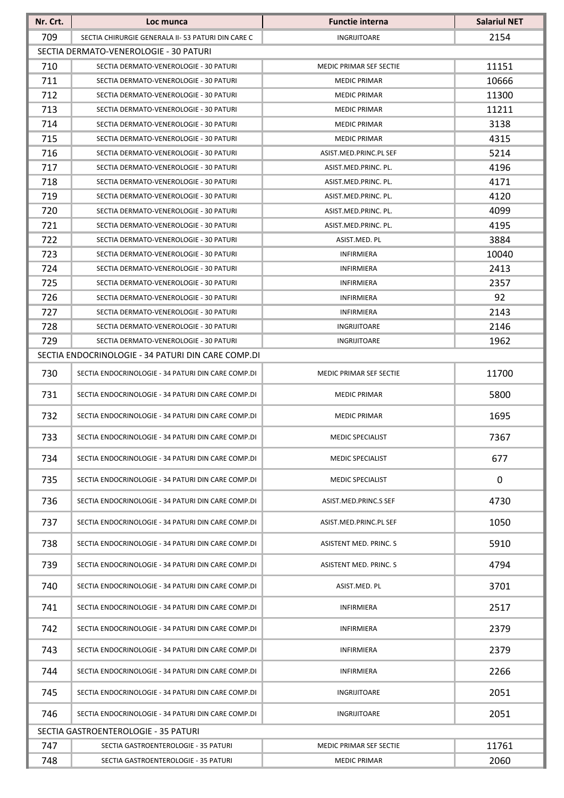| Nr. Crt.   | Loc munca                                                                        | <b>Functie interna</b>                       | <b>Salariul NET</b> |  |  |
|------------|----------------------------------------------------------------------------------|----------------------------------------------|---------------------|--|--|
| 709        | SECTIA CHIRURGIE GENERALA II-53 PATURI DIN CARE C                                | INGRIJITOARE                                 | 2154                |  |  |
|            | SECTIA DERMATO-VENEROLOGIE - 30 PATURI                                           |                                              |                     |  |  |
| 710        | SECTIA DERMATO-VENEROLOGIE - 30 PATURI                                           | MEDIC PRIMAR SEF SECTIE                      | 11151               |  |  |
| 711        | SECTIA DERMATO-VENEROLOGIE - 30 PATURI                                           | <b>MEDIC PRIMAR</b>                          | 10666               |  |  |
| 712        | SECTIA DERMATO-VENEROLOGIE - 30 PATURI                                           | <b>MEDIC PRIMAR</b>                          | 11300               |  |  |
| 713        | SECTIA DERMATO-VENEROLOGIE - 30 PATURI                                           | <b>MEDIC PRIMAR</b>                          | 11211               |  |  |
| 714        | SECTIA DERMATO-VENEROLOGIE - 30 PATURI                                           | <b>MEDIC PRIMAR</b>                          | 3138                |  |  |
| 715        | SECTIA DERMATO-VENEROLOGIE - 30 PATURI                                           | <b>MEDIC PRIMAR</b>                          | 4315                |  |  |
| 716        | SECTIA DERMATO-VENEROLOGIE - 30 PATURI                                           | ASIST.MED.PRINC.PL SEF                       | 5214                |  |  |
| 717        | SECTIA DERMATO-VENEROLOGIE - 30 PATURI                                           | ASIST.MED.PRINC. PL.                         | 4196                |  |  |
| 718<br>719 | SECTIA DERMATO-VENEROLOGIE - 30 PATURI<br>SECTIA DERMATO-VENEROLOGIE - 30 PATURI | ASIST.MED.PRINC. PL.<br>ASIST.MED.PRINC. PL. | 4171<br>4120        |  |  |
| 720        | SECTIA DERMATO-VENEROLOGIE - 30 PATURI                                           | ASIST.MED.PRINC. PL.                         | 4099                |  |  |
| 721        | SECTIA DERMATO-VENEROLOGIE - 30 PATURI                                           | ASIST.MED.PRINC. PL.                         | 4195                |  |  |
| 722        | SECTIA DERMATO-VENEROLOGIE - 30 PATURI                                           | ASIST.MED. PL                                | 3884                |  |  |
| 723        | SECTIA DERMATO-VENEROLOGIE - 30 PATURI                                           | <b>INFIRMIERA</b>                            | 10040               |  |  |
| 724        | SECTIA DERMATO-VENEROLOGIE - 30 PATURI                                           | <b>INFIRMIERA</b>                            | 2413                |  |  |
| 725        | SECTIA DERMATO-VENEROLOGIE - 30 PATURI                                           | <b>INFIRMIERA</b>                            | 2357                |  |  |
| 726        | SECTIA DERMATO-VENEROLOGIE - 30 PATURI                                           | INFIRMIERA                                   | 92                  |  |  |
| 727        | SECTIA DERMATO-VENEROLOGIE - 30 PATURI                                           | <b>INFIRMIERA</b>                            | 2143                |  |  |
| 728        | SECTIA DERMATO-VENEROLOGIE - 30 PATURI                                           | INGRIJITOARE                                 | 2146                |  |  |
| 729        | SECTIA DERMATO-VENEROLOGIE - 30 PATURI                                           | INGRIJITOARE                                 | 1962                |  |  |
|            | SECTIA ENDOCRINOLOGIE - 34 PATURI DIN CARE COMP.DI                               |                                              |                     |  |  |
| 730        | SECTIA ENDOCRINOLOGIE - 34 PATURI DIN CARE COMP.DI                               | MEDIC PRIMAR SEF SECTIE                      | 11700               |  |  |
| 731        | SECTIA ENDOCRINOLOGIE - 34 PATURI DIN CARE COMP.DI                               | <b>MEDIC PRIMAR</b>                          | 5800                |  |  |
| 732        | SECTIA ENDOCRINOLOGIE - 34 PATURI DIN CARE COMP.DI                               | <b>MEDIC PRIMAR</b>                          | 1695                |  |  |
| 733        | SECTIA ENDOCRINOLOGIE - 34 PATURI DIN CARE COMP.DI                               | MEDIC SPECIALIST                             | 7367                |  |  |
| 734        | SECTIA ENDOCRINOLOGIE - 34 PATURI DIN CARE COMP.DI                               | MEDIC SPECIALIST                             | 677                 |  |  |
| 735        | SECTIA ENDOCRINOLOGIE - 34 PATURI DIN CARE COMP.DI                               | MEDIC SPECIALIST                             | $\mathbf 0$         |  |  |
| 736        | SECTIA ENDOCRINOLOGIE - 34 PATURI DIN CARE COMP.DI                               | ASIST.MED.PRINC.S SEF                        | 4730                |  |  |
| 737        | SECTIA ENDOCRINOLOGIE - 34 PATURI DIN CARE COMP.DI                               | ASIST.MED.PRINC.PL SEF                       | 1050                |  |  |
| 738        | SECTIA ENDOCRINOLOGIE - 34 PATURI DIN CARE COMP.DI                               | ASISTENT MED. PRINC. S                       | 5910                |  |  |
| 739        | SECTIA ENDOCRINOLOGIE - 34 PATURI DIN CARE COMP.DI                               | ASISTENT MED. PRINC. S                       | 4794                |  |  |
| 740        | SECTIA ENDOCRINOLOGIE - 34 PATURI DIN CARE COMP.DI                               | ASIST.MED. PL                                | 3701                |  |  |
| 741        | SECTIA ENDOCRINOLOGIE - 34 PATURI DIN CARE COMP.DI                               | INFIRMIERA                                   | 2517                |  |  |
| 742        | SECTIA ENDOCRINOLOGIE - 34 PATURI DIN CARE COMP.DI                               | <b>INFIRMIERA</b>                            | 2379                |  |  |
| 743        | SECTIA ENDOCRINOLOGIE - 34 PATURI DIN CARE COMP.DI                               | <b>INFIRMIERA</b>                            | 2379                |  |  |
| 744        | SECTIA ENDOCRINOLOGIE - 34 PATURI DIN CARE COMP.DI                               | <b>INFIRMIERA</b>                            | 2266                |  |  |
| 745        | SECTIA ENDOCRINOLOGIE - 34 PATURI DIN CARE COMP.DI                               | INGRIJITOARE                                 | 2051                |  |  |
| 746        | SECTIA ENDOCRINOLOGIE - 34 PATURI DIN CARE COMP.DI                               | INGRIJITOARE                                 | 2051                |  |  |
|            | SECTIA GASTROENTEROLOGIE - 35 PATURI                                             |                                              |                     |  |  |
| 747        | SECTIA GASTROENTEROLOGIE - 35 PATURI                                             | <b>MEDIC PRIMAR SEF SECTIE</b>               | 11761               |  |  |
| 748        | SECTIA GASTROENTEROLOGIE - 35 PATURI                                             | MEDIC PRIMAR                                 | 2060                |  |  |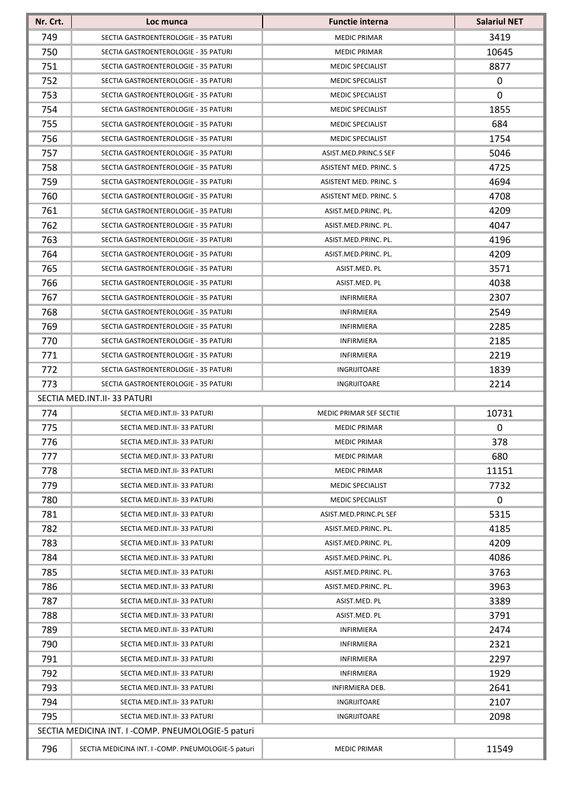| 749<br>3419<br>SECTIA GASTROENTEROLOGIE - 35 PATURI<br><b>MEDIC PRIMAR</b><br>750<br><b>MEDIC PRIMAR</b><br>10645<br>SECTIA GASTROENTEROLOGIE - 35 PATURI<br>751<br>8877<br>SECTIA GASTROENTEROLOGIE - 35 PATURI<br><b>MEDIC SPECIALIST</b><br>752<br>0<br>SECTIA GASTROENTEROLOGIE - 35 PATURI<br><b>MEDIC SPECIALIST</b><br>753<br>0<br>SECTIA GASTROENTEROLOGIE - 35 PATURI<br><b>MEDIC SPECIALIST</b><br>754<br>1855<br>SECTIA GASTROENTEROLOGIE - 35 PATURI<br><b>MEDIC SPECIALIST</b><br>755<br>684<br><b>MEDIC SPECIALIST</b><br>SECTIA GASTROENTEROLOGIE - 35 PATURI<br>756<br>1754<br>SECTIA GASTROENTEROLOGIE - 35 PATURI<br><b>MEDIC SPECIALIST</b><br>757<br>5046<br>SECTIA GASTROENTEROLOGIE - 35 PATURI<br>ASIST.MED.PRINC.S SEF<br>758<br>4725<br>ASISTENT MED. PRINC. S<br>SECTIA GASTROENTEROLOGIE - 35 PATURI<br>759<br>4694<br>SECTIA GASTROENTEROLOGIE - 35 PATURI<br>ASISTENT MED. PRINC. S<br>760<br>4708<br>SECTIA GASTROENTEROLOGIE - 35 PATURI<br>ASISTENT MED. PRINC. S<br>4209<br>761<br>SECTIA GASTROENTEROLOGIE - 35 PATURI<br>ASIST.MED.PRINC. PL.<br>762<br>4047<br>SECTIA GASTROENTEROLOGIE - 35 PATURI<br>ASIST.MED.PRINC. PL.<br>763<br>4196<br>SECTIA GASTROENTEROLOGIE - 35 PATURI<br>ASIST.MED.PRINC. PL.<br>764<br>4209<br>SECTIA GASTROENTEROLOGIE - 35 PATURI<br>ASIST.MED.PRINC. PL.<br>765<br>3571<br>SECTIA GASTROENTEROLOGIE - 35 PATURI<br>ASIST.MED. PL<br>766<br>4038<br>ASIST.MED. PL<br>SECTIA GASTROENTEROLOGIE - 35 PATURI<br>767<br>2307<br><b>INFIRMIERA</b><br>SECTIA GASTROENTEROLOGIE - 35 PATURI<br>768<br>2549<br>SECTIA GASTROENTEROLOGIE - 35 PATURI<br><b>INFIRMIERA</b><br>769<br>2285<br>SECTIA GASTROENTEROLOGIE - 35 PATURI<br>INFIRMIERA<br>770<br>2185<br>SECTIA GASTROENTEROLOGIE - 35 PATURI<br><b>INFIRMIERA</b><br>771<br>2219<br>SECTIA GASTROENTEROLOGIE - 35 PATURI<br>INFIRMIERA<br>772<br>1839<br>SECTIA GASTROENTEROLOGIE - 35 PATURI<br>INGRIJITOARE<br>773<br>2214<br>SECTIA GASTROENTEROLOGIE - 35 PATURI<br>INGRIJITOARE<br>SECTIA MED.INT.II-33 PATURI<br>10731<br>774<br>SECTIA MED.INT.II-33 PATURI<br>MEDIC PRIMAR SEF SECTIE<br>775<br>0<br>SECTIA MED.INT.II-33 PATURI<br><b>MEDIC PRIMAR</b><br>776<br>SECTIA MED.INT.II-33 PATURI<br><b>MEDIC PRIMAR</b><br>378<br>680<br>777<br>SECTIA MED.INT.II-33 PATURI<br><b>MEDIC PRIMAR</b><br>778<br>11151<br>SECTIA MED.INT.II-33 PATURI<br><b>MEDIC PRIMAR</b><br>779<br>7732<br>SECTIA MED.INT.II-33 PATURI<br><b>MEDIC SPECIALIST</b><br>780<br>0<br>SECTIA MED.INT.II-33 PATURI<br><b>MEDIC SPECIALIST</b><br>781<br>5315<br>SECTIA MED.INT.II-33 PATURI<br>ASIST.MED.PRINC.PL SEF<br>782<br>4185<br>SECTIA MED.INT.II-33 PATURI<br>ASIST.MED.PRINC. PL.<br>783<br>4209<br>SECTIA MED.INT.II-33 PATURI<br>ASIST.MED.PRINC. PL.<br>4086<br>784<br>ASIST.MED.PRINC. PL.<br>SECTIA MED.INT.II-33 PATURI<br>785<br>3763<br>SECTIA MED.INT.II-33 PATURI<br>ASIST.MED.PRINC. PL.<br>3963<br>786<br>SECTIA MED.INT.II-33 PATURI<br>ASIST.MED.PRINC. PL.<br>787<br>3389<br>SECTIA MED.INT.II-33 PATURI<br>ASIST.MED. PL<br>788<br>3791<br>SECTIA MED.INT.II-33 PATURI<br>ASIST.MED. PL<br>789<br>2474<br>SECTIA MED.INT.II-33 PATURI<br><b>INFIRMIERA</b><br>790<br>2321<br><b>INFIRMIERA</b><br>SECTIA MED.INT.II-33 PATURI<br>2297<br>791<br>SECTIA MED.INT.II-33 PATURI<br><b>INFIRMIERA</b><br>792<br>1929<br>SECTIA MED.INT.II-33 PATURI<br><b>INFIRMIERA</b><br>793<br>2641<br>SECTIA MED.INT.II-33 PATURI<br>INFIRMIERA DEB.<br>2107<br>794<br>SECTIA MED.INT.II-33 PATURI<br>INGRIJITOARE<br>2098<br>795<br>SECTIA MED.INT.II-33 PATURI<br>INGRIJITOARE<br>SECTIA MEDICINA INT. I - COMP. PNEUMOLOGIE-5 paturi<br>11549<br>796<br>SECTIA MEDICINA INT. I -COMP. PNEUMOLOGIE-5 paturi<br><b>MEDIC PRIMAR</b> | Nr. Crt. | Loc munca | <b>Functie interna</b> | <b>Salariul NET</b> |
|----------------------------------------------------------------------------------------------------------------------------------------------------------------------------------------------------------------------------------------------------------------------------------------------------------------------------------------------------------------------------------------------------------------------------------------------------------------------------------------------------------------------------------------------------------------------------------------------------------------------------------------------------------------------------------------------------------------------------------------------------------------------------------------------------------------------------------------------------------------------------------------------------------------------------------------------------------------------------------------------------------------------------------------------------------------------------------------------------------------------------------------------------------------------------------------------------------------------------------------------------------------------------------------------------------------------------------------------------------------------------------------------------------------------------------------------------------------------------------------------------------------------------------------------------------------------------------------------------------------------------------------------------------------------------------------------------------------------------------------------------------------------------------------------------------------------------------------------------------------------------------------------------------------------------------------------------------------------------------------------------------------------------------------------------------------------------------------------------------------------------------------------------------------------------------------------------------------------------------------------------------------------------------------------------------------------------------------------------------------------------------------------------------------------------------------------------------------------------------------------------------------------------------------------------------------------------------------------------------------------------------------------------------------------------------------------------------------------------------------------------------------------------------------------------------------------------------------------------------------------------------------------------------------------------------------------------------------------------------------------------------------------------------------------------------------------------------------------------------------------------------------------------------------------------------------------------------------------------------------------------------------------------------------------------------------------------------------------------------------------------------------------------------------------------------------------------------------------------------------------------------------------------------------------------------------------------------------------------------------------------------------------------------------------------------------------------------------------------------------------------|----------|-----------|------------------------|---------------------|
|                                                                                                                                                                                                                                                                                                                                                                                                                                                                                                                                                                                                                                                                                                                                                                                                                                                                                                                                                                                                                                                                                                                                                                                                                                                                                                                                                                                                                                                                                                                                                                                                                                                                                                                                                                                                                                                                                                                                                                                                                                                                                                                                                                                                                                                                                                                                                                                                                                                                                                                                                                                                                                                                                                                                                                                                                                                                                                                                                                                                                                                                                                                                                                                                                                                                                                                                                                                                                                                                                                                                                                                                                                                                                                                                                    |          |           |                        |                     |
|                                                                                                                                                                                                                                                                                                                                                                                                                                                                                                                                                                                                                                                                                                                                                                                                                                                                                                                                                                                                                                                                                                                                                                                                                                                                                                                                                                                                                                                                                                                                                                                                                                                                                                                                                                                                                                                                                                                                                                                                                                                                                                                                                                                                                                                                                                                                                                                                                                                                                                                                                                                                                                                                                                                                                                                                                                                                                                                                                                                                                                                                                                                                                                                                                                                                                                                                                                                                                                                                                                                                                                                                                                                                                                                                                    |          |           |                        |                     |
|                                                                                                                                                                                                                                                                                                                                                                                                                                                                                                                                                                                                                                                                                                                                                                                                                                                                                                                                                                                                                                                                                                                                                                                                                                                                                                                                                                                                                                                                                                                                                                                                                                                                                                                                                                                                                                                                                                                                                                                                                                                                                                                                                                                                                                                                                                                                                                                                                                                                                                                                                                                                                                                                                                                                                                                                                                                                                                                                                                                                                                                                                                                                                                                                                                                                                                                                                                                                                                                                                                                                                                                                                                                                                                                                                    |          |           |                        |                     |
|                                                                                                                                                                                                                                                                                                                                                                                                                                                                                                                                                                                                                                                                                                                                                                                                                                                                                                                                                                                                                                                                                                                                                                                                                                                                                                                                                                                                                                                                                                                                                                                                                                                                                                                                                                                                                                                                                                                                                                                                                                                                                                                                                                                                                                                                                                                                                                                                                                                                                                                                                                                                                                                                                                                                                                                                                                                                                                                                                                                                                                                                                                                                                                                                                                                                                                                                                                                                                                                                                                                                                                                                                                                                                                                                                    |          |           |                        |                     |
|                                                                                                                                                                                                                                                                                                                                                                                                                                                                                                                                                                                                                                                                                                                                                                                                                                                                                                                                                                                                                                                                                                                                                                                                                                                                                                                                                                                                                                                                                                                                                                                                                                                                                                                                                                                                                                                                                                                                                                                                                                                                                                                                                                                                                                                                                                                                                                                                                                                                                                                                                                                                                                                                                                                                                                                                                                                                                                                                                                                                                                                                                                                                                                                                                                                                                                                                                                                                                                                                                                                                                                                                                                                                                                                                                    |          |           |                        |                     |
|                                                                                                                                                                                                                                                                                                                                                                                                                                                                                                                                                                                                                                                                                                                                                                                                                                                                                                                                                                                                                                                                                                                                                                                                                                                                                                                                                                                                                                                                                                                                                                                                                                                                                                                                                                                                                                                                                                                                                                                                                                                                                                                                                                                                                                                                                                                                                                                                                                                                                                                                                                                                                                                                                                                                                                                                                                                                                                                                                                                                                                                                                                                                                                                                                                                                                                                                                                                                                                                                                                                                                                                                                                                                                                                                                    |          |           |                        |                     |
|                                                                                                                                                                                                                                                                                                                                                                                                                                                                                                                                                                                                                                                                                                                                                                                                                                                                                                                                                                                                                                                                                                                                                                                                                                                                                                                                                                                                                                                                                                                                                                                                                                                                                                                                                                                                                                                                                                                                                                                                                                                                                                                                                                                                                                                                                                                                                                                                                                                                                                                                                                                                                                                                                                                                                                                                                                                                                                                                                                                                                                                                                                                                                                                                                                                                                                                                                                                                                                                                                                                                                                                                                                                                                                                                                    |          |           |                        |                     |
|                                                                                                                                                                                                                                                                                                                                                                                                                                                                                                                                                                                                                                                                                                                                                                                                                                                                                                                                                                                                                                                                                                                                                                                                                                                                                                                                                                                                                                                                                                                                                                                                                                                                                                                                                                                                                                                                                                                                                                                                                                                                                                                                                                                                                                                                                                                                                                                                                                                                                                                                                                                                                                                                                                                                                                                                                                                                                                                                                                                                                                                                                                                                                                                                                                                                                                                                                                                                                                                                                                                                                                                                                                                                                                                                                    |          |           |                        |                     |
|                                                                                                                                                                                                                                                                                                                                                                                                                                                                                                                                                                                                                                                                                                                                                                                                                                                                                                                                                                                                                                                                                                                                                                                                                                                                                                                                                                                                                                                                                                                                                                                                                                                                                                                                                                                                                                                                                                                                                                                                                                                                                                                                                                                                                                                                                                                                                                                                                                                                                                                                                                                                                                                                                                                                                                                                                                                                                                                                                                                                                                                                                                                                                                                                                                                                                                                                                                                                                                                                                                                                                                                                                                                                                                                                                    |          |           |                        |                     |
|                                                                                                                                                                                                                                                                                                                                                                                                                                                                                                                                                                                                                                                                                                                                                                                                                                                                                                                                                                                                                                                                                                                                                                                                                                                                                                                                                                                                                                                                                                                                                                                                                                                                                                                                                                                                                                                                                                                                                                                                                                                                                                                                                                                                                                                                                                                                                                                                                                                                                                                                                                                                                                                                                                                                                                                                                                                                                                                                                                                                                                                                                                                                                                                                                                                                                                                                                                                                                                                                                                                                                                                                                                                                                                                                                    |          |           |                        |                     |
|                                                                                                                                                                                                                                                                                                                                                                                                                                                                                                                                                                                                                                                                                                                                                                                                                                                                                                                                                                                                                                                                                                                                                                                                                                                                                                                                                                                                                                                                                                                                                                                                                                                                                                                                                                                                                                                                                                                                                                                                                                                                                                                                                                                                                                                                                                                                                                                                                                                                                                                                                                                                                                                                                                                                                                                                                                                                                                                                                                                                                                                                                                                                                                                                                                                                                                                                                                                                                                                                                                                                                                                                                                                                                                                                                    |          |           |                        |                     |
|                                                                                                                                                                                                                                                                                                                                                                                                                                                                                                                                                                                                                                                                                                                                                                                                                                                                                                                                                                                                                                                                                                                                                                                                                                                                                                                                                                                                                                                                                                                                                                                                                                                                                                                                                                                                                                                                                                                                                                                                                                                                                                                                                                                                                                                                                                                                                                                                                                                                                                                                                                                                                                                                                                                                                                                                                                                                                                                                                                                                                                                                                                                                                                                                                                                                                                                                                                                                                                                                                                                                                                                                                                                                                                                                                    |          |           |                        |                     |
|                                                                                                                                                                                                                                                                                                                                                                                                                                                                                                                                                                                                                                                                                                                                                                                                                                                                                                                                                                                                                                                                                                                                                                                                                                                                                                                                                                                                                                                                                                                                                                                                                                                                                                                                                                                                                                                                                                                                                                                                                                                                                                                                                                                                                                                                                                                                                                                                                                                                                                                                                                                                                                                                                                                                                                                                                                                                                                                                                                                                                                                                                                                                                                                                                                                                                                                                                                                                                                                                                                                                                                                                                                                                                                                                                    |          |           |                        |                     |
|                                                                                                                                                                                                                                                                                                                                                                                                                                                                                                                                                                                                                                                                                                                                                                                                                                                                                                                                                                                                                                                                                                                                                                                                                                                                                                                                                                                                                                                                                                                                                                                                                                                                                                                                                                                                                                                                                                                                                                                                                                                                                                                                                                                                                                                                                                                                                                                                                                                                                                                                                                                                                                                                                                                                                                                                                                                                                                                                                                                                                                                                                                                                                                                                                                                                                                                                                                                                                                                                                                                                                                                                                                                                                                                                                    |          |           |                        |                     |
|                                                                                                                                                                                                                                                                                                                                                                                                                                                                                                                                                                                                                                                                                                                                                                                                                                                                                                                                                                                                                                                                                                                                                                                                                                                                                                                                                                                                                                                                                                                                                                                                                                                                                                                                                                                                                                                                                                                                                                                                                                                                                                                                                                                                                                                                                                                                                                                                                                                                                                                                                                                                                                                                                                                                                                                                                                                                                                                                                                                                                                                                                                                                                                                                                                                                                                                                                                                                                                                                                                                                                                                                                                                                                                                                                    |          |           |                        |                     |
|                                                                                                                                                                                                                                                                                                                                                                                                                                                                                                                                                                                                                                                                                                                                                                                                                                                                                                                                                                                                                                                                                                                                                                                                                                                                                                                                                                                                                                                                                                                                                                                                                                                                                                                                                                                                                                                                                                                                                                                                                                                                                                                                                                                                                                                                                                                                                                                                                                                                                                                                                                                                                                                                                                                                                                                                                                                                                                                                                                                                                                                                                                                                                                                                                                                                                                                                                                                                                                                                                                                                                                                                                                                                                                                                                    |          |           |                        |                     |
|                                                                                                                                                                                                                                                                                                                                                                                                                                                                                                                                                                                                                                                                                                                                                                                                                                                                                                                                                                                                                                                                                                                                                                                                                                                                                                                                                                                                                                                                                                                                                                                                                                                                                                                                                                                                                                                                                                                                                                                                                                                                                                                                                                                                                                                                                                                                                                                                                                                                                                                                                                                                                                                                                                                                                                                                                                                                                                                                                                                                                                                                                                                                                                                                                                                                                                                                                                                                                                                                                                                                                                                                                                                                                                                                                    |          |           |                        |                     |
|                                                                                                                                                                                                                                                                                                                                                                                                                                                                                                                                                                                                                                                                                                                                                                                                                                                                                                                                                                                                                                                                                                                                                                                                                                                                                                                                                                                                                                                                                                                                                                                                                                                                                                                                                                                                                                                                                                                                                                                                                                                                                                                                                                                                                                                                                                                                                                                                                                                                                                                                                                                                                                                                                                                                                                                                                                                                                                                                                                                                                                                                                                                                                                                                                                                                                                                                                                                                                                                                                                                                                                                                                                                                                                                                                    |          |           |                        |                     |
|                                                                                                                                                                                                                                                                                                                                                                                                                                                                                                                                                                                                                                                                                                                                                                                                                                                                                                                                                                                                                                                                                                                                                                                                                                                                                                                                                                                                                                                                                                                                                                                                                                                                                                                                                                                                                                                                                                                                                                                                                                                                                                                                                                                                                                                                                                                                                                                                                                                                                                                                                                                                                                                                                                                                                                                                                                                                                                                                                                                                                                                                                                                                                                                                                                                                                                                                                                                                                                                                                                                                                                                                                                                                                                                                                    |          |           |                        |                     |
|                                                                                                                                                                                                                                                                                                                                                                                                                                                                                                                                                                                                                                                                                                                                                                                                                                                                                                                                                                                                                                                                                                                                                                                                                                                                                                                                                                                                                                                                                                                                                                                                                                                                                                                                                                                                                                                                                                                                                                                                                                                                                                                                                                                                                                                                                                                                                                                                                                                                                                                                                                                                                                                                                                                                                                                                                                                                                                                                                                                                                                                                                                                                                                                                                                                                                                                                                                                                                                                                                                                                                                                                                                                                                                                                                    |          |           |                        |                     |
|                                                                                                                                                                                                                                                                                                                                                                                                                                                                                                                                                                                                                                                                                                                                                                                                                                                                                                                                                                                                                                                                                                                                                                                                                                                                                                                                                                                                                                                                                                                                                                                                                                                                                                                                                                                                                                                                                                                                                                                                                                                                                                                                                                                                                                                                                                                                                                                                                                                                                                                                                                                                                                                                                                                                                                                                                                                                                                                                                                                                                                                                                                                                                                                                                                                                                                                                                                                                                                                                                                                                                                                                                                                                                                                                                    |          |           |                        |                     |
|                                                                                                                                                                                                                                                                                                                                                                                                                                                                                                                                                                                                                                                                                                                                                                                                                                                                                                                                                                                                                                                                                                                                                                                                                                                                                                                                                                                                                                                                                                                                                                                                                                                                                                                                                                                                                                                                                                                                                                                                                                                                                                                                                                                                                                                                                                                                                                                                                                                                                                                                                                                                                                                                                                                                                                                                                                                                                                                                                                                                                                                                                                                                                                                                                                                                                                                                                                                                                                                                                                                                                                                                                                                                                                                                                    |          |           |                        |                     |
|                                                                                                                                                                                                                                                                                                                                                                                                                                                                                                                                                                                                                                                                                                                                                                                                                                                                                                                                                                                                                                                                                                                                                                                                                                                                                                                                                                                                                                                                                                                                                                                                                                                                                                                                                                                                                                                                                                                                                                                                                                                                                                                                                                                                                                                                                                                                                                                                                                                                                                                                                                                                                                                                                                                                                                                                                                                                                                                                                                                                                                                                                                                                                                                                                                                                                                                                                                                                                                                                                                                                                                                                                                                                                                                                                    |          |           |                        |                     |
|                                                                                                                                                                                                                                                                                                                                                                                                                                                                                                                                                                                                                                                                                                                                                                                                                                                                                                                                                                                                                                                                                                                                                                                                                                                                                                                                                                                                                                                                                                                                                                                                                                                                                                                                                                                                                                                                                                                                                                                                                                                                                                                                                                                                                                                                                                                                                                                                                                                                                                                                                                                                                                                                                                                                                                                                                                                                                                                                                                                                                                                                                                                                                                                                                                                                                                                                                                                                                                                                                                                                                                                                                                                                                                                                                    |          |           |                        |                     |
|                                                                                                                                                                                                                                                                                                                                                                                                                                                                                                                                                                                                                                                                                                                                                                                                                                                                                                                                                                                                                                                                                                                                                                                                                                                                                                                                                                                                                                                                                                                                                                                                                                                                                                                                                                                                                                                                                                                                                                                                                                                                                                                                                                                                                                                                                                                                                                                                                                                                                                                                                                                                                                                                                                                                                                                                                                                                                                                                                                                                                                                                                                                                                                                                                                                                                                                                                                                                                                                                                                                                                                                                                                                                                                                                                    |          |           |                        |                     |
|                                                                                                                                                                                                                                                                                                                                                                                                                                                                                                                                                                                                                                                                                                                                                                                                                                                                                                                                                                                                                                                                                                                                                                                                                                                                                                                                                                                                                                                                                                                                                                                                                                                                                                                                                                                                                                                                                                                                                                                                                                                                                                                                                                                                                                                                                                                                                                                                                                                                                                                                                                                                                                                                                                                                                                                                                                                                                                                                                                                                                                                                                                                                                                                                                                                                                                                                                                                                                                                                                                                                                                                                                                                                                                                                                    |          |           |                        |                     |
|                                                                                                                                                                                                                                                                                                                                                                                                                                                                                                                                                                                                                                                                                                                                                                                                                                                                                                                                                                                                                                                                                                                                                                                                                                                                                                                                                                                                                                                                                                                                                                                                                                                                                                                                                                                                                                                                                                                                                                                                                                                                                                                                                                                                                                                                                                                                                                                                                                                                                                                                                                                                                                                                                                                                                                                                                                                                                                                                                                                                                                                                                                                                                                                                                                                                                                                                                                                                                                                                                                                                                                                                                                                                                                                                                    |          |           |                        |                     |
|                                                                                                                                                                                                                                                                                                                                                                                                                                                                                                                                                                                                                                                                                                                                                                                                                                                                                                                                                                                                                                                                                                                                                                                                                                                                                                                                                                                                                                                                                                                                                                                                                                                                                                                                                                                                                                                                                                                                                                                                                                                                                                                                                                                                                                                                                                                                                                                                                                                                                                                                                                                                                                                                                                                                                                                                                                                                                                                                                                                                                                                                                                                                                                                                                                                                                                                                                                                                                                                                                                                                                                                                                                                                                                                                                    |          |           |                        |                     |
|                                                                                                                                                                                                                                                                                                                                                                                                                                                                                                                                                                                                                                                                                                                                                                                                                                                                                                                                                                                                                                                                                                                                                                                                                                                                                                                                                                                                                                                                                                                                                                                                                                                                                                                                                                                                                                                                                                                                                                                                                                                                                                                                                                                                                                                                                                                                                                                                                                                                                                                                                                                                                                                                                                                                                                                                                                                                                                                                                                                                                                                                                                                                                                                                                                                                                                                                                                                                                                                                                                                                                                                                                                                                                                                                                    |          |           |                        |                     |
|                                                                                                                                                                                                                                                                                                                                                                                                                                                                                                                                                                                                                                                                                                                                                                                                                                                                                                                                                                                                                                                                                                                                                                                                                                                                                                                                                                                                                                                                                                                                                                                                                                                                                                                                                                                                                                                                                                                                                                                                                                                                                                                                                                                                                                                                                                                                                                                                                                                                                                                                                                                                                                                                                                                                                                                                                                                                                                                                                                                                                                                                                                                                                                                                                                                                                                                                                                                                                                                                                                                                                                                                                                                                                                                                                    |          |           |                        |                     |
|                                                                                                                                                                                                                                                                                                                                                                                                                                                                                                                                                                                                                                                                                                                                                                                                                                                                                                                                                                                                                                                                                                                                                                                                                                                                                                                                                                                                                                                                                                                                                                                                                                                                                                                                                                                                                                                                                                                                                                                                                                                                                                                                                                                                                                                                                                                                                                                                                                                                                                                                                                                                                                                                                                                                                                                                                                                                                                                                                                                                                                                                                                                                                                                                                                                                                                                                                                                                                                                                                                                                                                                                                                                                                                                                                    |          |           |                        |                     |
|                                                                                                                                                                                                                                                                                                                                                                                                                                                                                                                                                                                                                                                                                                                                                                                                                                                                                                                                                                                                                                                                                                                                                                                                                                                                                                                                                                                                                                                                                                                                                                                                                                                                                                                                                                                                                                                                                                                                                                                                                                                                                                                                                                                                                                                                                                                                                                                                                                                                                                                                                                                                                                                                                                                                                                                                                                                                                                                                                                                                                                                                                                                                                                                                                                                                                                                                                                                                                                                                                                                                                                                                                                                                                                                                                    |          |           |                        |                     |
|                                                                                                                                                                                                                                                                                                                                                                                                                                                                                                                                                                                                                                                                                                                                                                                                                                                                                                                                                                                                                                                                                                                                                                                                                                                                                                                                                                                                                                                                                                                                                                                                                                                                                                                                                                                                                                                                                                                                                                                                                                                                                                                                                                                                                                                                                                                                                                                                                                                                                                                                                                                                                                                                                                                                                                                                                                                                                                                                                                                                                                                                                                                                                                                                                                                                                                                                                                                                                                                                                                                                                                                                                                                                                                                                                    |          |           |                        |                     |
|                                                                                                                                                                                                                                                                                                                                                                                                                                                                                                                                                                                                                                                                                                                                                                                                                                                                                                                                                                                                                                                                                                                                                                                                                                                                                                                                                                                                                                                                                                                                                                                                                                                                                                                                                                                                                                                                                                                                                                                                                                                                                                                                                                                                                                                                                                                                                                                                                                                                                                                                                                                                                                                                                                                                                                                                                                                                                                                                                                                                                                                                                                                                                                                                                                                                                                                                                                                                                                                                                                                                                                                                                                                                                                                                                    |          |           |                        |                     |
|                                                                                                                                                                                                                                                                                                                                                                                                                                                                                                                                                                                                                                                                                                                                                                                                                                                                                                                                                                                                                                                                                                                                                                                                                                                                                                                                                                                                                                                                                                                                                                                                                                                                                                                                                                                                                                                                                                                                                                                                                                                                                                                                                                                                                                                                                                                                                                                                                                                                                                                                                                                                                                                                                                                                                                                                                                                                                                                                                                                                                                                                                                                                                                                                                                                                                                                                                                                                                                                                                                                                                                                                                                                                                                                                                    |          |           |                        |                     |
|                                                                                                                                                                                                                                                                                                                                                                                                                                                                                                                                                                                                                                                                                                                                                                                                                                                                                                                                                                                                                                                                                                                                                                                                                                                                                                                                                                                                                                                                                                                                                                                                                                                                                                                                                                                                                                                                                                                                                                                                                                                                                                                                                                                                                                                                                                                                                                                                                                                                                                                                                                                                                                                                                                                                                                                                                                                                                                                                                                                                                                                                                                                                                                                                                                                                                                                                                                                                                                                                                                                                                                                                                                                                                                                                                    |          |           |                        |                     |
|                                                                                                                                                                                                                                                                                                                                                                                                                                                                                                                                                                                                                                                                                                                                                                                                                                                                                                                                                                                                                                                                                                                                                                                                                                                                                                                                                                                                                                                                                                                                                                                                                                                                                                                                                                                                                                                                                                                                                                                                                                                                                                                                                                                                                                                                                                                                                                                                                                                                                                                                                                                                                                                                                                                                                                                                                                                                                                                                                                                                                                                                                                                                                                                                                                                                                                                                                                                                                                                                                                                                                                                                                                                                                                                                                    |          |           |                        |                     |
|                                                                                                                                                                                                                                                                                                                                                                                                                                                                                                                                                                                                                                                                                                                                                                                                                                                                                                                                                                                                                                                                                                                                                                                                                                                                                                                                                                                                                                                                                                                                                                                                                                                                                                                                                                                                                                                                                                                                                                                                                                                                                                                                                                                                                                                                                                                                                                                                                                                                                                                                                                                                                                                                                                                                                                                                                                                                                                                                                                                                                                                                                                                                                                                                                                                                                                                                                                                                                                                                                                                                                                                                                                                                                                                                                    |          |           |                        |                     |
|                                                                                                                                                                                                                                                                                                                                                                                                                                                                                                                                                                                                                                                                                                                                                                                                                                                                                                                                                                                                                                                                                                                                                                                                                                                                                                                                                                                                                                                                                                                                                                                                                                                                                                                                                                                                                                                                                                                                                                                                                                                                                                                                                                                                                                                                                                                                                                                                                                                                                                                                                                                                                                                                                                                                                                                                                                                                                                                                                                                                                                                                                                                                                                                                                                                                                                                                                                                                                                                                                                                                                                                                                                                                                                                                                    |          |           |                        |                     |
|                                                                                                                                                                                                                                                                                                                                                                                                                                                                                                                                                                                                                                                                                                                                                                                                                                                                                                                                                                                                                                                                                                                                                                                                                                                                                                                                                                                                                                                                                                                                                                                                                                                                                                                                                                                                                                                                                                                                                                                                                                                                                                                                                                                                                                                                                                                                                                                                                                                                                                                                                                                                                                                                                                                                                                                                                                                                                                                                                                                                                                                                                                                                                                                                                                                                                                                                                                                                                                                                                                                                                                                                                                                                                                                                                    |          |           |                        |                     |
|                                                                                                                                                                                                                                                                                                                                                                                                                                                                                                                                                                                                                                                                                                                                                                                                                                                                                                                                                                                                                                                                                                                                                                                                                                                                                                                                                                                                                                                                                                                                                                                                                                                                                                                                                                                                                                                                                                                                                                                                                                                                                                                                                                                                                                                                                                                                                                                                                                                                                                                                                                                                                                                                                                                                                                                                                                                                                                                                                                                                                                                                                                                                                                                                                                                                                                                                                                                                                                                                                                                                                                                                                                                                                                                                                    |          |           |                        |                     |
|                                                                                                                                                                                                                                                                                                                                                                                                                                                                                                                                                                                                                                                                                                                                                                                                                                                                                                                                                                                                                                                                                                                                                                                                                                                                                                                                                                                                                                                                                                                                                                                                                                                                                                                                                                                                                                                                                                                                                                                                                                                                                                                                                                                                                                                                                                                                                                                                                                                                                                                                                                                                                                                                                                                                                                                                                                                                                                                                                                                                                                                                                                                                                                                                                                                                                                                                                                                                                                                                                                                                                                                                                                                                                                                                                    |          |           |                        |                     |
|                                                                                                                                                                                                                                                                                                                                                                                                                                                                                                                                                                                                                                                                                                                                                                                                                                                                                                                                                                                                                                                                                                                                                                                                                                                                                                                                                                                                                                                                                                                                                                                                                                                                                                                                                                                                                                                                                                                                                                                                                                                                                                                                                                                                                                                                                                                                                                                                                                                                                                                                                                                                                                                                                                                                                                                                                                                                                                                                                                                                                                                                                                                                                                                                                                                                                                                                                                                                                                                                                                                                                                                                                                                                                                                                                    |          |           |                        |                     |
|                                                                                                                                                                                                                                                                                                                                                                                                                                                                                                                                                                                                                                                                                                                                                                                                                                                                                                                                                                                                                                                                                                                                                                                                                                                                                                                                                                                                                                                                                                                                                                                                                                                                                                                                                                                                                                                                                                                                                                                                                                                                                                                                                                                                                                                                                                                                                                                                                                                                                                                                                                                                                                                                                                                                                                                                                                                                                                                                                                                                                                                                                                                                                                                                                                                                                                                                                                                                                                                                                                                                                                                                                                                                                                                                                    |          |           |                        |                     |
|                                                                                                                                                                                                                                                                                                                                                                                                                                                                                                                                                                                                                                                                                                                                                                                                                                                                                                                                                                                                                                                                                                                                                                                                                                                                                                                                                                                                                                                                                                                                                                                                                                                                                                                                                                                                                                                                                                                                                                                                                                                                                                                                                                                                                                                                                                                                                                                                                                                                                                                                                                                                                                                                                                                                                                                                                                                                                                                                                                                                                                                                                                                                                                                                                                                                                                                                                                                                                                                                                                                                                                                                                                                                                                                                                    |          |           |                        |                     |
|                                                                                                                                                                                                                                                                                                                                                                                                                                                                                                                                                                                                                                                                                                                                                                                                                                                                                                                                                                                                                                                                                                                                                                                                                                                                                                                                                                                                                                                                                                                                                                                                                                                                                                                                                                                                                                                                                                                                                                                                                                                                                                                                                                                                                                                                                                                                                                                                                                                                                                                                                                                                                                                                                                                                                                                                                                                                                                                                                                                                                                                                                                                                                                                                                                                                                                                                                                                                                                                                                                                                                                                                                                                                                                                                                    |          |           |                        |                     |
|                                                                                                                                                                                                                                                                                                                                                                                                                                                                                                                                                                                                                                                                                                                                                                                                                                                                                                                                                                                                                                                                                                                                                                                                                                                                                                                                                                                                                                                                                                                                                                                                                                                                                                                                                                                                                                                                                                                                                                                                                                                                                                                                                                                                                                                                                                                                                                                                                                                                                                                                                                                                                                                                                                                                                                                                                                                                                                                                                                                                                                                                                                                                                                                                                                                                                                                                                                                                                                                                                                                                                                                                                                                                                                                                                    |          |           |                        |                     |
|                                                                                                                                                                                                                                                                                                                                                                                                                                                                                                                                                                                                                                                                                                                                                                                                                                                                                                                                                                                                                                                                                                                                                                                                                                                                                                                                                                                                                                                                                                                                                                                                                                                                                                                                                                                                                                                                                                                                                                                                                                                                                                                                                                                                                                                                                                                                                                                                                                                                                                                                                                                                                                                                                                                                                                                                                                                                                                                                                                                                                                                                                                                                                                                                                                                                                                                                                                                                                                                                                                                                                                                                                                                                                                                                                    |          |           |                        |                     |
|                                                                                                                                                                                                                                                                                                                                                                                                                                                                                                                                                                                                                                                                                                                                                                                                                                                                                                                                                                                                                                                                                                                                                                                                                                                                                                                                                                                                                                                                                                                                                                                                                                                                                                                                                                                                                                                                                                                                                                                                                                                                                                                                                                                                                                                                                                                                                                                                                                                                                                                                                                                                                                                                                                                                                                                                                                                                                                                                                                                                                                                                                                                                                                                                                                                                                                                                                                                                                                                                                                                                                                                                                                                                                                                                                    |          |           |                        |                     |
|                                                                                                                                                                                                                                                                                                                                                                                                                                                                                                                                                                                                                                                                                                                                                                                                                                                                                                                                                                                                                                                                                                                                                                                                                                                                                                                                                                                                                                                                                                                                                                                                                                                                                                                                                                                                                                                                                                                                                                                                                                                                                                                                                                                                                                                                                                                                                                                                                                                                                                                                                                                                                                                                                                                                                                                                                                                                                                                                                                                                                                                                                                                                                                                                                                                                                                                                                                                                                                                                                                                                                                                                                                                                                                                                                    |          |           |                        |                     |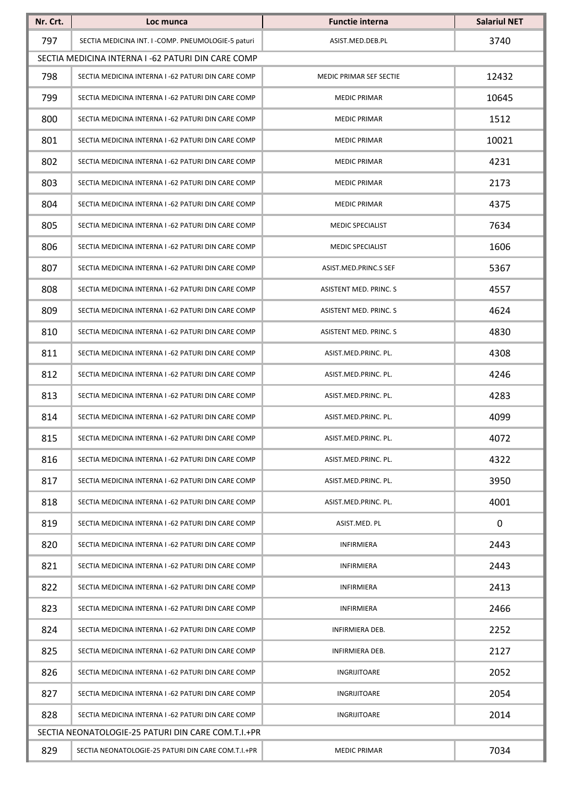| Nr. Crt. | Loc munca                                          | <b>Functie interna</b>  | <b>Salariul NET</b> |
|----------|----------------------------------------------------|-------------------------|---------------------|
| 797      | SECTIA MEDICINA INT. I -COMP. PNEUMOLOGIE-5 paturi | ASIST.MED.DEB.PL        | 3740                |
|          | SECTIA MEDICINA INTERNA I -62 PATURI DIN CARE COMP |                         |                     |
| 798      | SECTIA MEDICINA INTERNA I -62 PATURI DIN CARE COMP | MEDIC PRIMAR SEF SECTIE | 12432               |
| 799      | SECTIA MEDICINA INTERNA I -62 PATURI DIN CARE COMP | <b>MEDIC PRIMAR</b>     | 10645               |
| 800      | SECTIA MEDICINA INTERNA I -62 PATURI DIN CARE COMP | <b>MEDIC PRIMAR</b>     | 1512                |
| 801      | SECTIA MEDICINA INTERNA I -62 PATURI DIN CARE COMP | <b>MEDIC PRIMAR</b>     | 10021               |
| 802      | SECTIA MEDICINA INTERNA I -62 PATURI DIN CARE COMP | <b>MEDIC PRIMAR</b>     | 4231                |
| 803      | SECTIA MEDICINA INTERNA I -62 PATURI DIN CARE COMP | <b>MEDIC PRIMAR</b>     | 2173                |
| 804      | SECTIA MEDICINA INTERNA I -62 PATURI DIN CARE COMP | <b>MEDIC PRIMAR</b>     | 4375                |
| 805      | SECTIA MEDICINA INTERNA I -62 PATURI DIN CARE COMP | <b>MEDIC SPECIALIST</b> | 7634                |
| 806      | SECTIA MEDICINA INTERNA I -62 PATURI DIN CARE COMP | MEDIC SPECIALIST        | 1606                |
| 807      | SECTIA MEDICINA INTERNA I -62 PATURI DIN CARE COMP | ASIST.MED.PRINC.S SEF   | 5367                |
| 808      | SECTIA MEDICINA INTERNA I -62 PATURI DIN CARE COMP | ASISTENT MED. PRINC. S  | 4557                |
| 809      | SECTIA MEDICINA INTERNA I -62 PATURI DIN CARE COMP | ASISTENT MED. PRINC. S  | 4624                |
| 810      | SECTIA MEDICINA INTERNA I -62 PATURI DIN CARE COMP | ASISTENT MED. PRINC. S  | 4830                |
| 811      | SECTIA MEDICINA INTERNA I -62 PATURI DIN CARE COMP | ASIST.MED.PRINC. PL.    | 4308                |
| 812      | SECTIA MEDICINA INTERNA I -62 PATURI DIN CARE COMP | ASIST.MED.PRINC. PL.    | 4246                |
| 813      | SECTIA MEDICINA INTERNA I -62 PATURI DIN CARE COMP | ASIST.MED.PRINC. PL.    | 4283                |
| 814      | SECTIA MEDICINA INTERNA I -62 PATURI DIN CARE COMP | ASIST.MED.PRINC. PL.    | 4099                |
| 815      | SECTIA MEDICINA INTERNA I -62 PATURI DIN CARE COMP | ASIST.MED.PRINC. PL.    | 4072                |
| 816      | SECTIA MEDICINA INTERNA I -62 PATURI DIN CARE COMP | ASIST.MED.PRINC. PL.    | 4322                |
| 817      | SECTIA MEDICINA INTERNA I -62 PATURI DIN CARE COMP | ASIST.MED.PRINC. PL.    | 3950                |
| 818      | SECTIA MEDICINA INTERNA I -62 PATURI DIN CARE COMP | ASIST.MED.PRINC. PL.    | 4001                |
| 819      | SECTIA MEDICINA INTERNA I -62 PATURI DIN CARE COMP | ASIST.MED. PL           | 0                   |
| 820      | SECTIA MEDICINA INTERNA I -62 PATURI DIN CARE COMP | INFIRMIERA              | 2443                |
| 821      | SECTIA MEDICINA INTERNA I -62 PATURI DIN CARE COMP | INFIRMIERA              | 2443                |
| 822      | SECTIA MEDICINA INTERNA I -62 PATURI DIN CARE COMP | INFIRMIERA              | 2413                |
| 823      | SECTIA MEDICINA INTERNA I -62 PATURI DIN CARE COMP | INFIRMIERA              | 2466                |
| 824      | SECTIA MEDICINA INTERNA I -62 PATURI DIN CARE COMP | INFIRMIERA DEB.         | 2252                |
| 825      | SECTIA MEDICINA INTERNA I -62 PATURI DIN CARE COMP | INFIRMIERA DEB.         | 2127                |
| 826      | SECTIA MEDICINA INTERNA I -62 PATURI DIN CARE COMP | INGRIJITOARE            | 2052                |
| 827      | SECTIA MEDICINA INTERNA I -62 PATURI DIN CARE COMP | INGRIJITOARE            | 2054                |
| 828      | SECTIA MEDICINA INTERNA I -62 PATURI DIN CARE COMP | INGRIJITOARE            | 2014                |
|          | SECTIA NEONATOLOGIE-25 PATURI DIN CARE COM.T.I.+PR |                         |                     |
| 829      | SECTIA NEONATOLOGIE-25 PATURI DIN CARE COM.T.I.+PR | <b>MEDIC PRIMAR</b>     | 7034                |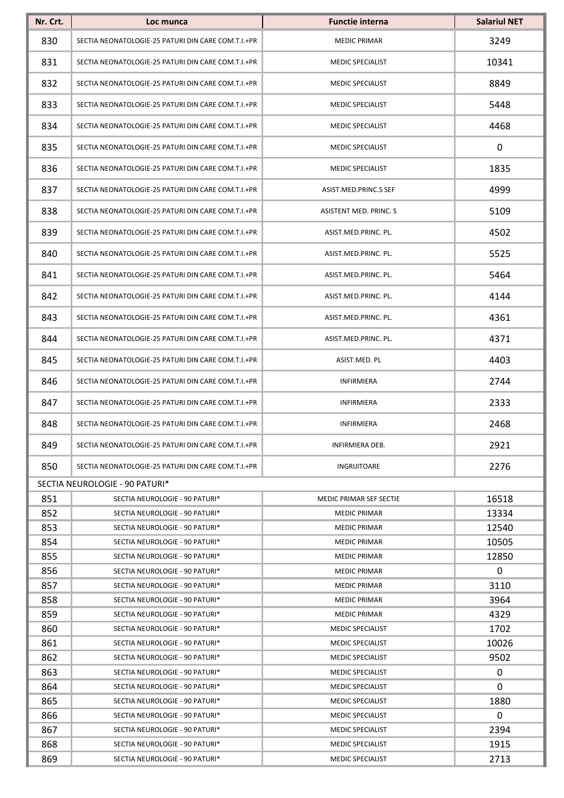| Nr. Crt. | Loc munca                                          | <b>Functie interna</b>  | <b>Salariul NET</b> |
|----------|----------------------------------------------------|-------------------------|---------------------|
| 830      | SECTIA NEONATOLOGIE-25 PATURI DIN CARE COM.T.I.+PR | <b>MEDIC PRIMAR</b>     | 3249                |
| 831      | SECTIA NEONATOLOGIE-25 PATURI DIN CARE COM.T.I.+PR | <b>MEDIC SPECIALIST</b> | 10341               |
| 832      | SECTIA NEONATOLOGIE-25 PATURI DIN CARE COM.T.I.+PR | <b>MEDIC SPECIALIST</b> | 8849                |
| 833      | SECTIA NEONATOLOGIE-25 PATURI DIN CARE COM.T.I.+PR | MEDIC SPECIALIST        | 5448                |
| 834      | SECTIA NEONATOLOGIE-25 PATURI DIN CARE COM.T.I.+PR | MEDIC SPECIALIST        | 4468                |
| 835      | SECTIA NEONATOLOGIE-25 PATURI DIN CARE COM.T.I.+PR | MEDIC SPECIALIST        | $\mathbf 0$         |
| 836      | SECTIA NEONATOLOGIE-25 PATURI DIN CARE COM.T.I.+PR | MEDIC SPECIALIST        | 1835                |
| 837      | SECTIA NEONATOLOGIE-25 PATURI DIN CARE COM.T.I.+PR | ASIST.MED.PRINC.S SEF   | 4999                |
| 838      | SECTIA NEONATOLOGIE-25 PATURI DIN CARE COM.T.I.+PR | ASISTENT MED. PRINC. S  | 5109                |
| 839      | SECTIA NEONATOLOGIE-25 PATURI DIN CARE COM.T.I.+PR | ASIST.MED.PRINC. PL.    | 4502                |
| 840      | SECTIA NEONATOLOGIE-25 PATURI DIN CARE COM.T.I.+PR | ASIST.MED.PRINC. PL.    | 5525                |
| 841      | SECTIA NEONATOLOGIE-25 PATURI DIN CARE COM.T.I.+PR | ASIST.MED.PRINC. PL.    | 5464                |
| 842      | SECTIA NEONATOLOGIE-25 PATURI DIN CARE COM.T.I.+PR | ASIST.MED.PRINC. PL.    | 4144                |
| 843      | SECTIA NEONATOLOGIE-25 PATURI DIN CARE COM.T.I.+PR | ASIST.MED.PRINC. PL.    | 4361                |
| 844      | SECTIA NEONATOLOGIE-25 PATURI DIN CARE COM.T.I.+PR | ASIST.MED.PRINC. PL.    | 4371                |
| 845      | SECTIA NEONATOLOGIE-25 PATURI DIN CARE COM.T.I.+PR | ASIST.MED. PL           | 4403                |
| 846      | SECTIA NEONATOLOGIE-25 PATURI DIN CARE COM.T.I.+PR | <b>INFIRMIERA</b>       | 2744                |
| 847      | SECTIA NEONATOLOGIE-25 PATURI DIN CARE COM.T.I.+PR | <b>INFIRMIERA</b>       | 2333                |
| 848      | SECTIA NEONATOLOGIE-25 PATURI DIN CARE COM.T.I.+PR | <b>INFIRMIERA</b>       | 2468                |
| 849      | SECTIA NEONATOLOGIE-25 PATURI DIN CARE COM.T.I.+PR | INFIRMIERA DEB.         | 2921                |
| 850      | SECTIA NEONATOLOGIE-25 PATURI DIN CARE COM.T.I.+PR | <b>INGRIJITOARE</b>     | 2276                |
|          | SECTIA NEUROLOGIE - 90 PATURI*                     |                         |                     |
| 851      | SECTIA NEUROLOGIE - 90 PATURI*                     | MEDIC PRIMAR SEF SECTIE | 16518               |
| 852      | SECTIA NEUROLOGIE - 90 PATURI*                     | <b>MEDIC PRIMAR</b>     | 13334               |
| 853      | SECTIA NEUROLOGIE - 90 PATURI*                     | <b>MEDIC PRIMAR</b>     | 12540               |
| 854      | SECTIA NEUROLOGIE - 90 PATURI*                     | <b>MEDIC PRIMAR</b>     | 10505               |
| 855      | SECTIA NEUROLOGIE - 90 PATURI*                     | <b>MEDIC PRIMAR</b>     | 12850               |
| 856      | SECTIA NEUROLOGIE - 90 PATURI*                     | <b>MEDIC PRIMAR</b>     | 0                   |
| 857      | SECTIA NEUROLOGIE - 90 PATURI*                     | <b>MEDIC PRIMAR</b>     | 3110                |
| 858      | SECTIA NEUROLOGIE - 90 PATURI*                     | <b>MEDIC PRIMAR</b>     | 3964                |
| 859      | SECTIA NEUROLOGIE - 90 PATURI*                     | <b>MEDIC PRIMAR</b>     | 4329                |
| 860      | SECTIA NEUROLOGIE - 90 PATURI*                     | <b>MEDIC SPECIALIST</b> | 1702                |
| 861      | SECTIA NEUROLOGIE - 90 PATURI*                     | <b>MEDIC SPECIALIST</b> | 10026               |
| 862      | SECTIA NEUROLOGIE - 90 PATURI*                     | <b>MEDIC SPECIALIST</b> | 9502                |
| 863      | SECTIA NEUROLOGIE - 90 PATURI*                     | <b>MEDIC SPECIALIST</b> | 0                   |
| 864      | SECTIA NEUROLOGIE - 90 PATURI*                     | <b>MEDIC SPECIALIST</b> | 0                   |
| 865      | SECTIA NEUROLOGIE - 90 PATURI*                     | <b>MEDIC SPECIALIST</b> | 1880                |
| 866      | SECTIA NEUROLOGIE - 90 PATURI*                     | <b>MEDIC SPECIALIST</b> | $\mathbf 0$         |
| 867      | SECTIA NEUROLOGIE - 90 PATURI*                     | <b>MEDIC SPECIALIST</b> | 2394                |
| 868      | SECTIA NEUROLOGIE - 90 PATURI*                     | <b>MEDIC SPECIALIST</b> | 1915                |
| 869      | SECTIA NEUROLOGIE - 90 PATURI*                     | <b>MEDIC SPECIALIST</b> | 2713                |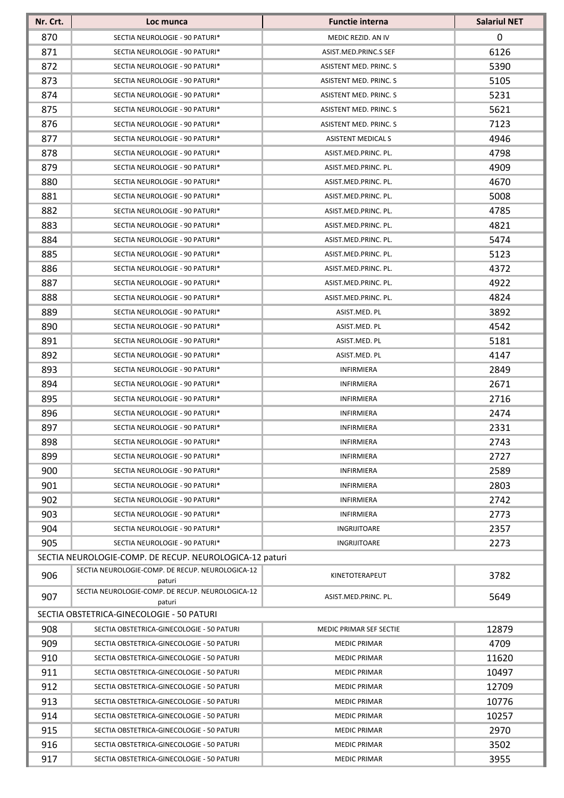| Nr. Crt. | Loc munca                                                  | <b>Functie interna</b>    | <b>Salariul NET</b> |
|----------|------------------------------------------------------------|---------------------------|---------------------|
| 870      | SECTIA NEUROLOGIE - 90 PATURI*                             | MEDIC REZID. AN IV        | 0                   |
| 871      | SECTIA NEUROLOGIE - 90 PATURI*                             | ASIST.MED.PRINC.S SEF     | 6126                |
| 872      | SECTIA NEUROLOGIE - 90 PATURI*                             | ASISTENT MED. PRINC. S    | 5390                |
| 873      | SECTIA NEUROLOGIE - 90 PATURI*                             | ASISTENT MED. PRINC. S    | 5105                |
| 874      | SECTIA NEUROLOGIE - 90 PATURI*                             | ASISTENT MED. PRINC. S    | 5231                |
| 875      | SECTIA NEUROLOGIE - 90 PATURI*                             | ASISTENT MED. PRINC. S    | 5621                |
| 876      | SECTIA NEUROLOGIE - 90 PATURI*                             | ASISTENT MED. PRINC. S    | 7123                |
| 877      | SECTIA NEUROLOGIE - 90 PATURI*                             | <b>ASISTENT MEDICAL S</b> | 4946                |
| 878      | SECTIA NEUROLOGIE - 90 PATURI*                             | ASIST.MED.PRINC. PL.      | 4798                |
| 879      | SECTIA NEUROLOGIE - 90 PATURI*                             | ASIST.MED.PRINC. PL.      | 4909                |
| 880      | SECTIA NEUROLOGIE - 90 PATURI*                             | ASIST.MED.PRINC. PL.      | 4670                |
| 881      | SECTIA NEUROLOGIE - 90 PATURI*                             | ASIST.MED.PRINC. PL.      | 5008                |
| 882      | SECTIA NEUROLOGIE - 90 PATURI*                             | ASIST.MED.PRINC. PL.      | 4785                |
| 883      | SECTIA NEUROLOGIE - 90 PATURI*                             | ASIST.MED.PRINC. PL.      | 4821                |
| 884      | SECTIA NEUROLOGIE - 90 PATURI*                             | ASIST.MED.PRINC. PL.      | 5474                |
| 885      | SECTIA NEUROLOGIE - 90 PATURI*                             | ASIST.MED.PRINC. PL.      | 5123                |
| 886      | SECTIA NEUROLOGIE - 90 PATURI*                             | ASIST.MED.PRINC. PL.      | 4372                |
| 887      | SECTIA NEUROLOGIE - 90 PATURI*                             | ASIST.MED.PRINC. PL.      | 4922                |
| 888      | SECTIA NEUROLOGIE - 90 PATURI*                             | ASIST.MED.PRINC. PL.      | 4824                |
| 889      | SECTIA NEUROLOGIE - 90 PATURI*                             | ASIST.MED. PL             | 3892                |
| 890      | SECTIA NEUROLOGIE - 90 PATURI*                             | ASIST.MED. PL             | 4542                |
| 891      | SECTIA NEUROLOGIE - 90 PATURI*                             | ASIST.MED. PL             | 5181                |
| 892      | SECTIA NEUROLOGIE - 90 PATURI*                             | ASIST.MED. PL             | 4147                |
| 893      | SECTIA NEUROLOGIE - 90 PATURI*                             | INFIRMIERA                | 2849                |
| 894      | SECTIA NEUROLOGIE - 90 PATURI*                             | INFIRMIERA                | 2671                |
| 895      | SECTIA NEUROLOGIE - 90 PATURI*                             | <b>INFIRMIERA</b>         | 2716                |
| 896      | SECTIA NEUROLOGIE - 90 PATURI*                             | INFIRMIERA                | 2474                |
| 897      | SECTIA NEUROLOGIE - 90 PATURI*                             | <b>INFIRMIERA</b>         | 2331                |
| 898      | SECTIA NEUROLOGIE - 90 PATURI*                             | <b>INFIRMIERA</b>         | 2743                |
| 899      | SECTIA NEUROLOGIE - 90 PATURI*                             | <b>INFIRMIERA</b>         | 2727                |
| 900      | SECTIA NEUROLOGIE - 90 PATURI*                             | <b>INFIRMIERA</b>         | 2589                |
| 901      | SECTIA NEUROLOGIE - 90 PATURI*                             | <b>INFIRMIERA</b>         | 2803                |
| 902      | SECTIA NEUROLOGIE - 90 PATURI*                             | <b>INFIRMIERA</b>         | 2742                |
| 903      | SECTIA NEUROLOGIE - 90 PATURI*                             | <b>INFIRMIERA</b>         | 2773                |
| 904      | SECTIA NEUROLOGIE - 90 PATURI*                             | INGRIJITOARE              | 2357                |
| 905      | SECTIA NEUROLOGIE - 90 PATURI*                             | INGRIJITOARE              | 2273                |
|          | SECTIA NEUROLOGIE-COMP. DE RECUP. NEUROLOGICA-12 paturi    |                           |                     |
| 906      | SECTIA NEUROLOGIE-COMP. DE RECUP. NEUROLOGICA-12<br>paturi | KINETOTERAPEUT            | 3782                |
| 907      | SECTIA NEUROLOGIE-COMP. DE RECUP. NEUROLOGICA-12<br>paturi | ASIST.MED.PRINC. PL.      | 5649                |
|          | SECTIA OBSTETRICA-GINECOLOGIE - 50 PATURI                  |                           |                     |
| 908      | SECTIA OBSTETRICA-GINECOLOGIE - 50 PATURI                  | MEDIC PRIMAR SEF SECTIE   | 12879               |
| 909      | SECTIA OBSTETRICA-GINECOLOGIE - 50 PATURI                  | <b>MEDIC PRIMAR</b>       | 4709                |
| 910      | SECTIA OBSTETRICA-GINECOLOGIE - 50 PATURI                  | <b>MEDIC PRIMAR</b>       | 11620               |
| 911      | SECTIA OBSTETRICA-GINECOLOGIE - 50 PATURI                  | <b>MEDIC PRIMAR</b>       | 10497               |
| 912      | SECTIA OBSTETRICA-GINECOLOGIE - 50 PATURI                  | <b>MEDIC PRIMAR</b>       | 12709               |
| 913      | SECTIA OBSTETRICA-GINECOLOGIE - 50 PATURI                  | <b>MEDIC PRIMAR</b>       | 10776               |
| 914      | SECTIA OBSTETRICA-GINECOLOGIE - 50 PATURI                  | <b>MEDIC PRIMAR</b>       | 10257               |
| 915      | SECTIA OBSTETRICA-GINECOLOGIE - 50 PATURI                  | <b>MEDIC PRIMAR</b>       | 2970                |
| 916      | SECTIA OBSTETRICA-GINECOLOGIE - 50 PATURI                  | <b>MEDIC PRIMAR</b>       | 3502                |
| 917      | SECTIA OBSTETRICA-GINECOLOGIE - 50 PATURI                  | <b>MEDIC PRIMAR</b>       | 3955                |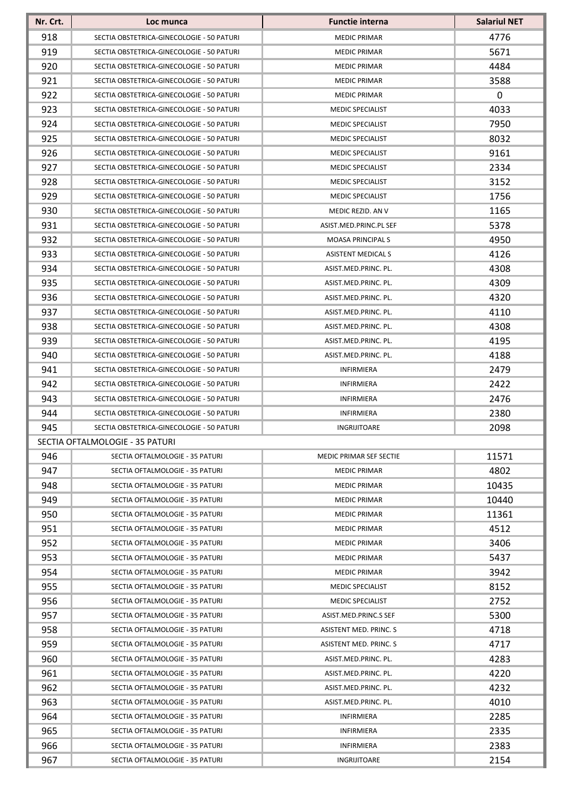| Nr. Crt. | Loc munca                                 | <b>Functie interna</b>         | <b>Salariul NET</b> |
|----------|-------------------------------------------|--------------------------------|---------------------|
| 918      | SECTIA OBSTETRICA-GINECOLOGIE - 50 PATURI | <b>MEDIC PRIMAR</b>            | 4776                |
| 919      | SECTIA OBSTETRICA-GINECOLOGIE - 50 PATURI | <b>MEDIC PRIMAR</b>            | 5671                |
| 920      | SECTIA OBSTETRICA-GINECOLOGIE - 50 PATURI | <b>MEDIC PRIMAR</b>            | 4484                |
| 921      | SECTIA OBSTETRICA-GINECOLOGIE - 50 PATURI | <b>MEDIC PRIMAR</b>            | 3588                |
| 922      | SECTIA OBSTETRICA-GINECOLOGIE - 50 PATURI | <b>MEDIC PRIMAR</b>            | 0                   |
| 923      | SECTIA OBSTETRICA-GINECOLOGIE - 50 PATURI | <b>MEDIC SPECIALIST</b>        | 4033                |
| 924      | SECTIA OBSTETRICA-GINECOLOGIE - 50 PATURI | <b>MEDIC SPECIALIST</b>        | 7950                |
| 925      | SECTIA OBSTETRICA-GINECOLOGIE - 50 PATURI | MEDIC SPECIALIST               | 8032                |
| 926      | SECTIA OBSTETRICA-GINECOLOGIE - 50 PATURI | <b>MEDIC SPECIALIST</b>        | 9161                |
| 927      | SECTIA OBSTETRICA-GINECOLOGIE - 50 PATURI | <b>MEDIC SPECIALIST</b>        | 2334                |
| 928      | SECTIA OBSTETRICA-GINECOLOGIE - 50 PATURI | <b>MEDIC SPECIALIST</b>        | 3152                |
| 929      | SECTIA OBSTETRICA-GINECOLOGIE - 50 PATURI | <b>MEDIC SPECIALIST</b>        | 1756                |
| 930      | SECTIA OBSTETRICA-GINECOLOGIE - 50 PATURI | MEDIC REZID. AN V              | 1165                |
| 931      | SECTIA OBSTETRICA-GINECOLOGIE - 50 PATURI | ASIST.MED.PRINC.PL SEF         | 5378                |
| 932      | SECTIA OBSTETRICA-GINECOLOGIE - 50 PATURI | <b>MOASA PRINCIPALS</b>        | 4950                |
| 933      | SECTIA OBSTETRICA-GINECOLOGIE - 50 PATURI | <b>ASISTENT MEDICAL S</b>      | 4126                |
| 934      | SECTIA OBSTETRICA-GINECOLOGIE - 50 PATURI | ASIST.MED.PRINC. PL.           | 4308                |
| 935      | SECTIA OBSTETRICA-GINECOLOGIE - 50 PATURI | ASIST.MED.PRINC. PL.           | 4309                |
| 936      | SECTIA OBSTETRICA-GINECOLOGIE - 50 PATURI | ASIST.MED.PRINC. PL.           | 4320                |
| 937      | SECTIA OBSTETRICA-GINECOLOGIE - 50 PATURI | ASIST.MED.PRINC. PL.           | 4110                |
| 938      | SECTIA OBSTETRICA-GINECOLOGIE - 50 PATURI | ASIST.MED.PRINC. PL.           | 4308                |
| 939      | SECTIA OBSTETRICA-GINECOLOGIE - 50 PATURI | ASIST.MED.PRINC. PL.           | 4195                |
| 940      | SECTIA OBSTETRICA-GINECOLOGIE - 50 PATURI | ASIST.MED.PRINC. PL.           | 4188                |
| 941      | SECTIA OBSTETRICA-GINECOLOGIE - 50 PATURI | <b>INFIRMIERA</b>              | 2479                |
| 942      | SECTIA OBSTETRICA-GINECOLOGIE - 50 PATURI | <b>INFIRMIERA</b>              | 2422                |
| 943      | SECTIA OBSTETRICA-GINECOLOGIE - 50 PATURI | <b>INFIRMIERA</b>              | 2476                |
| 944      | SECTIA OBSTETRICA-GINECOLOGIE - 50 PATURI | INFIRMIERA                     | 2380                |
| 945      | SECTIA OBSTETRICA-GINECOLOGIE - 50 PATURI | INGRIJITOARE                   | 2098                |
|          | SECTIA OFTALMOLOGIE - 35 PATURI           |                                |                     |
| 946      | SECTIA OFTALMOLOGIE - 35 PATURI           | <b>MEDIC PRIMAR SEF SECTIE</b> | 11571               |
| 947      | SECTIA OFTALMOLOGIE - 35 PATURI           | <b>MEDIC PRIMAR</b>            | 4802                |
| 948      | SECTIA OFTALMOLOGIE - 35 PATURI           | <b>MEDIC PRIMAR</b>            | 10435               |
| 949      | SECTIA OFTALMOLOGIE - 35 PATURI           | <b>MEDIC PRIMAR</b>            | 10440               |
| 950      | SECTIA OFTALMOLOGIE - 35 PATURI           | <b>MEDIC PRIMAR</b>            | 11361               |
| 951      | SECTIA OFTALMOLOGIE - 35 PATURI           | <b>MEDIC PRIMAR</b>            | 4512                |
| 952      | SECTIA OFTALMOLOGIE - 35 PATURI           | <b>MEDIC PRIMAR</b>            | 3406                |
| 953      | SECTIA OFTALMOLOGIE - 35 PATURI           | <b>MEDIC PRIMAR</b>            | 5437                |
| 954      | SECTIA OFTALMOLOGIE - 35 PATURI           | <b>MEDIC PRIMAR</b>            | 3942                |
| 955      | SECTIA OFTALMOLOGIE - 35 PATURI           | <b>MEDIC SPECIALIST</b>        | 8152                |
| 956      | SECTIA OFTALMOLOGIE - 35 PATURI           | <b>MEDIC SPECIALIST</b>        | 2752                |
| 957      | SECTIA OFTALMOLOGIE - 35 PATURI           | ASIST.MED.PRINC.S SEF          | 5300                |
| 958      | SECTIA OFTALMOLOGIE - 35 PATURI           | ASISTENT MED. PRINC. S         | 4718                |
| 959      | SECTIA OFTALMOLOGIE - 35 PATURI           | ASISTENT MED. PRINC. S         | 4717                |
| 960      | SECTIA OFTALMOLOGIE - 35 PATURI           | ASIST.MED.PRINC. PL.           | 4283                |
| 961      | SECTIA OFTALMOLOGIE - 35 PATURI           | ASIST.MED.PRINC. PL.           | 4220                |
| 962      | SECTIA OFTALMOLOGIE - 35 PATURI           | ASIST.MED.PRINC. PL.           | 4232                |
| 963      | SECTIA OFTALMOLOGIE - 35 PATURI           | ASIST.MED.PRINC. PL.           | 4010                |
| 964      | SECTIA OFTALMOLOGIE - 35 PATURI           | <b>INFIRMIERA</b>              | 2285                |
| 965      | SECTIA OFTALMOLOGIE - 35 PATURI           | <b>INFIRMIERA</b>              | 2335                |
| 966      | SECTIA OFTALMOLOGIE - 35 PATURI           | <b>INFIRMIERA</b>              | 2383                |
| 967      | SECTIA OFTALMOLOGIE - 35 PATURI           | INGRIJITOARE                   | 2154                |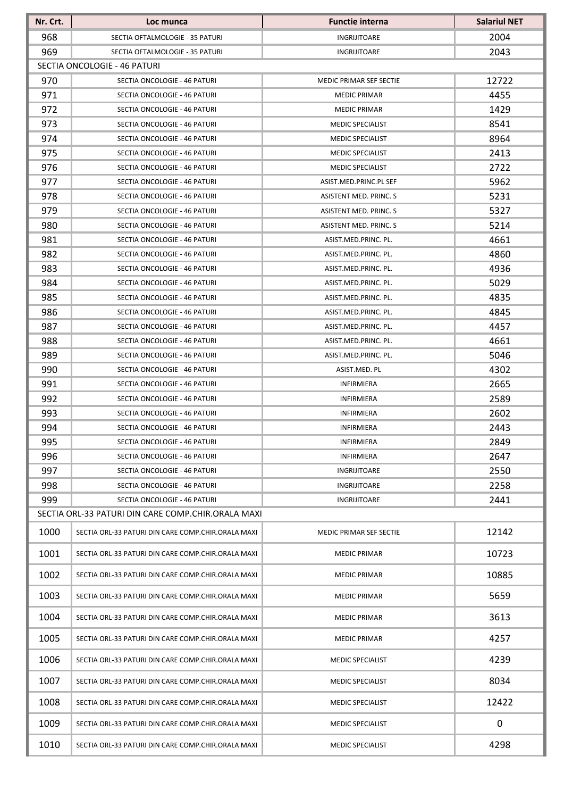| Nr. Crt.   | Loc munca                                                    | <b>Functie interna</b>                       | <b>Salariul NET</b> |  |  |
|------------|--------------------------------------------------------------|----------------------------------------------|---------------------|--|--|
| 968        | SECTIA OFTALMOLOGIE - 35 PATURI                              | INGRIJITOARE                                 | 2004                |  |  |
| 969        | SECTIA OFTALMOLOGIE - 35 PATURI                              | INGRIJITOARE                                 | 2043                |  |  |
|            | SECTIA ONCOLOGIE - 46 PATURI                                 |                                              |                     |  |  |
| 970        | SECTIA ONCOLOGIE - 46 PATURI                                 | <b>MEDIC PRIMAR SEF SECTIE</b>               | 12722               |  |  |
| 971        | SECTIA ONCOLOGIE - 46 PATURI                                 | <b>MEDIC PRIMAR</b>                          | 4455                |  |  |
| 972        | SECTIA ONCOLOGIE - 46 PATURI                                 | <b>MEDIC PRIMAR</b>                          | 1429                |  |  |
| 973        | SECTIA ONCOLOGIE - 46 PATURI                                 | MEDIC SPECIALIST                             | 8541                |  |  |
| 974        | SECTIA ONCOLOGIE - 46 PATURI                                 | MEDIC SPECIALIST                             | 8964                |  |  |
| 975        | SECTIA ONCOLOGIE - 46 PATURI                                 | <b>MEDIC SPECIALIST</b>                      | 2413                |  |  |
| 976        | SECTIA ONCOLOGIE - 46 PATURI                                 | MEDIC SPECIALIST                             | 2722                |  |  |
| 977        | SECTIA ONCOLOGIE - 46 PATURI                                 | ASIST.MED.PRINC.PL SEF                       | 5962                |  |  |
| 978        | SECTIA ONCOLOGIE - 46 PATURI                                 | ASISTENT MED. PRINC. S                       | 5231                |  |  |
| 979        | SECTIA ONCOLOGIE - 46 PATURI                                 | ASISTENT MED. PRINC. S                       | 5327                |  |  |
| 980        | SECTIA ONCOLOGIE - 46 PATURI                                 | ASISTENT MED. PRINC. S                       | 5214                |  |  |
| 981        | SECTIA ONCOLOGIE - 46 PATURI                                 | ASIST.MED.PRINC. PL.                         | 4661                |  |  |
| 982        | SECTIA ONCOLOGIE - 46 PATURI                                 | ASIST.MED.PRINC. PL.                         | 4860                |  |  |
| 983        | SECTIA ONCOLOGIE - 46 PATURI                                 | ASIST.MED.PRINC. PL.                         | 4936                |  |  |
| 984        | SECTIA ONCOLOGIE - 46 PATURI                                 | ASIST.MED.PRINC. PL.                         | 5029                |  |  |
| 985        | SECTIA ONCOLOGIE - 46 PATURI                                 | ASIST.MED.PRINC. PL.                         | 4835                |  |  |
| 986<br>987 | SECTIA ONCOLOGIE - 46 PATURI<br>SECTIA ONCOLOGIE - 46 PATURI | ASIST.MED.PRINC. PL.<br>ASIST.MED.PRINC. PL. | 4845<br>4457        |  |  |
| 988        | SECTIA ONCOLOGIE - 46 PATURI                                 | ASIST.MED.PRINC. PL.                         | 4661                |  |  |
| 989        | SECTIA ONCOLOGIE - 46 PATURI                                 | ASIST.MED.PRINC. PL.                         | 5046                |  |  |
| 990        | SECTIA ONCOLOGIE - 46 PATURI                                 | ASIST.MED. PL                                | 4302                |  |  |
| 991        | SECTIA ONCOLOGIE - 46 PATURI                                 | INFIRMIERA                                   | 2665                |  |  |
| 992        | SECTIA ONCOLOGIE - 46 PATURI                                 | INFIRMIERA                                   | 2589                |  |  |
| 993        | SECTIA ONCOLOGIE - 46 PATURI                                 | <b>INFIRMIERA</b>                            | 2602                |  |  |
| 994        | SECTIA ONCOLOGIE - 46 PATURI                                 | <b>INFIRMIERA</b>                            | 2443                |  |  |
| 995        | SECTIA ONCOLOGIE - 46 PATURI                                 | <b>INFIRMIERA</b>                            | 2849                |  |  |
| 996        | SECTIA ONCOLOGIE - 46 PATURI                                 | <b>INFIRMIERA</b>                            | 2647                |  |  |
| 997        | SECTIA ONCOLOGIE - 46 PATURI                                 | INGRIJITOARE                                 | 2550                |  |  |
| 998        | SECTIA ONCOLOGIE - 46 PATURI                                 | INGRIJITOARE                                 | 2258                |  |  |
| 999        | SECTIA ONCOLOGIE - 46 PATURI                                 | INGRIJITOARE                                 | 2441                |  |  |
|            | SECTIA ORL-33 PATURI DIN CARE COMP.CHIR.ORALA MAXI           |                                              |                     |  |  |
| 1000       | SECTIA ORL-33 PATURI DIN CARE COMP.CHIR.ORALA MAXI           | MEDIC PRIMAR SEF SECTIE                      | 12142               |  |  |
| 1001       | SECTIA ORL-33 PATURI DIN CARE COMP.CHIR.ORALA MAXI           | <b>MEDIC PRIMAR</b>                          | 10723               |  |  |
| 1002       | SECTIA ORL-33 PATURI DIN CARE COMP.CHIR.ORALA MAXI           | <b>MEDIC PRIMAR</b>                          | 10885               |  |  |
| 1003       | SECTIA ORL-33 PATURI DIN CARE COMP.CHIR.ORALA MAXI           | MEDIC PRIMAR                                 | 5659                |  |  |
| 1004       | SECTIA ORL-33 PATURI DIN CARE COMP.CHIR.ORALA MAXI           | <b>MEDIC PRIMAR</b>                          | 3613                |  |  |
| 1005       | SECTIA ORL-33 PATURI DIN CARE COMP.CHIR.ORALA MAXI           | MEDIC PRIMAR                                 | 4257                |  |  |
| 1006       | SECTIA ORL-33 PATURI DIN CARE COMP.CHIR.ORALA MAXI           | MEDIC SPECIALIST                             | 4239                |  |  |
| 1007       | SECTIA ORL-33 PATURI DIN CARE COMP.CHIR.ORALA MAXI           | <b>MEDIC SPECIALIST</b>                      | 8034                |  |  |
| 1008       | SECTIA ORL-33 PATURI DIN CARE COMP.CHIR.ORALA MAXI           | <b>MEDIC SPECIALIST</b>                      | 12422               |  |  |
| 1009       | SECTIA ORL-33 PATURI DIN CARE COMP.CHIR.ORALA MAXI           | <b>MEDIC SPECIALIST</b>                      | $\mathbf 0$         |  |  |
| 1010       | SECTIA ORL-33 PATURI DIN CARE COMP.CHIR.ORALA MAXI           | <b>MEDIC SPECIALIST</b>                      | 4298                |  |  |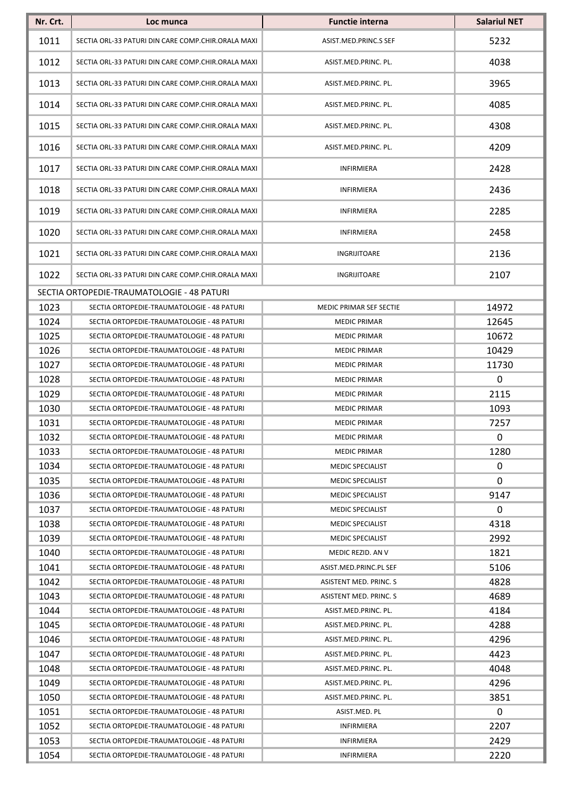| Nr. Crt. | Loc munca                                          | <b>Functie interna</b>  | <b>Salariul NET</b> |
|----------|----------------------------------------------------|-------------------------|---------------------|
| 1011     | SECTIA ORL-33 PATURI DIN CARE COMP.CHIR.ORALA MAXI | ASIST.MED.PRINC.S SEF   | 5232                |
| 1012     | SECTIA ORL-33 PATURI DIN CARE COMP.CHIR.ORALA MAXI | ASIST.MED.PRINC. PL.    | 4038                |
| 1013     | SECTIA ORL-33 PATURI DIN CARE COMP.CHIR.ORALA MAXI | ASIST.MED.PRINC. PL.    | 3965                |
| 1014     | SECTIA ORL-33 PATURI DIN CARE COMP.CHIR.ORALA MAXI | ASIST.MED.PRINC. PL.    | 4085                |
| 1015     | SECTIA ORL-33 PATURI DIN CARE COMP.CHIR.ORALA MAXI | ASIST.MED.PRINC. PL.    | 4308                |
| 1016     | SECTIA ORL-33 PATURI DIN CARE COMP.CHIR.ORALA MAXI | ASIST.MED.PRINC. PL.    | 4209                |
| 1017     | SECTIA ORL-33 PATURI DIN CARE COMP.CHIR.ORALA MAXI | <b>INFIRMIERA</b>       | 2428                |
| 1018     | SECTIA ORL-33 PATURI DIN CARE COMP.CHIR.ORALA MAXI | <b>INFIRMIERA</b>       | 2436                |
| 1019     | SECTIA ORL-33 PATURI DIN CARE COMP.CHIR.ORALA MAXI | <b>INFIRMIERA</b>       | 2285                |
| 1020     | SECTIA ORL-33 PATURI DIN CARE COMP.CHIR.ORALA MAXI | <b>INFIRMIERA</b>       | 2458                |
| 1021     | SECTIA ORL-33 PATURI DIN CARE COMP.CHIR.ORALA MAXI | INGRIJITOARE            | 2136                |
| 1022     | SECTIA ORL-33 PATURI DIN CARE COMP.CHIR.ORALA MAXI | INGRIJITOARE            | 2107                |
|          | SECTIA ORTOPEDIE-TRAUMATOLOGIE - 48 PATURI         |                         |                     |
| 1023     | SECTIA ORTOPEDIE-TRAUMATOLOGIE - 48 PATURI         | MEDIC PRIMAR SEF SECTIE | 14972               |
| 1024     | SECTIA ORTOPEDIE-TRAUMATOLOGIE - 48 PATURI         | <b>MEDIC PRIMAR</b>     | 12645               |
| 1025     | SECTIA ORTOPEDIE-TRAUMATOLOGIE - 48 PATURI         | <b>MEDIC PRIMAR</b>     | 10672               |
| 1026     | SECTIA ORTOPEDIE-TRAUMATOLOGIE - 48 PATURI         | <b>MEDIC PRIMAR</b>     | 10429               |
| 1027     | SECTIA ORTOPEDIE-TRAUMATOLOGIE - 48 PATURI         | <b>MEDIC PRIMAR</b>     | 11730               |
| 1028     | SECTIA ORTOPEDIE-TRAUMATOLOGIE - 48 PATURI         | <b>MEDIC PRIMAR</b>     | 0                   |
| 1029     | SECTIA ORTOPEDIE-TRAUMATOLOGIE - 48 PATURI         | <b>MEDIC PRIMAR</b>     | 2115                |
| 1030     | SECTIA ORTOPEDIE-TRAUMATOLOGIE - 48 PATURI         | <b>MEDIC PRIMAR</b>     | 1093                |
| 1031     | SECTIA ORTOPEDIE-TRAUMATOLOGIE - 48 PATURI         | <b>MEDIC PRIMAR</b>     | 7257                |
| 1032     | SECTIA ORTOPEDIE-TRAUMATOLOGIE - 48 PATURI         | <b>MEDIC PRIMAR</b>     | 0                   |
| 1033     | SECTIA ORTOPEDIE-TRAUMATOLOGIE - 48 PATURI         | <b>MEDIC PRIMAR</b>     | 1280                |
| 1034     | SECTIA ORTOPEDIE-TRAUMATOLOGIE - 48 PATURI         | <b>MEDIC SPECIALIST</b> | 0                   |
| 1035     | SECTIA ORTOPEDIE-TRAUMATOLOGIE - 48 PATURI         | <b>MEDIC SPECIALIST</b> | 0                   |
| 1036     | SECTIA ORTOPEDIE-TRAUMATOLOGIE - 48 PATURI         | <b>MEDIC SPECIALIST</b> | 9147                |
| 1037     | SECTIA ORTOPEDIE-TRAUMATOLOGIE - 48 PATURI         | MEDIC SPECIALIST        | 0                   |
| 1038     | SECTIA ORTOPEDIE-TRAUMATOLOGIE - 48 PATURI         | <b>MEDIC SPECIALIST</b> | 4318                |
| 1039     | SECTIA ORTOPEDIE-TRAUMATOLOGIE - 48 PATURI         | <b>MEDIC SPECIALIST</b> | 2992                |
| 1040     | SECTIA ORTOPEDIE-TRAUMATOLOGIE - 48 PATURI         | MEDIC REZID. AN V       | 1821                |
| 1041     | SECTIA ORTOPEDIE-TRAUMATOLOGIE - 48 PATURI         | ASIST.MED.PRINC.PL SEF  | 5106                |
| 1042     | SECTIA ORTOPEDIE-TRAUMATOLOGIE - 48 PATURI         | ASISTENT MED. PRINC. S  | 4828                |
| 1043     | SECTIA ORTOPEDIE-TRAUMATOLOGIE - 48 PATURI         | ASISTENT MED. PRINC. S  | 4689                |
| 1044     | SECTIA ORTOPEDIE-TRAUMATOLOGIE - 48 PATURI         | ASIST.MED.PRINC. PL.    | 4184                |
| 1045     | SECTIA ORTOPEDIE-TRAUMATOLOGIE - 48 PATURI         | ASIST.MED.PRINC. PL.    | 4288                |
| 1046     | SECTIA ORTOPEDIE-TRAUMATOLOGIE - 48 PATURI         | ASIST.MED.PRINC. PL.    | 4296                |
| 1047     | SECTIA ORTOPEDIE-TRAUMATOLOGIE - 48 PATURI         | ASIST.MED.PRINC. PL.    | 4423                |
| 1048     | SECTIA ORTOPEDIE-TRAUMATOLOGIE - 48 PATURI         | ASIST.MED.PRINC. PL.    | 4048                |
| 1049     | SECTIA ORTOPEDIE-TRAUMATOLOGIE - 48 PATURI         | ASIST.MED.PRINC. PL.    | 4296                |
| 1050     | SECTIA ORTOPEDIE-TRAUMATOLOGIE - 48 PATURI         | ASIST.MED.PRINC. PL.    | 3851                |
| 1051     | SECTIA ORTOPEDIE-TRAUMATOLOGIE - 48 PATURI         | ASIST.MED. PL           | 0                   |
| 1052     | SECTIA ORTOPEDIE-TRAUMATOLOGIE - 48 PATURI         | INFIRMIERA              | 2207                |
| 1053     | SECTIA ORTOPEDIE-TRAUMATOLOGIE - 48 PATURI         | <b>INFIRMIERA</b>       | 2429                |
| 1054     | SECTIA ORTOPEDIE-TRAUMATOLOGIE - 48 PATURI         | INFIRMIERA              | 2220                |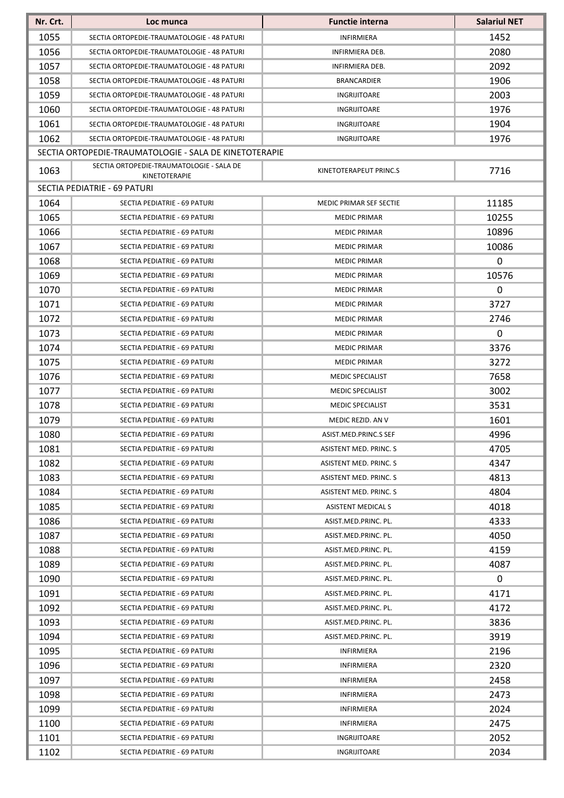| Nr. Crt. | Loc munca                                              | <b>Functie interna</b>    | <b>Salariul NET</b> |
|----------|--------------------------------------------------------|---------------------------|---------------------|
| 1055     | SECTIA ORTOPEDIE-TRAUMATOLOGIE - 48 PATURI             | <b>INFIRMIERA</b>         | 1452                |
| 1056     | SECTIA ORTOPEDIE-TRAUMATOLOGIE - 48 PATURI             | INFIRMIERA DEB.           | 2080                |
| 1057     | SECTIA ORTOPEDIE-TRAUMATOLOGIE - 48 PATURI             | INFIRMIERA DEB.           | 2092                |
| 1058     | SECTIA ORTOPEDIE-TRAUMATOLOGIE - 48 PATURI             | <b>BRANCARDIER</b>        | 1906                |
| 1059     | SECTIA ORTOPEDIE-TRAUMATOLOGIE - 48 PATURI             | INGRIJITOARE              | 2003                |
| 1060     | SECTIA ORTOPEDIE-TRAUMATOLOGIE - 48 PATURI             | INGRIJITOARE              | 1976                |
| 1061     | SECTIA ORTOPEDIE-TRAUMATOLOGIE - 48 PATURI             | INGRIJITOARE              | 1904                |
| 1062     | SECTIA ORTOPEDIE-TRAUMATOLOGIE - 48 PATURI             | INGRIJITOARE              | 1976                |
|          | SECTIA ORTOPEDIE-TRAUMATOLOGIE - SALA DE KINETOTERAPIE |                           |                     |
| 1063     | SECTIA ORTOPEDIE-TRAUMATOLOGIE - SALA DE               | KINETOTERAPEUT PRINC.S    | 7716                |
|          | KINETOTERAPIE                                          |                           |                     |
|          | SECTIA PEDIATRIE - 69 PATURI                           |                           |                     |
| 1064     | SECTIA PEDIATRIE - 69 PATURI                           | MEDIC PRIMAR SEF SECTIE   | 11185               |
| 1065     | SECTIA PEDIATRIE - 69 PATURI                           | <b>MEDIC PRIMAR</b>       | 10255               |
| 1066     | SECTIA PEDIATRIE - 69 PATURI                           | <b>MEDIC PRIMAR</b>       | 10896               |
| 1067     | SECTIA PEDIATRIE - 69 PATURI                           | <b>MEDIC PRIMAR</b>       | 10086               |
| 1068     | SECTIA PEDIATRIE - 69 PATURI                           | <b>MEDIC PRIMAR</b>       | 0                   |
| 1069     | SECTIA PEDIATRIE - 69 PATURI                           | <b>MEDIC PRIMAR</b>       | 10576               |
| 1070     | SECTIA PEDIATRIE - 69 PATURI                           | <b>MEDIC PRIMAR</b>       | 0                   |
| 1071     | SECTIA PEDIATRIE - 69 PATURI                           | <b>MEDIC PRIMAR</b>       | 3727                |
| 1072     | SECTIA PEDIATRIE - 69 PATURI                           | <b>MEDIC PRIMAR</b>       | 2746                |
| 1073     | SECTIA PEDIATRIE - 69 PATURI                           | <b>MEDIC PRIMAR</b>       | 0                   |
| 1074     | SECTIA PEDIATRIE - 69 PATURI                           | <b>MEDIC PRIMAR</b>       | 3376                |
| 1075     | SECTIA PEDIATRIE - 69 PATURI                           | <b>MEDIC PRIMAR</b>       | 3272                |
| 1076     | SECTIA PEDIATRIE - 69 PATURI                           | <b>MEDIC SPECIALIST</b>   | 7658                |
| 1077     | SECTIA PEDIATRIE - 69 PATURI                           | <b>MEDIC SPECIALIST</b>   | 3002                |
| 1078     | SECTIA PEDIATRIE - 69 PATURI                           | <b>MEDIC SPECIALIST</b>   | 3531                |
| 1079     | SECTIA PEDIATRIE - 69 PATURI                           | MEDIC REZID, AN V         | 1601                |
| 1080     | <b>SECTIA PEDIATRIE - 69 PATURI</b>                    | ASIST.MED.PRINC.S SEF     | 4996                |
| 1081     | SECTIA PEDIATRIE - 69 PATURI                           | ASISTENT MED. PRINC. S    | 4705                |
| 1082     | SECTIA PEDIATRIE - 69 PATURI                           | ASISTENT MED. PRINC. S    | 4347                |
| 1083     | SECTIA PEDIATRIE - 69 PATURI                           | ASISTENT MED. PRINC. S    | 4813                |
| 1084     | SECTIA PEDIATRIE - 69 PATURI                           | ASISTENT MED. PRINC. S    | 4804                |
| 1085     | SECTIA PEDIATRIE - 69 PATURI                           | <b>ASISTENT MEDICAL S</b> | 4018                |
| 1086     | SECTIA PEDIATRIE - 69 PATURI                           | ASIST.MED.PRINC. PL.      | 4333                |
| 1087     | SECTIA PEDIATRIE - 69 PATURI                           | ASIST.MED.PRINC. PL.      | 4050                |
| 1088     | SECTIA PEDIATRIE - 69 PATURI                           | ASIST.MED.PRINC. PL.      | 4159                |
| 1089     | SECTIA PEDIATRIE - 69 PATURI                           | ASIST.MED.PRINC. PL.      | 4087                |
| 1090     | SECTIA PEDIATRIE - 69 PATURI                           | ASIST.MED.PRINC. PL.      | 0                   |
| 1091     | SECTIA PEDIATRIE - 69 PATURI                           | ASIST.MED.PRINC. PL.      | 4171                |
| 1092     | SECTIA PEDIATRIE - 69 PATURI                           | ASIST.MED.PRINC. PL.      | 4172                |
| 1093     | SECTIA PEDIATRIE - 69 PATURI                           | ASIST.MED.PRINC. PL.      | 3836                |
| 1094     | SECTIA PEDIATRIE - 69 PATURI                           | ASIST.MED.PRINC. PL.      | 3919                |
| 1095     | SECTIA PEDIATRIE - 69 PATURI                           | <b>INFIRMIERA</b>         | 2196                |
| 1096     | SECTIA PEDIATRIE - 69 PATURI                           | <b>INFIRMIERA</b>         | 2320                |
| 1097     | SECTIA PEDIATRIE - 69 PATURI                           | INFIRMIERA                | 2458                |
| 1098     | SECTIA PEDIATRIE - 69 PATURI                           | <b>INFIRMIERA</b>         | 2473                |
| 1099     | SECTIA PEDIATRIE - 69 PATURI                           | <b>INFIRMIERA</b>         | 2024                |
| 1100     | SECTIA PEDIATRIE - 69 PATURI                           | INFIRMIERA                | 2475                |
| 1101     | SECTIA PEDIATRIE - 69 PATURI                           | INGRIJITOARE              | 2052                |
| 1102     | SECTIA PEDIATRIE - 69 PATURI                           | INGRIJITOARE              | 2034                |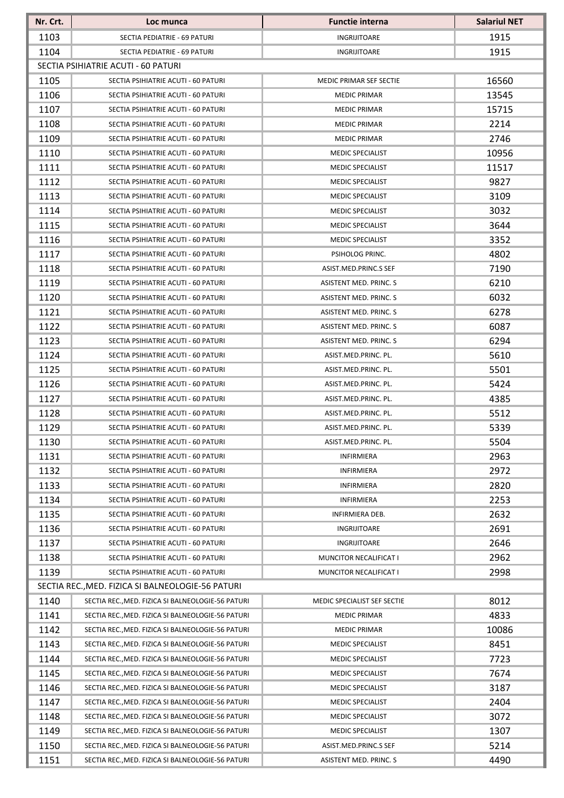| Nr. Crt. | Loc munca                                         | <b>Functie interna</b>      | <b>Salariul NET</b> |
|----------|---------------------------------------------------|-----------------------------|---------------------|
| 1103     | SECTIA PEDIATRIE - 69 PATURI                      | INGRIJITOARE                | 1915                |
| 1104     | SECTIA PEDIATRIE - 69 PATURI                      | INGRIJITOARE                | 1915                |
|          | SECTIA PSIHIATRIE ACUTI - 60 PATURI               |                             |                     |
| 1105     | SECTIA PSIHIATRIE ACUTI - 60 PATURI               | MEDIC PRIMAR SEF SECTIE     | 16560               |
| 1106     | SECTIA PSIHIATRIE ACUTI - 60 PATURI               | <b>MEDIC PRIMAR</b>         | 13545               |
| 1107     | SECTIA PSIHIATRIE ACUTI - 60 PATURI               | <b>MEDIC PRIMAR</b>         | 15715               |
| 1108     | SECTIA PSIHIATRIE ACUTI - 60 PATURI               | <b>MEDIC PRIMAR</b>         | 2214                |
| 1109     | SECTIA PSIHIATRIE ACUTI - 60 PATURI               | <b>MEDIC PRIMAR</b>         | 2746                |
| 1110     | SECTIA PSIHIATRIE ACUTI - 60 PATURI               | <b>MEDIC SPECIALIST</b>     | 10956               |
| 1111     | SECTIA PSIHIATRIE ACUTI - 60 PATURI               | <b>MEDIC SPECIALIST</b>     | 11517               |
| 1112     | SECTIA PSIHIATRIE ACUTI - 60 PATURI               | <b>MEDIC SPECIALIST</b>     | 9827                |
| 1113     | SECTIA PSIHIATRIE ACUTI - 60 PATURI               | <b>MEDIC SPECIALIST</b>     | 3109                |
| 1114     | SECTIA PSIHIATRIE ACUTI - 60 PATURI               | <b>MEDIC SPECIALIST</b>     | 3032                |
| 1115     | SECTIA PSIHIATRIE ACUTI - 60 PATURI               | <b>MEDIC SPECIALIST</b>     | 3644                |
| 1116     | SECTIA PSIHIATRIE ACUTI - 60 PATURI               | <b>MEDIC SPECIALIST</b>     | 3352                |
| 1117     | SECTIA PSIHIATRIE ACUTI - 60 PATURI               | PSIHOLOG PRINC.             | 4802                |
| 1118     | SECTIA PSIHIATRIE ACUTI - 60 PATURI               | ASIST.MED.PRINC.S SEF       | 7190                |
| 1119     | SECTIA PSIHIATRIE ACUTI - 60 PATURI               | ASISTENT MED. PRINC. S      | 6210                |
| 1120     | SECTIA PSIHIATRIE ACUTI - 60 PATURI               | ASISTENT MED. PRINC. S      | 6032                |
| 1121     | SECTIA PSIHIATRIE ACUTI - 60 PATURI               | ASISTENT MED. PRINC. S      | 6278                |
| 1122     | SECTIA PSIHIATRIE ACUTI - 60 PATURI               | ASISTENT MED. PRINC. S      | 6087                |
| 1123     | SECTIA PSIHIATRIE ACUTI - 60 PATURI               | ASISTENT MED. PRINC. S      | 6294                |
| 1124     | SECTIA PSIHIATRIE ACUTI - 60 PATURI               | ASIST.MED.PRINC. PL.        | 5610                |
| 1125     | SECTIA PSIHIATRIE ACUTI - 60 PATURI               | ASIST.MED.PRINC. PL.        | 5501                |
| 1126     | SECTIA PSIHIATRIE ACUTI - 60 PATURI               | ASIST.MED.PRINC. PL.        | 5424                |
| 1127     | SECTIA PSIHIATRIE ACUTI - 60 PATURI               | ASIST.MED.PRINC. PL.        | 4385                |
| 1128     | SECTIA PSIHIATRIE ACUTI - 60 PATURI               | ASIST.MED.PRINC. PL.        | 5512                |
| 1129     | SECTIA PSIHIATRIE ACUTI - 60 PATURI               | ASIST.MED.PRINC. PL.        | 5339                |
| 1130     | SECTIA PSIHIATRIE ACUTI - 60 PATURI               | ASIST.MED.PRINC. PL.        | 5504                |
| 1131     | SECTIA PSIHIATRIE ACUTI - 60 PATURI               | <b>INFIRMIERA</b>           | 2963                |
| 1132     | SECTIA PSIHIATRIE ACUTI - 60 PATURI               | <b>INFIRMIERA</b>           | 2972                |
| 1133     | SECTIA PSIHIATRIE ACUTI - 60 PATURI               | <b>INFIRMIERA</b>           | 2820                |
| 1134     | SECTIA PSIHIATRIE ACUTI - 60 PATURI               | <b>INFIRMIERA</b>           | 2253                |
| 1135     | SECTIA PSIHIATRIE ACUTI - 60 PATURI               | <b>INFIRMIERA DEB.</b>      | 2632                |
| 1136     | SECTIA PSIHIATRIE ACUTI - 60 PATURI               | INGRIJITOARE                | 2691                |
| 1137     | SECTIA PSIHIATRIE ACUTI - 60 PATURI               | INGRIJITOARE                | 2646                |
| 1138     | SECTIA PSIHIATRIE ACUTI - 60 PATURI               | MUNCITOR NECALIFICAT I      | 2962                |
| 1139     | SECTIA PSIHIATRIE ACUTI - 60 PATURI               | MUNCITOR NECALIFICAT I      | 2998                |
|          | SECTIA REC., MED. FIZICA SI BALNEOLOGIE-56 PATURI |                             |                     |
| 1140     | SECTIA REC., MED. FIZICA SI BALNEOLOGIE-56 PATURI | MEDIC SPECIALIST SEF SECTIE | 8012                |
| 1141     | SECTIA REC., MED. FIZICA SI BALNEOLOGIE-56 PATURI | <b>MEDIC PRIMAR</b>         | 4833                |
| 1142     | SECTIA REC., MED. FIZICA SI BALNEOLOGIE-56 PATURI | <b>MEDIC PRIMAR</b>         | 10086               |
| 1143     | SECTIA REC., MED. FIZICA SI BALNEOLOGIE-56 PATURI | MEDIC SPECIALIST            | 8451                |
| 1144     | SECTIA REC., MED. FIZICA SI BALNEOLOGIE-56 PATURI | <b>MEDIC SPECIALIST</b>     | 7723                |
| 1145     | SECTIA REC., MED. FIZICA SI BALNEOLOGIE-56 PATURI | MEDIC SPECIALIST            | 7674                |
| 1146     | SECTIA REC., MED. FIZICA SI BALNEOLOGIE-56 PATURI | MEDIC SPECIALIST            | 3187                |
| 1147     | SECTIA REC., MED. FIZICA SI BALNEOLOGIE-56 PATURI | MEDIC SPECIALIST            | 2404                |
| 1148     | SECTIA REC., MED. FIZICA SI BALNEOLOGIE-56 PATURI | MEDIC SPECIALIST            | 3072                |
| 1149     | SECTIA REC., MED. FIZICA SI BALNEOLOGIE-56 PATURI | MEDIC SPECIALIST            | 1307                |
| 1150     | SECTIA REC., MED. FIZICA SI BALNEOLOGIE-56 PATURI | ASIST.MED.PRINC.S SEF       | 5214                |
| 1151     | SECTIA REC., MED. FIZICA SI BALNEOLOGIE-56 PATURI | ASISTENT MED. PRINC. S      | 4490                |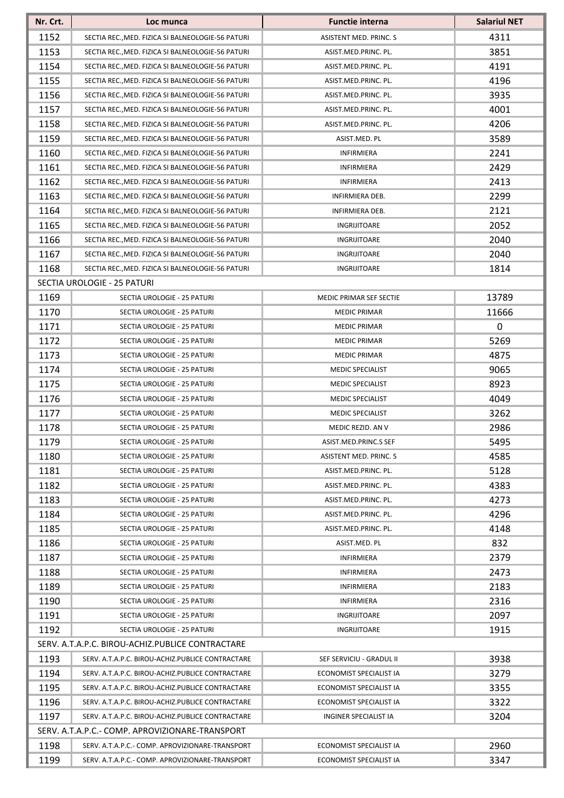| Nr. Crt. | Loc munca                                         | <b>Functie interna</b>   | <b>Salariul NET</b> |
|----------|---------------------------------------------------|--------------------------|---------------------|
| 1152     | SECTIA REC., MED. FIZICA SI BALNEOLOGIE-56 PATURI | ASISTENT MED. PRINC. S   | 4311                |
| 1153     | SECTIA REC., MED. FIZICA SI BALNEOLOGIE-56 PATURI | ASIST.MED.PRINC. PL.     | 3851                |
| 1154     | SECTIA REC., MED. FIZICA SI BALNEOLOGIE-56 PATURI | ASIST.MED.PRINC. PL.     | 4191                |
| 1155     | SECTIA REC., MED. FIZICA SI BALNEOLOGIE-56 PATURI | ASIST.MED.PRINC. PL.     | 4196                |
| 1156     | SECTIA REC., MED. FIZICA SI BALNEOLOGIE-56 PATURI | ASIST.MED.PRINC. PL.     | 3935                |
| 1157     | SECTIA REC., MED. FIZICA SI BALNEOLOGIE-56 PATURI | ASIST.MED.PRINC. PL.     | 4001                |
| 1158     | SECTIA REC., MED. FIZICA SI BALNEOLOGIE-56 PATURI | ASIST.MED.PRINC. PL.     | 4206                |
| 1159     | SECTIA REC., MED. FIZICA SI BALNEOLOGIE-56 PATURI | ASIST.MED. PL            | 3589                |
| 1160     | SECTIA REC., MED. FIZICA SI BALNEOLOGIE-56 PATURI | <b>INFIRMIERA</b>        | 2241                |
| 1161     | SECTIA REC., MED. FIZICA SI BALNEOLOGIE-56 PATURI | INFIRMIERA               | 2429                |
| 1162     | SECTIA REC., MED. FIZICA SI BALNEOLOGIE-56 PATURI | <b>INFIRMIERA</b>        | 2413                |
| 1163     | SECTIA REC., MED. FIZICA SI BALNEOLOGIE-56 PATURI | INFIRMIERA DEB.          | 2299                |
| 1164     | SECTIA REC., MED. FIZICA SI BALNEOLOGIE-56 PATURI | <b>INFIRMIERA DEB.</b>   | 2121                |
| 1165     | SECTIA REC., MED. FIZICA SI BALNEOLOGIE-56 PATURI | INGRIJITOARE             | 2052                |
| 1166     | SECTIA REC., MED. FIZICA SI BALNEOLOGIE-56 PATURI | <b>INGRIJITOARE</b>      | 2040                |
| 1167     | SECTIA REC., MED. FIZICA SI BALNEOLOGIE-56 PATURI | <b>INGRIJITOARE</b>      | 2040                |
| 1168     | SECTIA REC., MED. FIZICA SI BALNEOLOGIE-56 PATURI | <b>INGRIJITOARE</b>      | 1814                |
|          | SECTIA UROLOGIE - 25 PATURI                       |                          |                     |
| 1169     | SECTIA UROLOGIE - 25 PATURI                       | MEDIC PRIMAR SEF SECTIE  | 13789               |
| 1170     | SECTIA UROLOGIE - 25 PATURI                       | <b>MEDIC PRIMAR</b>      | 11666               |
| 1171     | SECTIA UROLOGIE - 25 PATURI                       | <b>MEDIC PRIMAR</b>      | 0                   |
| 1172     | SECTIA UROLOGIE - 25 PATURI                       | <b>MEDIC PRIMAR</b>      | 5269                |
| 1173     | SECTIA UROLOGIE - 25 PATURI                       | <b>MEDIC PRIMAR</b>      | 4875                |
| 1174     | SECTIA UROLOGIE - 25 PATURI                       | <b>MEDIC SPECIALIST</b>  | 9065                |
| 1175     | SECTIA UROLOGIE - 25 PATURI                       | <b>MEDIC SPECIALIST</b>  | 8923                |
| 1176     | SECTIA UROLOGIE - 25 PATURI                       | MEDIC SPECIALIST         | 4049                |
| 1177     | SECTIA UROLOGIE - 25 PATURI                       | MEDIC SPECIALIST         | 3262                |
| 1178     | SECTIA UROLOGIE - 25 PATURI                       | MEDIC REZID. AN V        | 2986                |
| 1179     | SECTIA UROLOGIE - 25 PATURI                       | ASIST.MED.PRINC.S SEF    | 5495                |
| 1180     | SECTIA UROLOGIE - 25 PATURI                       | ASISTENT MED. PRINC. S   | 4585                |
| 1181     | SECTIA UROLOGIE - 25 PATURI                       | ASIST.MED.PRINC. PL.     | 5128                |
| 1182     | SECTIA UROLOGIE - 25 PATURI                       | ASIST.MED.PRINC. PL.     | 4383                |
| 1183     | SECTIA UROLOGIE - 25 PATURI                       | ASIST.MED.PRINC. PL.     | 4273                |
| 1184     | SECTIA UROLOGIE - 25 PATURI                       | ASIST.MED.PRINC. PL.     | 4296                |
| 1185     | SECTIA UROLOGIE - 25 PATURI                       | ASIST.MED.PRINC. PL.     | 4148                |
| 1186     | SECTIA UROLOGIE - 25 PATURI                       | ASIST.MED. PL            | 832                 |
| 1187     | SECTIA UROLOGIE - 25 PATURI                       | <b>INFIRMIERA</b>        | 2379                |
| 1188     | SECTIA UROLOGIE - 25 PATURI                       | <b>INFIRMIERA</b>        | 2473                |
| 1189     | SECTIA UROLOGIE - 25 PATURI                       | <b>INFIRMIERA</b>        | 2183                |
| 1190     | SECTIA UROLOGIE - 25 PATURI                       | <b>INFIRMIERA</b>        | 2316                |
| 1191     | SECTIA UROLOGIE - 25 PATURI                       | INGRIJITOARE             | 2097                |
| 1192     | SECTIA UROLOGIE - 25 PATURI                       | INGRIJITOARE             | 1915                |
|          | SERV. A.T.A.P.C. BIROU-ACHIZ.PUBLICE CONTRACTARE  |                          |                     |
| 1193     | SERV. A.T.A.P.C. BIROU-ACHIZ.PUBLICE CONTRACTARE  | SEF SERVICIU - GRADUL II | 3938                |
| 1194     | SERV. A.T.A.P.C. BIROU-ACHIZ.PUBLICE CONTRACTARE  | ECONOMIST SPECIALIST IA  | 3279                |
| 1195     | SERV. A.T.A.P.C. BIROU-ACHIZ.PUBLICE CONTRACTARE  | ECONOMIST SPECIALIST IA  | 3355                |
| 1196     | SERV. A.T.A.P.C. BIROU-ACHIZ.PUBLICE CONTRACTARE  | ECONOMIST SPECIALIST IA  | 3322                |
| 1197     | SERV. A.T.A.P.C. BIROU-ACHIZ.PUBLICE CONTRACTARE  | INGINER SPECIALIST IA    | 3204                |
|          | SERV. A.T.A.P.C.- COMP. APROVIZIONARE-TRANSPORT   |                          |                     |
| 1198     | SERV. A.T.A.P.C.- COMP. APROVIZIONARE-TRANSPORT   | ECONOMIST SPECIALIST IA  | 2960                |
| 1199     | SERV. A.T.A.P.C.- COMP. APROVIZIONARE-TRANSPORT   | ECONOMIST SPECIALIST IA  | 3347                |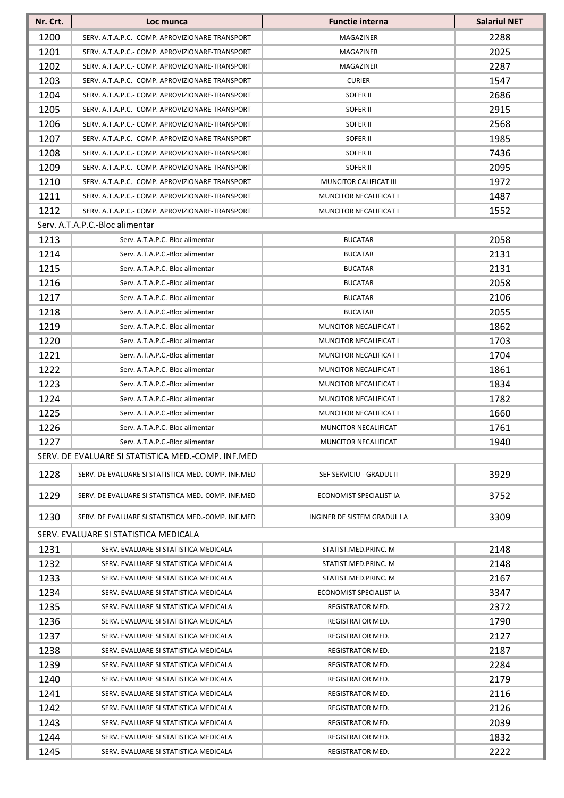| Nr. Crt. | Loc munca                                          | <b>Functie interna</b>       | <b>Salariul NET</b> |
|----------|----------------------------------------------------|------------------------------|---------------------|
| 1200     | SERV. A.T.A.P.C.- COMP. APROVIZIONARE-TRANSPORT    | MAGAZINER                    | 2288                |
| 1201     | SERV. A.T.A.P.C.- COMP. APROVIZIONARE-TRANSPORT    | <b>MAGAZINER</b>             | 2025                |
| 1202     | SERV. A.T.A.P.C.- COMP. APROVIZIONARE-TRANSPORT    | MAGAZINER                    | 2287                |
| 1203     | SERV. A.T.A.P.C.- COMP. APROVIZIONARE-TRANSPORT    | <b>CURIER</b>                | 1547                |
| 1204     | SERV. A.T.A.P.C.- COMP. APROVIZIONARE-TRANSPORT    | SOFER II                     | 2686                |
| 1205     | SERV. A.T.A.P.C.- COMP. APROVIZIONARE-TRANSPORT    | <b>SOFER II</b>              | 2915                |
| 1206     | SERV. A.T.A.P.C.- COMP. APROVIZIONARE-TRANSPORT    | SOFER II                     | 2568                |
| 1207     | SERV. A.T.A.P.C.- COMP. APROVIZIONARE-TRANSPORT    | <b>SOFER II</b>              | 1985                |
| 1208     | SERV. A.T.A.P.C.- COMP. APROVIZIONARE-TRANSPORT    | SOFER II                     | 7436                |
| 1209     | SERV. A.T.A.P.C.- COMP. APROVIZIONARE-TRANSPORT    | SOFER II                     | 2095                |
| 1210     | SERV. A.T.A.P.C.- COMP. APROVIZIONARE-TRANSPORT    | MUNCITOR CALIFICAT III       | 1972                |
| 1211     | SERV. A.T.A.P.C.- COMP. APROVIZIONARE-TRANSPORT    | MUNCITOR NECALIFICAT I       | 1487                |
| 1212     | SERV. A.T.A.P.C.- COMP. APROVIZIONARE-TRANSPORT    | MUNCITOR NECALIFICAT I       | 1552                |
|          | Serv. A.T.A.P.C.-Bloc alimentar                    |                              |                     |
| 1213     | Serv. A.T.A.P.C.-Bloc alimentar                    | <b>BUCATAR</b>               | 2058                |
| 1214     | Serv. A.T.A.P.C.-Bloc alimentar                    | <b>BUCATAR</b>               | 2131                |
| 1215     | Serv. A.T.A.P.C.-Bloc alimentar                    | <b>BUCATAR</b>               | 2131                |
| 1216     | Serv. A.T.A.P.C.-Bloc alimentar                    | <b>BUCATAR</b>               | 2058                |
| 1217     | Serv. A.T.A.P.C.-Bloc alimentar                    | <b>BUCATAR</b>               | 2106                |
| 1218     | Serv. A.T.A.P.C.-Bloc alimentar                    | <b>BUCATAR</b>               | 2055                |
| 1219     | Serv. A.T.A.P.C.-Bloc alimentar                    | MUNCITOR NECALIFICAT I       | 1862                |
| 1220     | Serv. A.T.A.P.C.-Bloc alimentar                    | MUNCITOR NECALIFICAT I       | 1703                |
| 1221     | Serv. A.T.A.P.C.-Bloc alimentar                    | MUNCITOR NECALIFICAT I       | 1704                |
| 1222     | Serv. A.T.A.P.C.-Bloc alimentar                    | MUNCITOR NECALIFICAT I       | 1861                |
| 1223     | Serv. A.T.A.P.C.-Bloc alimentar                    | MUNCITOR NECALIFICAT I       | 1834                |
| 1224     | Serv. A.T.A.P.C.-Bloc alimentar                    | MUNCITOR NECALIFICAT I       | 1782                |
| 1225     | Serv. A.T.A.P.C.-Bloc alimentar                    | MUNCITOR NECALIFICAT I       | 1660                |
| 1226     | Serv. A.T.A.P.C.-Bloc alimentar                    | MUNCITOR NECALIFICAT         | 1761                |
| 1227     | Serv. A.T.A.P.C.-Bloc alimentar                    | <b>MUNCITOR NECALIFICAT</b>  | 1940                |
|          | SERV. DE EVALUARE SI STATISTICA MED.-COMP. INF.MED |                              |                     |
| 1228     | SERV. DE EVALUARE SI STATISTICA MED.-COMP. INF.MED | SEF SERVICIU - GRADUL II     | 3929                |
| 1229     | SERV. DE EVALUARE SI STATISTICA MED.-COMP. INF.MED | ECONOMIST SPECIALIST IA      | 3752                |
| 1230     | SERV. DE EVALUARE SI STATISTICA MED.-COMP. INF.MED | INGINER DE SISTEM GRADUL I A | 3309                |
|          | SERV. EVALUARE SI STATISTICA MEDICALA              |                              |                     |
| 1231     | SERV. EVALUARE SI STATISTICA MEDICALA              | STATIST.MED.PRINC. M         | 2148                |
| 1232     | SERV. EVALUARE SI STATISTICA MEDICALA              | STATIST.MED.PRINC. M         | 2148                |
| 1233     | SERV. EVALUARE SI STATISTICA MEDICALA              | STATIST.MED.PRINC. M         | 2167                |
| 1234     | SERV. EVALUARE SI STATISTICA MEDICALA              | ECONOMIST SPECIALIST IA      | 3347                |
| 1235     | SERV. EVALUARE SI STATISTICA MEDICALA              | REGISTRATOR MED.             | 2372                |
| 1236     | SERV. EVALUARE SI STATISTICA MEDICALA              | REGISTRATOR MED.             | 1790                |
| 1237     | SERV. EVALUARE SI STATISTICA MEDICALA              | REGISTRATOR MED.             | 2127                |
| 1238     | SERV. EVALUARE SI STATISTICA MEDICALA              | REGISTRATOR MED.             | 2187                |
| 1239     | SERV. EVALUARE SI STATISTICA MEDICALA              | REGISTRATOR MED.             | 2284                |
| 1240     | SERV. EVALUARE SI STATISTICA MEDICALA              | REGISTRATOR MED.             | 2179                |
| 1241     | SERV. EVALUARE SI STATISTICA MEDICALA              | REGISTRATOR MED.             | 2116                |
| 1242     | SERV. EVALUARE SI STATISTICA MEDICALA              | REGISTRATOR MED.             | 2126                |
| 1243     | SERV. EVALUARE SI STATISTICA MEDICALA              | REGISTRATOR MED.             | 2039                |
| 1244     | SERV. EVALUARE SI STATISTICA MEDICALA              | REGISTRATOR MED.             | 1832                |
| 1245     | SERV. EVALUARE SI STATISTICA MEDICALA              | REGISTRATOR MED.             | 2222                |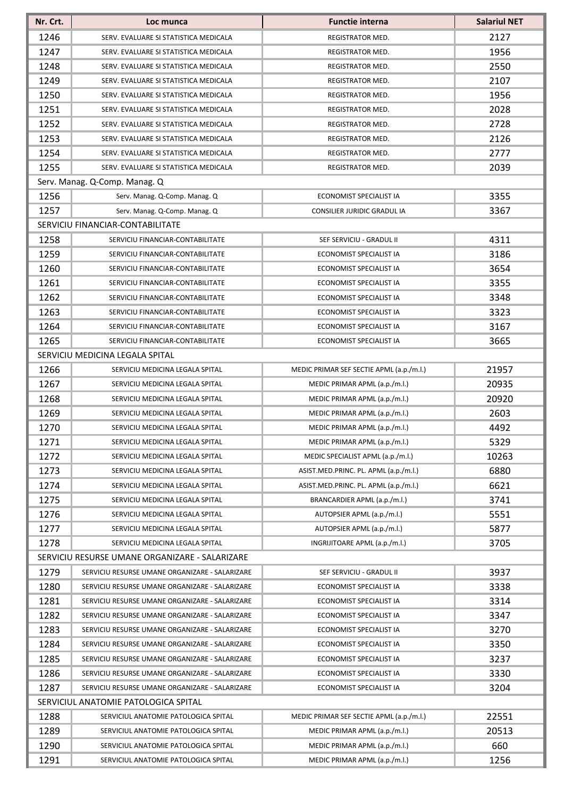| Nr. Crt.                             | Loc munca                                      | <b>Functie interna</b>                   | <b>Salariul NET</b> |
|--------------------------------------|------------------------------------------------|------------------------------------------|---------------------|
| 1246                                 | SERV. EVALUARE SI STATISTICA MEDICALA          | REGISTRATOR MED.                         | 2127                |
| 1247                                 | SERV. EVALUARE SI STATISTICA MEDICALA          | REGISTRATOR MED.                         | 1956                |
| 1248                                 | SERV. EVALUARE SI STATISTICA MEDICALA          | REGISTRATOR MED.                         | 2550                |
| 1249                                 | SERV. EVALUARE SI STATISTICA MEDICALA          | <b>REGISTRATOR MED.</b>                  | 2107                |
| 1250                                 | SERV. EVALUARE SI STATISTICA MEDICALA          | REGISTRATOR MED.                         | 1956                |
| 1251                                 | SERV. EVALUARE SI STATISTICA MEDICALA          | REGISTRATOR MED.                         | 2028                |
| 1252                                 | SERV. EVALUARE SI STATISTICA MEDICALA          | REGISTRATOR MED.                         | 2728                |
| 1253                                 | SERV. EVALUARE SI STATISTICA MEDICALA          | REGISTRATOR MED.                         | 2126                |
| 1254                                 | SERV. EVALUARE SI STATISTICA MEDICALA          | REGISTRATOR MED.                         | 2777                |
| 1255                                 | SERV. EVALUARE SI STATISTICA MEDICALA          | REGISTRATOR MED.                         | 2039                |
|                                      | Serv. Manag. Q-Comp. Manag. Q                  |                                          |                     |
| 1256                                 | Serv. Manag. Q-Comp. Manag. Q                  | ECONOMIST SPECIALIST IA                  | 3355                |
| 1257                                 | Serv. Manag. Q-Comp. Manag. Q                  | <b>CONSILIER JURIDIC GRADUL IA</b>       | 3367                |
|                                      | SERVICIU FINANCIAR-CONTABILITATE               |                                          |                     |
| 1258                                 | SERVICIU FINANCIAR-CONTABILITATE               | SEF SERVICIU - GRADUL II                 | 4311                |
| 1259                                 | SERVICIU FINANCIAR-CONTABILITATE               | ECONOMIST SPECIALIST IA                  | 3186                |
| 1260                                 | SERVICIU FINANCIAR-CONTABILITATE               | ECONOMIST SPECIALIST IA                  | 3654                |
| 1261                                 | SERVICIU FINANCIAR-CONTABILITATE               | ECONOMIST SPECIALIST IA                  | 3355                |
| 1262                                 | SERVICIU FINANCIAR-CONTABILITATE               | ECONOMIST SPECIALIST IA                  | 3348                |
| 1263                                 | SERVICIU FINANCIAR-CONTABILITATE               | ECONOMIST SPECIALIST IA                  | 3323                |
| 1264                                 | SERVICIU FINANCIAR-CONTABILITATE               | ECONOMIST SPECIALIST IA                  | 3167                |
| 1265                                 | SERVICIU FINANCIAR-CONTABILITATE               | ECONOMIST SPECIALIST IA                  | 3665                |
|                                      | SERVICIU MEDICINA LEGALA SPITAL                |                                          |                     |
| 1266                                 | SERVICIU MEDICINA LEGALA SPITAL                | MEDIC PRIMAR SEF SECTIE APML (a.p./m.l.) | 21957               |
| 1267                                 | SERVICIU MEDICINA LEGALA SPITAL                | MEDIC PRIMAR APML (a.p./m.l.)            | 20935               |
| 1268                                 | SERVICIU MEDICINA LEGALA SPITAL                | MEDIC PRIMAR APML (a.p./m.l.)            | 20920               |
| 1269                                 | SERVICIU MEDICINA LEGALA SPITAL                | MEDIC PRIMAR APML (a.p./m.l.)            | 2603                |
| 1270                                 | SERVICIU MEDICINA LEGALA SPITAL                | MEDIC PRIMAR APML (a.p./m.l.)            | 4492                |
| 1271                                 | SERVICIU MEDICINA LEGALA SPITAL                | MEDIC PRIMAR APML (a.p./m.l.)            | 5329                |
| 1272                                 | SERVICIU MEDICINA LEGALA SPITAL                | MEDIC SPECIALIST APML (a.p./m.l.)        | 10263               |
| 1273                                 | SERVICIU MEDICINA LEGALA SPITAL                | ASIST.MED.PRINC. PL. APML (a.p./m.l.)    | 6880                |
| 1274                                 | SERVICIU MEDICINA LEGALA SPITAL                | ASIST.MED.PRINC. PL. APML (a.p./m.l.)    | 6621                |
| 1275                                 | SERVICIU MEDICINA LEGALA SPITAL                | BRANCARDIER APML (a.p./m.l.)             | 3741                |
| 1276                                 | SERVICIU MEDICINA LEGALA SPITAL                | AUTOPSIER APML (a.p./m.l.)               | 5551                |
| 1277                                 | SERVICIU MEDICINA LEGALA SPITAL                | AUTOPSIER APML (a.p./m.l.)               | 5877                |
| 1278                                 | SERVICIU MEDICINA LEGALA SPITAL                | INGRIJITOARE APML (a.p./m.l.)            | 3705                |
|                                      | SERVICIU RESURSE UMANE ORGANIZARE - SALARIZARE |                                          |                     |
| 1279                                 | SERVICIU RESURSE UMANE ORGANIZARE - SALARIZARE | SEF SERVICIU - GRADUL II                 | 3937                |
| 1280                                 | SERVICIU RESURSE UMANE ORGANIZARE - SALARIZARE | ECONOMIST SPECIALIST IA                  | 3338                |
| 1281                                 | SERVICIU RESURSE UMANE ORGANIZARE - SALARIZARE | ECONOMIST SPECIALIST IA                  | 3314                |
| 1282                                 | SERVICIU RESURSE UMANE ORGANIZARE - SALARIZARE | ECONOMIST SPECIALIST IA                  | 3347                |
| 1283                                 | SERVICIU RESURSE UMANE ORGANIZARE - SALARIZARE | ECONOMIST SPECIALIST IA                  | 3270                |
| 1284                                 | SERVICIU RESURSE UMANE ORGANIZARE - SALARIZARE | ECONOMIST SPECIALIST IA                  | 3350                |
| 1285                                 | SERVICIU RESURSE UMANE ORGANIZARE - SALARIZARE | ECONOMIST SPECIALIST IA                  | 3237                |
| 1286                                 | SERVICIU RESURSE UMANE ORGANIZARE - SALARIZARE | ECONOMIST SPECIALIST IA                  | 3330                |
| 1287                                 | SERVICIU RESURSE UMANE ORGANIZARE - SALARIZARE | ECONOMIST SPECIALIST IA                  | 3204                |
| SERVICIUL ANATOMIE PATOLOGICA SPITAL |                                                |                                          |                     |
| 1288                                 | SERVICIUL ANATOMIE PATOLOGICA SPITAL           | MEDIC PRIMAR SEF SECTIE APML (a.p./m.l.) | 22551               |
| 1289                                 | SERVICIUL ANATOMIE PATOLOGICA SPITAL           | MEDIC PRIMAR APML (a.p./m.l.)            | 20513               |
| 1290                                 | SERVICIUL ANATOMIE PATOLOGICA SPITAL           | MEDIC PRIMAR APML (a.p./m.l.)            | 660                 |
| 1291                                 | SERVICIUL ANATOMIE PATOLOGICA SPITAL           | MEDIC PRIMAR APML (a.p./m.l.)            | 1256                |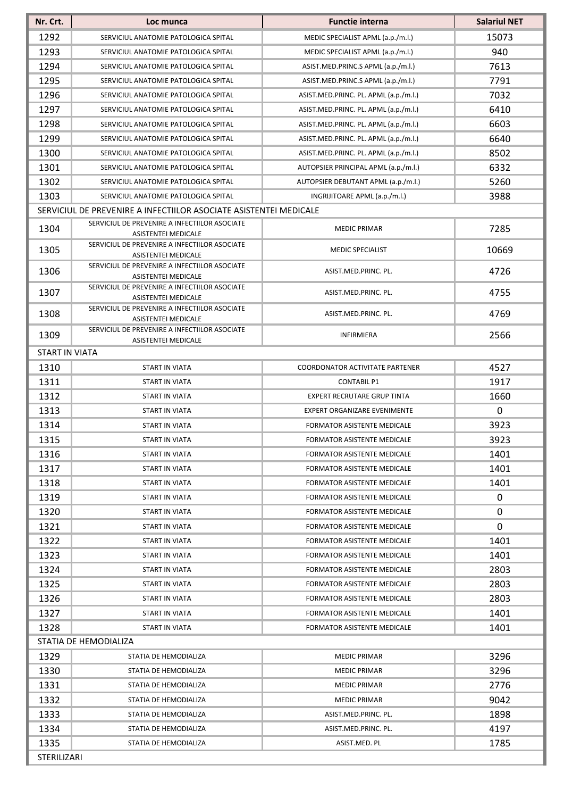| Nr. Crt.              | Loc munca                                                                   | <b>Functie interna</b>                 | <b>Salariul NET</b> |
|-----------------------|-----------------------------------------------------------------------------|----------------------------------------|---------------------|
| 1292                  | SERVICIUL ANATOMIE PATOLOGICA SPITAL                                        | MEDIC SPECIALIST APML (a.p./m.l.)      | 15073               |
| 1293                  | SERVICIUL ANATOMIE PATOLOGICA SPITAL                                        | MEDIC SPECIALIST APML (a.p./m.l.)      | 940                 |
| 1294                  | SERVICIUL ANATOMIE PATOLOGICA SPITAL                                        | ASIST.MED.PRINC.S APML (a.p./m.l.)     | 7613                |
| 1295                  | SERVICIUL ANATOMIE PATOLOGICA SPITAL                                        | ASIST.MED.PRINC.S APML (a.p./m.l.)     | 7791                |
| 1296                  | SERVICIUL ANATOMIE PATOLOGICA SPITAL                                        | ASIST.MED.PRINC. PL. APML (a.p./m.l.)  | 7032                |
| 1297                  | SERVICIUL ANATOMIE PATOLOGICA SPITAL                                        | ASIST.MED.PRINC. PL. APML (a.p./m.l.)  | 6410                |
| 1298                  | SERVICIUL ANATOMIE PATOLOGICA SPITAL                                        | ASIST.MED.PRINC. PL. APML (a.p./m.l.)  | 6603                |
| 1299                  | SERVICIUL ANATOMIE PATOLOGICA SPITAL                                        | ASIST.MED.PRINC. PL. APML (a.p./m.l.)  | 6640                |
| 1300                  | SERVICIUL ANATOMIE PATOLOGICA SPITAL                                        | ASIST.MED.PRINC. PL. APML (a.p./m.l.)  | 8502                |
| 1301                  | SERVICIUL ANATOMIE PATOLOGICA SPITAL                                        | AUTOPSIER PRINCIPAL APML (a.p./m.l.)   | 6332                |
| 1302                  | SERVICIUL ANATOMIE PATOLOGICA SPITAL                                        | AUTOPSIER DEBUTANT APML (a.p./m.l.)    | 5260                |
| 1303                  | SERVICIUL ANATOMIE PATOLOGICA SPITAL                                        | INGRIJITOARE APML (a.p./m.l.)          | 3988                |
|                       | SERVICIUL DE PREVENIRE A INFECTIILOR ASOCIATE ASISTENTEI MEDICALE           |                                        |                     |
| 1304                  | SERVICIUL DE PREVENIRE A INFECTIILOR ASOCIATE<br>ASISTENTEI MEDICALE        | <b>MEDIC PRIMAR</b>                    | 7285                |
| 1305                  | SERVICIUL DE PREVENIRE A INFECTIILOR ASOCIATE<br><b>ASISTENTEI MEDICALE</b> | <b>MEDIC SPECIALIST</b>                | 10669               |
| 1306                  | SERVICIUL DE PREVENIRE A INFECTIILOR ASOCIATE<br>ASISTENTEI MEDICALE        | ASIST.MED.PRINC. PL.                   | 4726                |
| 1307                  | SERVICIUL DE PREVENIRE A INFECTIILOR ASOCIATE<br>ASISTENTEI MEDICALE        | ASIST.MED.PRINC. PL.                   | 4755                |
| 1308                  | SERVICIUL DE PREVENIRE A INFECTIILOR ASOCIATE<br>ASISTENTEI MEDICALE        | ASIST.MED.PRINC. PL.                   | 4769                |
| 1309                  | SERVICIUL DE PREVENIRE A INFECTIILOR ASOCIATE<br>ASISTENTEI MEDICALE        | <b>INFIRMIERA</b>                      | 2566                |
| <b>START IN VIATA</b> |                                                                             |                                        |                     |
| 1310                  | START IN VIATA                                                              | <b>COORDONATOR ACTIVITATE PARTENER</b> | 4527                |
| 1311                  | <b>START IN VIATA</b>                                                       | <b>CONTABIL P1</b>                     | 1917                |
| 1312                  | START IN VIATA                                                              | <b>EXPERT RECRUTARE GRUP TINTA</b>     | 1660                |
| 1313                  | START IN VIATA                                                              | <b>EXPERT ORGANIZARE EVENIMENTE</b>    | $\mathbf 0$         |
| 1314                  | START IN VIATA                                                              | FORMATOR ASISTENTE MEDICALE            | 3923                |
| 1315                  | START IN VIATA                                                              | <b>FORMATOR ASISTENTE MEDICALE</b>     | 3923                |
| 1316                  | START IN VIATA                                                              | FORMATOR ASISTENTE MEDICALE            | 1401                |
| 1317                  | START IN VIATA                                                              | FORMATOR ASISTENTE MEDICALE            | 1401                |
| 1318                  | START IN VIATA                                                              | <b>FORMATOR ASISTENTE MEDICALE</b>     | 1401                |
| 1319                  | START IN VIATA                                                              | <b>FORMATOR ASISTENTE MEDICALE</b>     | 0                   |
| 1320                  | START IN VIATA                                                              | FORMATOR ASISTENTE MEDICALE            | 0                   |
| 1321                  | START IN VIATA                                                              | FORMATOR ASISTENTE MEDICALE            | 0                   |
| 1322                  | START IN VIATA                                                              | FORMATOR ASISTENTE MEDICALE            | 1401                |
| 1323                  | START IN VIATA                                                              | FORMATOR ASISTENTE MEDICALE            | 1401                |
| 1324                  | START IN VIATA                                                              | FORMATOR ASISTENTE MEDICALE            | 2803                |
| 1325                  | START IN VIATA                                                              | FORMATOR ASISTENTE MEDICALE            | 2803                |
| 1326                  | START IN VIATA                                                              | FORMATOR ASISTENTE MEDICALE            | 2803                |
| 1327                  | START IN VIATA                                                              | FORMATOR ASISTENTE MEDICALE            | 1401                |
| 1328                  | START IN VIATA                                                              | FORMATOR ASISTENTE MEDICALE            | 1401                |
|                       | STATIA DE HEMODIALIZA                                                       |                                        |                     |
| 1329                  | STATIA DE HEMODIALIZA                                                       | <b>MEDIC PRIMAR</b>                    | 3296                |
| 1330                  | STATIA DE HEMODIALIZA                                                       | <b>MEDIC PRIMAR</b>                    | 3296                |
| 1331                  | STATIA DE HEMODIALIZA                                                       | MEDIC PRIMAR                           | 2776                |
| 1332                  | STATIA DE HEMODIALIZA                                                       | <b>MEDIC PRIMAR</b>                    | 9042                |
| 1333                  | STATIA DE HEMODIALIZA                                                       | ASIST.MED.PRINC. PL.                   | 1898                |
| 1334                  | STATIA DE HEMODIALIZA                                                       | ASIST.MED.PRINC. PL.                   | 4197                |
| 1335                  | STATIA DE HEMODIALIZA                                                       | ASIST.MED. PL                          | 1785                |
| STERILIZARI           |                                                                             |                                        |                     |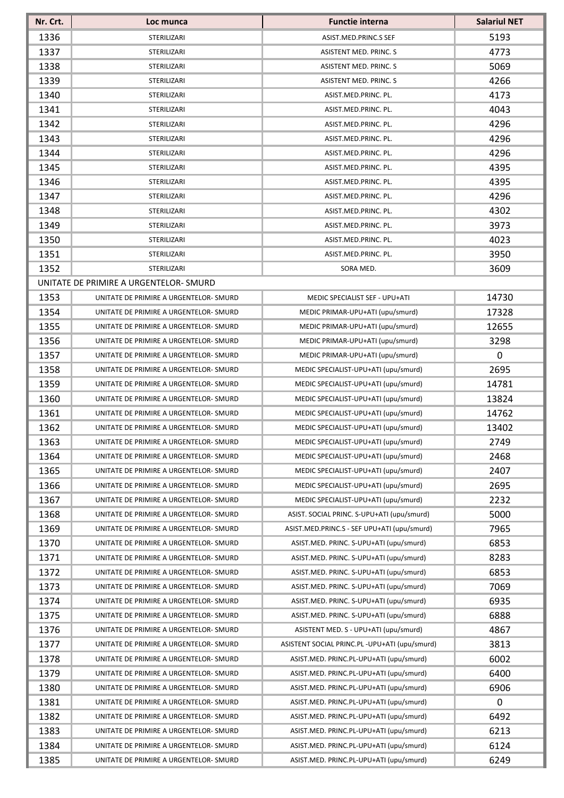| Nr. Crt. | Loc munca                              | <b>Functie interna</b>                         | <b>Salariul NET</b> |
|----------|----------------------------------------|------------------------------------------------|---------------------|
| 1336     | STERILIZARI                            | ASIST.MED.PRINC.S SEF                          | 5193                |
| 1337     | STERILIZARI                            | ASISTENT MED. PRINC. S                         | 4773                |
| 1338     | STERILIZARI                            | ASISTENT MED. PRINC. S                         | 5069                |
| 1339     | STERILIZARI                            | ASISTENT MED. PRINC. S                         | 4266                |
| 1340     | STERILIZARI                            | ASIST.MED.PRINC. PL.                           | 4173                |
| 1341     | STERILIZARI                            | ASIST.MED.PRINC. PL.                           | 4043                |
| 1342     | STERILIZARI                            | ASIST.MED.PRINC. PL.                           | 4296                |
| 1343     | STERILIZARI                            | ASIST.MED.PRINC. PL.                           | 4296                |
| 1344     | STERILIZARI                            | ASIST.MED.PRINC. PL.                           | 4296                |
| 1345     | STERILIZARI                            | ASIST.MED.PRINC. PL.                           | 4395                |
| 1346     | STERILIZARI                            | ASIST.MED.PRINC. PL.                           | 4395                |
| 1347     | STERILIZARI                            | ASIST.MED.PRINC. PL.                           | 4296                |
| 1348     | <b>STERILIZARI</b>                     | ASIST.MED.PRINC. PL.                           | 4302                |
| 1349     | STERILIZARI                            | ASIST.MED.PRINC. PL.                           | 3973                |
| 1350     | STERILIZARI                            | ASIST.MED.PRINC. PL.                           | 4023                |
| 1351     | STERILIZARI                            | ASIST.MED.PRINC. PL.                           | 3950                |
| 1352     | STERILIZARI                            | SORA MED.                                      | 3609                |
|          | UNITATE DE PRIMIRE A URGENTELOR- SMURD |                                                |                     |
| 1353     | UNITATE DE PRIMIRE A URGENTELOR- SMURD | MEDIC SPECIALIST SEF - UPU+ATI                 | 14730               |
| 1354     | UNITATE DE PRIMIRE A URGENTELOR- SMURD | MEDIC PRIMAR-UPU+ATI (upu/smurd)               | 17328               |
| 1355     | UNITATE DE PRIMIRE A URGENTELOR-SMURD  | MEDIC PRIMAR-UPU+ATI (upu/smurd)               | 12655               |
| 1356     | UNITATE DE PRIMIRE A URGENTELOR-SMURD  | MEDIC PRIMAR-UPU+ATI (upu/smurd)               | 3298                |
| 1357     | UNITATE DE PRIMIRE A URGENTELOR-SMURD  | MEDIC PRIMAR-UPU+ATI (upu/smurd)               | $\boldsymbol{0}$    |
| 1358     | UNITATE DE PRIMIRE A URGENTELOR-SMURD  | MEDIC SPECIALIST-UPU+ATI (upu/smurd)           | 2695                |
| 1359     | UNITATE DE PRIMIRE A URGENTELOR-SMURD  | MEDIC SPECIALIST-UPU+ATI (upu/smurd)           | 14781               |
| 1360     | UNITATE DE PRIMIRE A URGENTELOR- SMURD | MEDIC SPECIALIST-UPU+ATI (upu/smurd)           | 13824               |
| 1361     | UNITATE DE PRIMIRE A URGENTELOR-SMURD  | MEDIC SPECIALIST-UPU+ATI (upu/smurd)           | 14762               |
| 1362     | UNITATE DE PRIMIRE A URGENTELOR- SMURD | MEDIC SPECIALIST-UPU+ATI (upu/smurd)           | 13402               |
| 1363     | UNITATE DE PRIMIRE A URGENTELOR-SMURD  | MEDIC SPECIALIST-UPU+ATI (upu/smurd)           | 2749                |
| 1364     | UNITATE DE PRIMIRE A URGENTELOR-SMURD  | MEDIC SPECIALIST-UPU+ATI (upu/smurd)           | 2468                |
| 1365     | UNITATE DE PRIMIRE A URGENTELOR-SMURD  | MEDIC SPECIALIST-UPU+ATI (upu/smurd)           | 2407                |
| 1366     | UNITATE DE PRIMIRE A URGENTELOR- SMURD | MEDIC SPECIALIST-UPU+ATI (upu/smurd)           | 2695                |
| 1367     | UNITATE DE PRIMIRE A URGENTELOR-SMURD  | MEDIC SPECIALIST-UPU+ATI (upu/smurd)           | 2232                |
| 1368     | UNITATE DE PRIMIRE A URGENTELOR- SMURD | ASIST. SOCIAL PRINC. S-UPU+ATI (upu/smurd)     | 5000                |
| 1369     | UNITATE DE PRIMIRE A URGENTELOR-SMURD  | ASIST.MED.PRINC.S - SEF UPU+ATI (upu/smurd)    | 7965                |
| 1370     | UNITATE DE PRIMIRE A URGENTELOR-SMURD  | ASIST.MED. PRINC. S-UPU+ATI (upu/smurd)        | 6853                |
| 1371     | UNITATE DE PRIMIRE A URGENTELOR-SMURD  | ASIST.MED. PRINC. S-UPU+ATI (upu/smurd)        | 8283                |
| 1372     | UNITATE DE PRIMIRE A URGENTELOR-SMURD  | ASIST.MED. PRINC. S-UPU+ATI (upu/smurd)        | 6853                |
| 1373     | UNITATE DE PRIMIRE A URGENTELOR- SMURD | ASIST.MED. PRINC. S-UPU+ATI (upu/smurd)        | 7069                |
| 1374     | UNITATE DE PRIMIRE A URGENTELOR-SMURD  | ASIST.MED. PRINC. S-UPU+ATI (upu/smurd)        | 6935                |
| 1375     | UNITATE DE PRIMIRE A URGENTELOR-SMURD  | ASIST.MED. PRINC. S-UPU+ATI (upu/smurd)        | 6888                |
| 1376     | UNITATE DE PRIMIRE A URGENTELOR-SMURD  | ASISTENT MED. S - UPU+ATI (upu/smurd)          | 4867                |
| 1377     | UNITATE DE PRIMIRE A URGENTELOR-SMURD  | ASISTENT SOCIAL PRINC.PL - UPU+ATI (upu/smurd) | 3813                |
| 1378     | UNITATE DE PRIMIRE A URGENTELOR- SMURD | ASIST.MED. PRINC.PL-UPU+ATI (upu/smurd)        | 6002                |
| 1379     | UNITATE DE PRIMIRE A URGENTELOR-SMURD  | ASIST.MED. PRINC.PL-UPU+ATI (upu/smurd)        | 6400                |
| 1380     | UNITATE DE PRIMIRE A URGENTELOR-SMURD  | ASIST.MED. PRINC.PL-UPU+ATI (upu/smurd)        | 6906                |
| 1381     | UNITATE DE PRIMIRE A URGENTELOR-SMURD  | ASIST.MED. PRINC.PL-UPU+ATI (upu/smurd)        | $\mathbf 0$         |
| 1382     | UNITATE DE PRIMIRE A URGENTELOR-SMURD  | ASIST.MED. PRINC.PL-UPU+ATI (upu/smurd)        | 6492                |
| 1383     | UNITATE DE PRIMIRE A URGENTELOR-SMURD  | ASIST.MED. PRINC.PL-UPU+ATI (upu/smurd)        | 6213                |
| 1384     | UNITATE DE PRIMIRE A URGENTELOR- SMURD | ASIST.MED. PRINC.PL-UPU+ATI (upu/smurd)        | 6124                |
| 1385     | UNITATE DE PRIMIRE A URGENTELOR-SMURD  | ASIST.MED. PRINC.PL-UPU+ATI (upu/smurd)        | 6249                |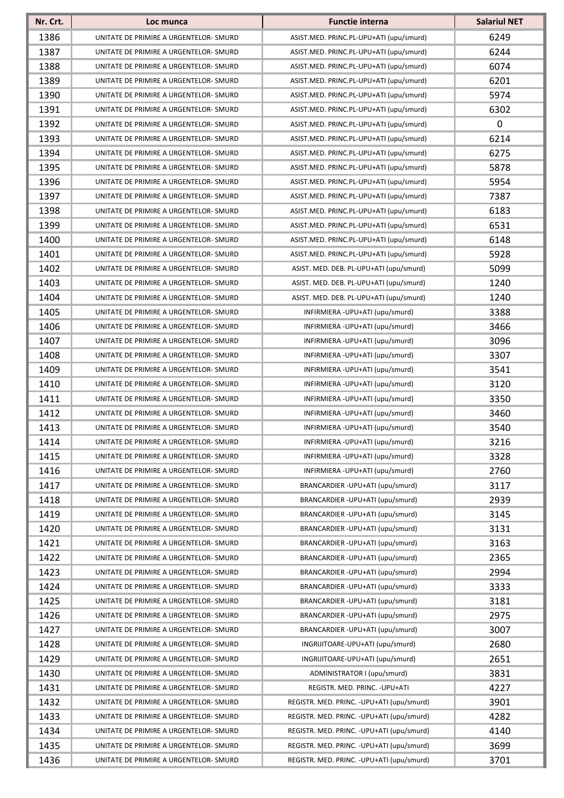| Nr. Crt. | Loc munca                              | <b>Functie interna</b>                     | <b>Salariul NET</b> |
|----------|----------------------------------------|--------------------------------------------|---------------------|
| 1386     | UNITATE DE PRIMIRE A URGENTELOR- SMURD | ASIST.MED. PRINC.PL-UPU+ATI (upu/smurd)    | 6249                |
| 1387     | UNITATE DE PRIMIRE A URGENTELOR- SMURD | ASIST.MED. PRINC.PL-UPU+ATI (upu/smurd)    | 6244                |
| 1388     | UNITATE DE PRIMIRE A URGENTELOR- SMURD | ASIST.MED. PRINC.PL-UPU+ATI (upu/smurd)    | 6074                |
| 1389     | UNITATE DE PRIMIRE A URGENTELOR- SMURD | ASIST.MED. PRINC.PL-UPU+ATI (upu/smurd)    | 6201                |
| 1390     | UNITATE DE PRIMIRE A URGENTELOR- SMURD | ASIST.MED. PRINC.PL-UPU+ATI (upu/smurd)    | 5974                |
| 1391     | UNITATE DE PRIMIRE A URGENTELOR- SMURD | ASIST.MED. PRINC.PL-UPU+ATI (upu/smurd)    | 6302                |
| 1392     | UNITATE DE PRIMIRE A URGENTELOR-SMURD  | ASIST.MED. PRINC.PL-UPU+ATI (upu/smurd)    | 0                   |
| 1393     | UNITATE DE PRIMIRE A URGENTELOR- SMURD | ASIST.MED. PRINC.PL-UPU+ATI (upu/smurd)    | 6214                |
| 1394     | UNITATE DE PRIMIRE A URGENTELOR- SMURD | ASIST.MED. PRINC.PL-UPU+ATI (upu/smurd)    | 6275                |
| 1395     | UNITATE DE PRIMIRE A URGENTELOR- SMURD | ASIST.MED. PRINC.PL-UPU+ATI (upu/smurd)    | 5878                |
| 1396     | UNITATE DE PRIMIRE A URGENTELOR- SMURD | ASIST.MED. PRINC.PL-UPU+ATI (upu/smurd)    | 5954                |
| 1397     | UNITATE DE PRIMIRE A URGENTELOR-SMURD  | ASIST.MED. PRINC.PL-UPU+ATI (upu/smurd)    | 7387                |
| 1398     | UNITATE DE PRIMIRE A URGENTELOR-SMURD  | ASIST.MED. PRINC.PL-UPU+ATI (upu/smurd)    | 6183                |
| 1399     | UNITATE DE PRIMIRE A URGENTELOR- SMURD | ASIST.MED. PRINC.PL-UPU+ATI (upu/smurd)    | 6531                |
| 1400     | UNITATE DE PRIMIRE A URGENTELOR-SMURD  | ASIST.MED. PRINC.PL-UPU+ATI (upu/smurd)    | 6148                |
| 1401     | UNITATE DE PRIMIRE A URGENTELOR- SMURD | ASIST.MED. PRINC.PL-UPU+ATI (upu/smurd)    | 5928                |
| 1402     | UNITATE DE PRIMIRE A URGENTELOR-SMURD  | ASIST. MED. DEB. PL-UPU+ATI (upu/smurd)    | 5099                |
| 1403     | UNITATE DE PRIMIRE A URGENTELOR- SMURD | ASIST. MED. DEB. PL-UPU+ATI (upu/smurd)    | 1240                |
| 1404     | UNITATE DE PRIMIRE A URGENTELOR-SMURD  | ASIST. MED. DEB. PL-UPU+ATI (upu/smurd)    | 1240                |
| 1405     | UNITATE DE PRIMIRE A URGENTELOR- SMURD | INFIRMIERA - UPU+ATI (upu/smurd)           | 3388                |
| 1406     | UNITATE DE PRIMIRE A URGENTELOR-SMURD  | INFIRMIERA - UPU+ATI (upu/smurd)           | 3466                |
| 1407     | UNITATE DE PRIMIRE A URGENTELOR- SMURD | INFIRMIERA - UPU+ATI (upu/smurd)           | 3096                |
| 1408     | UNITATE DE PRIMIRE A URGENTELOR- SMURD | INFIRMIERA - UPU+ATI (upu/smurd)           | 3307                |
| 1409     | UNITATE DE PRIMIRE A URGENTELOR- SMURD | INFIRMIERA - UPU+ATI (upu/smurd)           | 3541                |
| 1410     | UNITATE DE PRIMIRE A URGENTELOR- SMURD | INFIRMIERA - UPU+ATI (upu/smurd)           | 3120                |
| 1411     | UNITATE DE PRIMIRE A URGENTELOR- SMURD | INFIRMIERA - UPU+ATI (upu/smurd)           | 3350                |
| 1412     | UNITATE DE PRIMIRE A URGENTELOR- SMURD | INFIRMIERA - UPU+ATI (upu/smurd)           | 3460                |
| 1413     | UNITATE DE PRIMIRE A URGENTELOR- SMURD | INFIRMIERA - UPU+ATI (upu/smurd)           | 3540                |
| 1414     | UNITATE DE PRIMIRE A URGENTELOR- SMURD | INFIRMIERA - UPU+ATI (upu/smurd)           | 3216                |
| 1415     | UNITATE DE PRIMIRE A URGENTELOR-SMURD  | INFIRMIERA - UPU+ATI (upu/smurd)           | 3328                |
| 1416     | UNITATE DE PRIMIRE A URGENTELOR- SMURD | INFIRMIERA - UPU+ATI (upu/smurd)           | 2760                |
| 1417     | UNITATE DE PRIMIRE A URGENTELOR- SMURD | BRANCARDIER - UPU+ATI (upu/smurd)          | 3117                |
| 1418     | UNITATE DE PRIMIRE A URGENTELOR- SMURD | BRANCARDIER-UPU+ATI (upu/smurd)            | 2939                |
| 1419     | UNITATE DE PRIMIRE A URGENTELOR-SMURD  | BRANCARDIER - UPU+ATI (upu/smurd)          | 3145                |
| 1420     | UNITATE DE PRIMIRE A URGENTELOR- SMURD | BRANCARDIER-UPU+ATI (upu/smurd)            | 3131                |
| 1421     | UNITATE DE PRIMIRE A URGENTELOR-SMURD  | BRANCARDIER - UPU+ATI (upu/smurd)          | 3163                |
| 1422     | UNITATE DE PRIMIRE A URGENTELOR- SMURD | BRANCARDIER-UPU+ATI (upu/smurd)            | 2365                |
| 1423     | UNITATE DE PRIMIRE A URGENTELOR- SMURD | BRANCARDIER - UPU+ATI (upu/smurd)          | 2994                |
| 1424     | UNITATE DE PRIMIRE A URGENTELOR- SMURD | BRANCARDIER - UPU+ATI (upu/smurd)          | 3333                |
| 1425     | UNITATE DE PRIMIRE A URGENTELOR-SMURD  | BRANCARDIER-UPU+ATI (upu/smurd)            | 3181                |
| 1426     | UNITATE DE PRIMIRE A URGENTELOR-SMURD  | BRANCARDIER - UPU+ATI (upu/smurd)          | 2975                |
| 1427     | UNITATE DE PRIMIRE A URGENTELOR-SMURD  | BRANCARDIER - UPU+ATI (upu/smurd)          | 3007                |
| 1428     | UNITATE DE PRIMIRE A URGENTELOR- SMURD | INGRIJITOARE-UPU+ATI (upu/smurd)           | 2680                |
| 1429     | UNITATE DE PRIMIRE A URGENTELOR- SMURD | INGRIJITOARE-UPU+ATI (upu/smurd)           | 2651                |
| 1430     | UNITATE DE PRIMIRE A URGENTELOR- SMURD | ADMINISTRATOR I (upu/smurd)                | 3831                |
| 1431     | UNITATE DE PRIMIRE A URGENTELOR- SMURD | REGISTR. MED. PRINC. - UPU+ATI             | 4227                |
| 1432     | UNITATE DE PRIMIRE A URGENTELOR- SMURD | REGISTR. MED. PRINC. - UPU+ATI (upu/smurd) | 3901                |
| 1433     | UNITATE DE PRIMIRE A URGENTELOR- SMURD | REGISTR. MED. PRINC. - UPU+ATI (upu/smurd) | 4282                |
| 1434     | UNITATE DE PRIMIRE A URGENTELOR- SMURD | REGISTR. MED. PRINC. - UPU+ATI (upu/smurd) | 4140                |
| 1435     | UNITATE DE PRIMIRE A URGENTELOR- SMURD | REGISTR. MED. PRINC. - UPU+ATI (upu/smurd) | 3699                |
| 1436     | UNITATE DE PRIMIRE A URGENTELOR- SMURD | REGISTR. MED. PRINC. - UPU+ATI (upu/smurd) | 3701                |